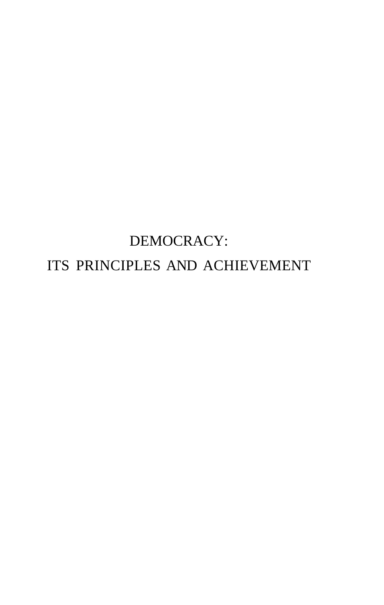# DEMOCRACY: ITS PRINCIPLES AND ACHIEVEMENT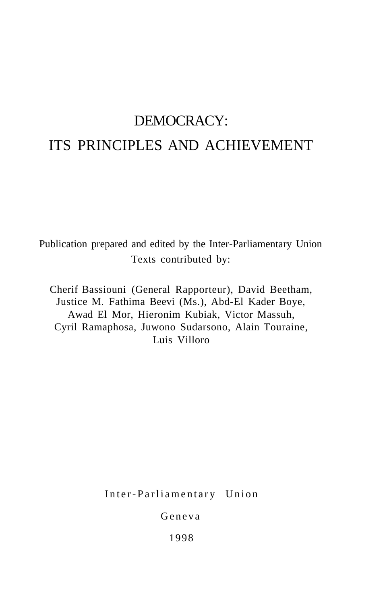# DEMOCRACY: ITS PRINCIPLES AND ACHIEVEMENT

Publication prepared and edited by the Inter-Parliamentary Union Texts contributed by:

Cherif Bassiouni (General Rapporteur), David Beetham, Justice M. Fathima Beevi (Ms.), Abd-El Kader Boye, Awad El Mor, Hieronim Kubiak, Victor Massuh, Cyril Ramaphosa, Juwono Sudarsono, Alain Touraine, Luis Villoro

Inter-Parliamentary Union

Genev a

1998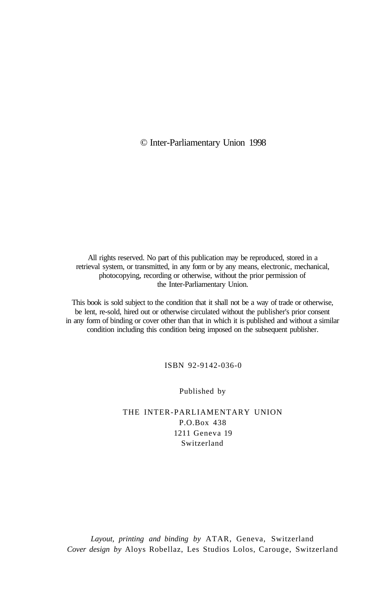© Inter-Parliamentary Union 1998

All rights reserved. No part of this publication may be reproduced, stored in a retrieval system, or transmitted, in any form or by any means, electronic, mechanical, photocopying, recording or otherwise, without the prior permission of the Inter-Parliamentary Union.

This book is sold subject to the condition that it shall not be a way of trade or otherwise, be lent, re-sold, hired out or otherwise circulated without the publisher's prior consent in any form of binding or cover other than that in which it is published and without a similar condition including this condition being imposed on the subsequent publisher.

ISBN 92-9142-036-0

Published by

THE INTER-PARLIAMENTARY UNION P.O.Box 438 1211 Geneva 19 Switzerland

*Layout, printing and binding by* ATAR, Geneva, Switzerland *Cover design by* Aloys Robellaz, Les Studios Lolos, Carouge, Switzerland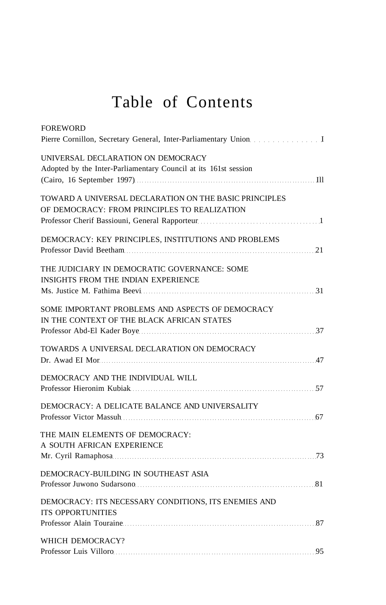# Table of Contents

| <b>FOREWORD</b><br>Pierre Cornillon, Secretary General, Inter-Parliamentary Union [11] [12] Pierre Cornillon, Secretary General, Inter-Parliamentary Union                                            |
|-------------------------------------------------------------------------------------------------------------------------------------------------------------------------------------------------------|
| UNIVERSAL DECLARATION ON DEMOCRACY<br>Adopted by the Inter-Parliamentary Council at its 161st session                                                                                                 |
| TOWARD A UNIVERSAL DECLARATION ON THE BASIC PRINCIPLES<br>OF DEMOCRACY: FROM PRINCIPLES TO REALIZATION                                                                                                |
| DEMOCRACY: KEY PRINCIPLES, INSTITUTIONS AND PROBLEMS                                                                                                                                                  |
| THE JUDICIARY IN DEMOCRATIC GOVERNANCE: SOME<br>INSIGHTS FROM THE INDIAN EXPERIENCE<br>Ms. Justice M. Fathima Beevi music contained a state of the State Ms. Justice M. Fathima Beevi music contained |
| SOME IMPORTANT PROBLEMS AND ASPECTS OF DEMOCRACY<br>IN THE CONTEXT OF THE BLACK AFRICAN STATES                                                                                                        |
| TOWARDS A UNIVERSAL DECLARATION ON DEMOCRACY                                                                                                                                                          |
| DEMOCRACY AND THE INDIVIDUAL WILL                                                                                                                                                                     |
| DEMOCRACY: A DELICATE BALANCE AND UNIVERSALITY                                                                                                                                                        |
| THE MAIN ELEMENTS OF DEMOCRACY:<br>A SOUTH AFRICAN EXPERIENCE                                                                                                                                         |
| DEMOCRACY-BUILDING IN SOUTHEAST ASIA                                                                                                                                                                  |
| DEMOCRACY: ITS NECESSARY CONDITIONS, ITS ENEMIES AND<br><b>ITS OPPORTUNITIES</b>                                                                                                                      |
| WHICH DEMOCRACY?                                                                                                                                                                                      |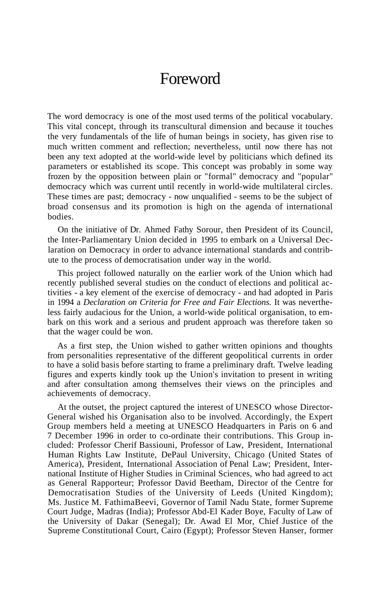## Foreword

The word democracy is one of the most used terms of the political vocabulary. This vital concept, through its transcultural dimension and because it touches the very fundamentals of the life of human beings in society, has given rise to much written comment and reflection; nevertheless, until now there has not been any text adopted at the world-wide level by politicians which defined its parameters or established its scope. This concept was probably in some way frozen by the opposition between plain or "formal" democracy and "popular" democracy which was current until recently in world-wide multilateral circles. These times are past; democracy - now unqualified - seems to be the subject of broad consensus and its promotion is high on the agenda of international bodies.

On the initiative of Dr. Ahmed Fathy Sorour, then President of its Council, the Inter-Parliamentary Union decided in 1995 to embark on a Universal Declaration on Democracy in order to advance international standards and contribute to the process of democratisation under way in the world.

This project followed naturally on the earlier work of the Union which had recently published several studies on the conduct of elections and political activities - a key element of the exercise of democracy - and had adopted in Paris in 1994 a *Declaration on Criteria for Free and Fair Elections.* It was nevertheless fairly audacious for the Union, a world-wide political organisation, to embark on this work and a serious and prudent approach was therefore taken so that the wager could be won.

As a first step, the Union wished to gather written opinions and thoughts from personalities representative of the different geopolitical currents in order to have a solid basis before starting to frame a preliminary draft. Twelve leading figures and experts kindly took up the Union's invitation to present in writing and after consultation among themselves their views on the principles and achievements of democracy.

At the outset, the project captured the interest of UNESCO whose Director-General wished his Organisation also to be involved. Accordingly, the Expert Group members held a meeting at UNESCO Headquarters in Paris on 6 and 7 December 1996 in order to co-ordinate their contributions. This Group included: Professor Cherif Bassiouni, Professor of Law, President, International Human Rights Law Institute, DePaul University, Chicago (United States of America), President, International Association of Penal Law; President, International Institute of Higher Studies in Criminal Sciences, who had agreed to act as General Rapporteur; Professor David Beetham, Director of the Centre for Democratisation Studies of the University of Leeds (United Kingdom); Ms. Justice M. FathimaBeevi, Governor of Tamil Nadu State, former Supreme Court Judge, Madras (India); Professor Abd-El Kader Boye, Faculty of Law of the University of Dakar (Senegal); Dr. Awad El Mor, Chief Justice of the Supreme Constitutional Court, Cairo (Egypt); Professor Steven Hanser, former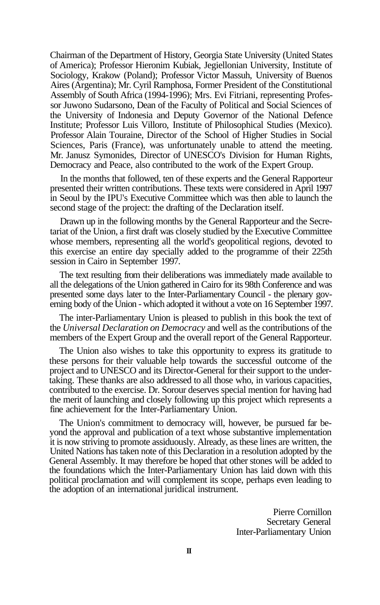Chairman of the Department of History, Georgia State University (United States of America); Professor Hieronim Kubiak, Jegiellonian University, Institute of Sociology, Krakow (Poland); Professor Victor Massuh, University of Buenos Aires (Argentina); Mr. Cyril Ramphosa, Former President of the Constitutional Assembly of South Africa (1994-1996); Mrs. Evi Fitriani, representing Professor Juwono Sudarsono, Dean of the Faculty of Political and Social Sciences of the University of Indonesia and Deputy Governor of the National Defence Institute; Professor Luis Villoro, Institute of Philosophical Studies (Mexico). Professor Alain Touraine, Director of the School of Higher Studies in Social Sciences, Paris (France), was unfortunately unable to attend the meeting. Mr. Janusz Symonides, Director of UNESCO's Division for Human Rights, Democracy and Peace, also contributed to the work of the Expert Group.

In the months that followed, ten of these experts and the General Rapporteur presented their written contributions. These texts were considered in April 1997 in Seoul by the IPU's Executive Committee which was then able to launch the second stage of the project: the drafting of the Declaration itself.

Drawn up in the following months by the General Rapporteur and the Secretariat of the Union, a first draft was closely studied by the Executive Committee whose members, representing all the world's geopolitical regions, devoted to this exercise an entire day specially added to the programme of their 225th session in Cairo in September 1997.

The text resulting from their deliberations was immediately made available to all the delegations of the Union gathered in Cairo for its 98th Conference and was presented some days later to the Inter-Parliamentary Council - the plenary governing body of the Union - which adopted it without a vote on 16 September 1997.

The inter-Parliamentary Union is pleased to publish in this book the text of the *Universal Declaration on Democracy* and well as the contributions of the members of the Expert Group and the overall report of the General Rapporteur.

The Union also wishes to take this opportunity to express its gratitude to these persons for their valuable help towards the successful outcome of the project and to UNESCO and its Director-General for their support to the undertaking. These thanks are also addressed to all those who, in various capacities, contributed to the exercise. Dr. Sorour deserves special mention for having had the merit of launching and closely following up this project which represents a fine achievement for the Inter-Parliamentary Union.

The Union's commitment to democracy will, however, be pursued far beyond the approval and publication of a text whose substantive implementation it is now striving to promote assiduously. Already, as these lines are written, the United Nations has taken note of this Declaration in a resolution adopted by the General Assembly. It may therefore be hoped that other stones will be added to the foundations which the Inter-Parliamentary Union has laid down with this political proclamation and will complement its scope, perhaps even leading to the adoption of an international juridical instrument.

> Pierre Cornillon Secretary General Inter-Parliamentary Union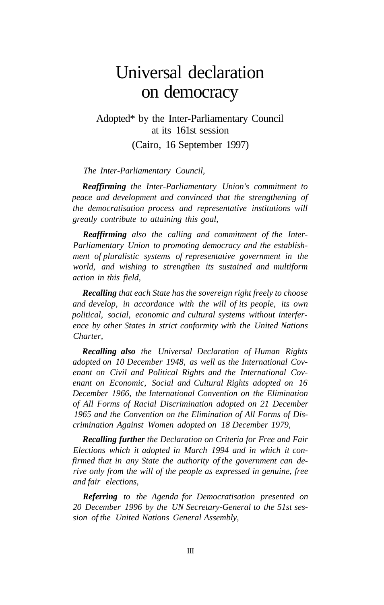## Universal declaration on democracy

Adopted\* by the Inter-Parliamentary Council at its 161st session (Cairo, 16 September 1997)

*The Inter-Parliamentary Council,* 

*Reaffirming the Inter-Parliamentary Union's commitment to peace and development and convinced that the strengthening of the democratisation process and representative institutions will greatly contribute to attaining this goal,* 

*Reaffirming also the calling and commitment of the Inter-Parliamentary Union to promoting democracy and the establishment of pluralistic systems of representative government in the world, and wishing to strengthen its sustained and multiform action in this field,* 

*Recalling that each State has the sovereign right freely to choose and develop, in accordance with the will of its people, its own political, social, economic and cultural systems without interference by other States in strict conformity with the United Nations Charter,* 

*Recalling also the Universal Declaration of Human Rights adopted on 10 December 1948, as well as the International Covenant on Civil and Political Rights and the International Covenant on Economic, Social and Cultural Rights adopted on 16 December 1966, the International Convention on the Elimination of All Forms of Racial Discrimination adopted on 21 December 1965 and the Convention on the Elimination of All Forms of Discrimination Against Women adopted on 18 December 1979,* 

*Recalling further the Declaration on Criteria for Free and Fair Elections which it adopted in March 1994 and in which it confirmed that in any State the authority of the government can derive only from the will of the people as expressed in genuine, free and fair elections,* 

*Referring to the Agenda for Democratisation presented on 20 December 1996 by the UN Secretary-General to the 51st session of the United Nations General Assembly,*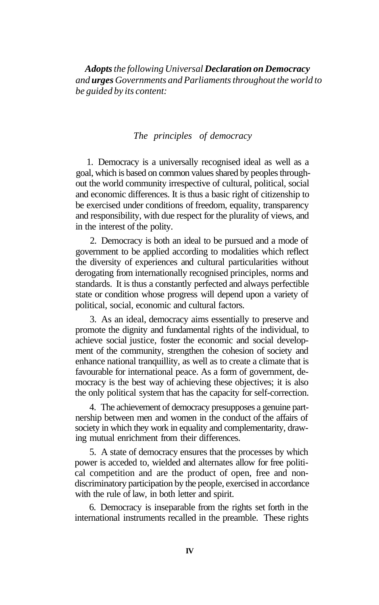*Adopts the following Universal Declaration on Democracy and urges Governments and Parliaments throughout the world to be guided by its content:* 

#### *The principles of democracy*

1. Democracy is a universally recognised ideal as well as a goal, which is based on common values shared by peoples throughout the world community irrespective of cultural, political, social and economic differences. It is thus a basic right of citizenship to be exercised under conditions of freedom, equality, transparency and responsibility, with due respect for the plurality of views, and in the interest of the polity.

2. Democracy is both an ideal to be pursued and a mode of government to be applied according to modalities which reflect the diversity of experiences and cultural particularities without derogating from internationally recognised principles, norms and standards. It is thus a constantly perfected and always perfectible state or condition whose progress will depend upon a variety of political, social, economic and cultural factors.

3. As an ideal, democracy aims essentially to preserve and promote the dignity and fundamental rights of the individual, to achieve social justice, foster the economic and social development of the community, strengthen the cohesion of society and enhance national tranquillity, as well as to create a climate that is favourable for international peace. As a form of government, democracy is the best way of achieving these objectives; it is also the only political system that has the capacity for self-correction.

4. The achievement of democracy presupposes a genuine partnership between men and women in the conduct of the affairs of society in which they work in equality and complementarity, drawing mutual enrichment from their differences.

5. A state of democracy ensures that the processes by which power is acceded to, wielded and alternates allow for free political competition and are the product of open, free and nondiscriminatory participation by the people, exercised in accordance with the rule of law, in both letter and spirit.

6. Democracy is inseparable from the rights set forth in the international instruments recalled in the preamble. These rights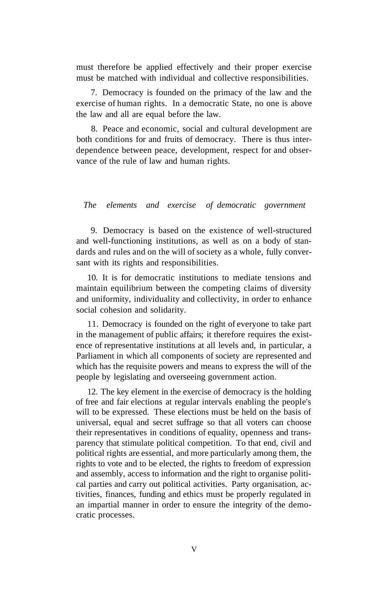must therefore be applied effectively and their proper exercise must be matched with individual and collective responsibilities.

7. Democracy is founded on the primacy of the law and the exercise of human rights. In a democratic State, no one is above the law and all are equal before the law.

8. Peace and economic, social and cultural development are both conditions for and fruits of democracy. There is thus interdependence between peace, development, respect for and observance of the rule of law and human rights.

#### *The elements and exercise of democratic government*

9. Democracy is based on the existence of well-structured and well-functioning institutions, as well as on a body of standards and rules and on the will of society as a whole, fully conversant with its rights and responsibilities.

10. It is for democratic institutions to mediate tensions and maintain equilibrium between the competing claims of diversity and uniformity, individuality and collectivity, in order to enhance social cohesion and solidarity.

11. Democracy is founded on the right of everyone to take part in the management of public affairs; it therefore requires the existence of representative institutions at all levels and, in particular, a Parliament in which all components of society are represented and which has the requisite powers and means to express the will of the people by legislating and overseeing government action.

12. The key element in the exercise of democracy is the holding of free and fair elections at regular intervals enabling the people's will to be expressed. These elections must be held on the basis of universal, equal and secret suffrage so that all voters can choose their representatives in conditions of equality, openness and transparency that stimulate political competition. To that end, civil and political rights are essential, and more particularly among them, the rights to vote and to be elected, the rights to freedom of expression and assembly, access to information and the right to organise political parties and carry out political activities. Party organisation, activities, finances, funding and ethics must be properly regulated in an impartial manner in order to ensure the integrity of the democratic processes.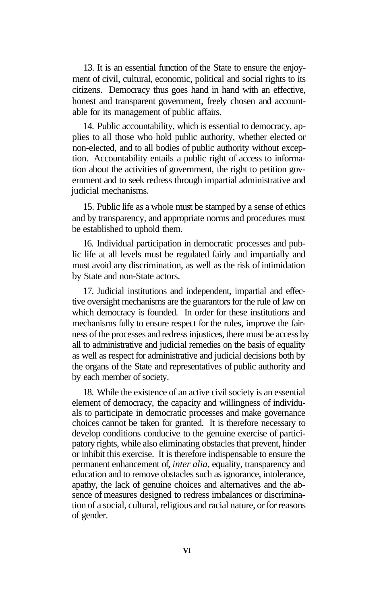13. It is an essential function of the State to ensure the enjoyment of civil, cultural, economic, political and social rights to its citizens. Democracy thus goes hand in hand with an effective, honest and transparent government, freely chosen and accountable for its management of public affairs.

14. Public accountability, which is essential to democracy, applies to all those who hold public authority, whether elected or non-elected, and to all bodies of public authority without exception. Accountability entails a public right of access to information about the activities of government, the right to petition government and to seek redress through impartial administrative and judicial mechanisms.

15. Public life as a whole must be stamped by a sense of ethics and by transparency, and appropriate norms and procedures must be established to uphold them.

16. Individual participation in democratic processes and public life at all levels must be regulated fairly and impartially and must avoid any discrimination, as well as the risk of intimidation by State and non-State actors.

17. Judicial institutions and independent, impartial and effective oversight mechanisms are the guarantors for the rule of law on which democracy is founded. In order for these institutions and mechanisms fully to ensure respect for the rules, improve the fairness of the processes and redress injustices, there must be access by all to administrative and judicial remedies on the basis of equality as well as respect for administrative and judicial decisions both by the organs of the State and representatives of public authority and by each member of society.

18. While the existence of an active civil society is an essential element of democracy, the capacity and willingness of individuals to participate in democratic processes and make governance choices cannot be taken for granted. It is therefore necessary to develop conditions conducive to the genuine exercise of participatory rights, while also eliminating obstacles that prevent, hinder or inhibit this exercise. It is therefore indispensable to ensure the permanent enhancement of, *inter alia,* equality, transparency and education and to remove obstacles such as ignorance, intolerance, apathy, the lack of genuine choices and alternatives and the absence of measures designed to redress imbalances or discrimination of a social, cultural, religious and racial nature, or for reasons of gender.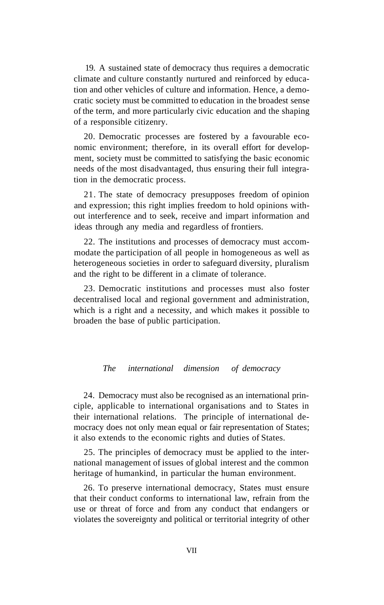19. A sustained state of democracy thus requires a democratic climate and culture constantly nurtured and reinforced by education and other vehicles of culture and information. Hence, a democratic society must be committed to education in the broadest sense of the term, and more particularly civic education and the shaping of a responsible citizenry.

20. Democratic processes are fostered by a favourable economic environment; therefore, in its overall effort for development, society must be committed to satisfying the basic economic needs of the most disadvantaged, thus ensuring their full integration in the democratic process.

21. The state of democracy presupposes freedom of opinion and expression; this right implies freedom to hold opinions without interference and to seek, receive and impart information and ideas through any media and regardless of frontiers.

22. The institutions and processes of democracy must accommodate the participation of all people in homogeneous as well as heterogeneous societies in order to safeguard diversity, pluralism and the right to be different in a climate of tolerance.

23. Democratic institutions and processes must also foster decentralised local and regional government and administration, which is a right and a necessity, and which makes it possible to broaden the base of public participation.

*The international dimension of democracy* 

24. Democracy must also be recognised as an international principle, applicable to international organisations and to States in their international relations. The principle of international democracy does not only mean equal or fair representation of States; it also extends to the economic rights and duties of States.

25. The principles of democracy must be applied to the international management of issues of global interest and the common heritage of humankind, in particular the human environment.

26. To preserve international democracy, States must ensure that their conduct conforms to international law, refrain from the use or threat of force and from any conduct that endangers or violates the sovereignty and political or territorial integrity of other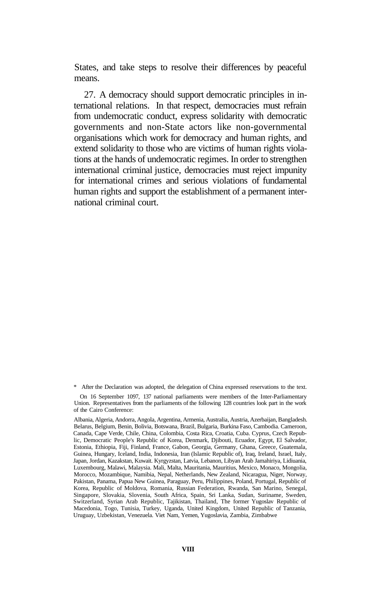States, and take steps to resolve their differences by peaceful means.

27. A democracy should support democratic principles in international relations. In that respect, democracies must refrain from undemocratic conduct, express solidarity with democratic governments and non-State actors like non-governmental organisations which work for democracy and human rights, and extend solidarity to those who are victims of human rights violations at the hands of undemocratic regimes. In order to strengthen international criminal justice, democracies must reject impunity for international crimes and serious violations of fundamental human rights and support the establishment of a permanent international criminal court.

\* After the Declaration was adopted, the delegation of China expressed reservations to the text.

On 16 September 1097, 137 national parliaments were members of the Inter-Parliamentary Union. Representatives from the parliaments of the following 128 countries look part in the work of the Cairo Conference:

Albania, Algeria, Andorra, Angola, Argentina, Armenia, Australia, Austria, Azerbaijan, Bangladesh. Belarus, Belgium, Benin, Bolivia, Botswana, Brazil, Bulgaria, Burkina Faso, Cambodia. Cameroon, Canada, Cape Verde, Chile, China, Colombia, Costa Rica, Croatia, Cuba. Cyprus, Czech Republic, Democratic People's Republic of Korea, Denmark, Djibouti, Ecuador, Egypt, El Salvador, Estonia, Ethiopia, Fiji, Finland, France, Gabon, Georgia, Germany, Ghana, Greece, Guatemala, Guinea, Hungary, Iceland, India, Indonesia, Iran (Islamic Republic of), Iraq, Ireland, Israel, Italy, Japan, Jordan, Kazakstan, Kuwait. Kyrgyzstan, Latvia, Lebanon, Libyan Arab Jamahiriya, Lidiuania, Luxembourg, Malawi, Malaysia. Mali, Malta, Mauritania, Mauritius, Mexico, Monaco, Mongolia, Morocco, Mozambique, Namibia, Nepal, Netherlands, New Zealand, Nicaragua, Niger, Norway, Pakistan, Panama, Papua New Guinea, Paraguay, Peru, Philippines, Poland, Portugal, Republic of Korea, Republic of Moldova, Romania, Russian Federation, Rwanda, San Marino, Senegal, Singapore, Slovakia, Slovenia, South Africa, Spain, Sri Lanka, Sudan, Suriname, Sweden, Switzerland, Syrian Arab Republic, Tajikistan, Thailand, The former Yugoslav Republic of Macedonia, Togo, Tunisia, Turkey, Uganda, United Kingdom, United Republic of Tanzania, Uruguay, Uzbekistan, Venezuela. Viet Nam, Yemen, Yugoslavia, Zambia, Zimbabwe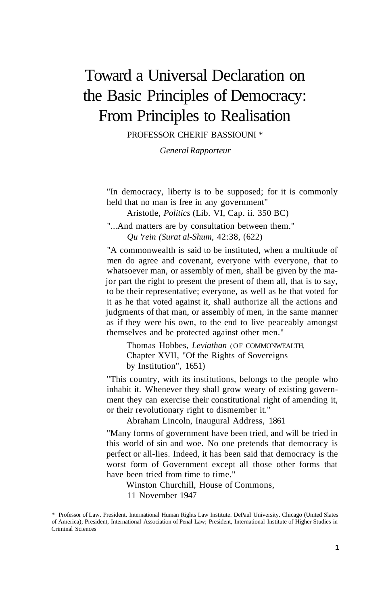# Toward a Universal Declaration on the Basic Principles of Democracy: From Principles to Realisation

PROFESSOR CHERIF BASSIOUNI \*

*General Rapporteur* 

"In democracy, liberty is to be supposed; for it is commonly held that no man is free in any government"

Aristotle, *Politics* (Lib. VI, Cap. ii. 350 BC)

"...And matters are by consultation between them." *Qu 'rein (Surat al-Shum,* 42:38, (622)

"A commonwealth is said to be instituted, when a multitude of men do agree and covenant, everyone with everyone, that to whatsoever man, or assembly of men, shall be given by the major part the right to present the present of them all, that is to say, to be their representative; everyone, as well as he that voted for it as he that voted against it, shall authorize all the actions and judgments of that man, or assembly of men, in the same manner as if they were his own, to the end to live peaceably amongst themselves and be protected against other men."

Thomas Hobbes, *Leviathan* (OF COMMONWEALTH, Chapter XVII, "Of the Rights of Sovereigns by Institution", 1651)

"This country, with its institutions, belongs to the people who inhabit it. Whenever they shall grow weary of existing government they can exercise their constitutional right of amending it, or their revolutionary right to dismember it."

Abraham Lincoln, Inaugural Address, 1861

"Many forms of government have been tried, and will be tried in this world of sin and woe. No one pretends that democracy is perfect or all-lies. Indeed, it has been said that democracy is the worst form of Government except all those other forms that have been tried from time to time."

Winston Churchill, House of Commons, 11 November 1947

<sup>\*</sup> Professor of Law. President. International Human Rights Law Institute. DePaul University. Chicago (United Slates of America); President, International Association of Penal Law; President, International Institute of Higher Studies in Criminal Sciences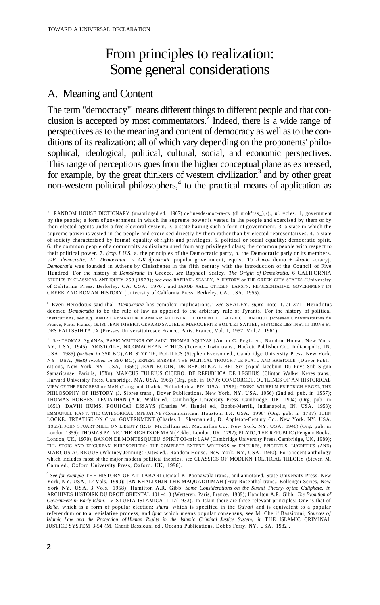### From principles to realization: Some general considerations

### A. Meaning and Content

The term ''democracy"' means different things to different people and that conclusion is accepted by most commentators.<sup>2</sup> Indeed, there is a wide range of perspectives as to the meaning and content of democracy as well as to the conditions of its realization; all of which vary depending on the proponents' philosophical, ideological, political, cultural, social, and economic perspectives. This range of perceptions goes from the higher conceptual plane as expressed, for example, by the great thinkers of western civilization<sup>3</sup> and by other great non-western political philosophers,<sup>4</sup> to the practical means of application as

: Even Herodotus said ihal *"Demokratia* has complex implications." *See* SEALEY. *supra* note 1. at 371. Herodotus deemed *Demokratia* to be the rule of law as opposed to the arbitrary rule of Tyrants. For the history of political institutions, *see e.g.* ANDRE AYMARD & JEANNINF: AUHOYLR. I L'ORIENT ET I A GREC I ANTIQUE (Presses Untversitaires de France, Paris. France, 19.13). JEAN IMBERT. GERARD SAUIEL & MARGUERITE BOL'LEI-SAITEL, HISTOIRE LIES INSTIII TIONS ET DES FAITSSIHTAUX (Presses Universitairesde France. Paris. France, Vol. I, 1957, Vol.2. 1961).

<sup>1</sup> See THOMAS AguiNAs, BASIC WRITINGS OF SAIN'I THOMAS AQUINAS (Anton C. Pegis ed., Random House, New York. NY, USA, 1945); ARISTOTLE, NICOMACHEAN ETHICS (Terence Irwin trans., Hackett Publisher Co.. Indianapolis, IN, USA, 1985) *(written in* 350 BC),ARISTOTI£, POLITICS (Stephen Everson ed., Cambridge University Press. New York. NY. USA, *]9&&) (written in* 350 BC); ERNEST BARKER. THE POLITICAL THOUGHT OE PLATO AND ARISTOTLE. (Dover Publications, New York. NY, USA, 1959); JEAN BODIN, DE REPUBLICA LIBRI Six (Apud lacobum Du Puys Sub Signo Samaritanae. Parisiis, 15Xn); MAKCUS TULEIUS CICERO. DE REPUBLICA DE LEGIHUS (Clinton Walker Keyes trans., Harvard University Press, Cambridge, MA, USA. 1966) (Org. pub. in 1670); CONDORCET, OUTLINES OF AN HISTORICAL VIEW OF THE PROGRESS or MAN (Lang and Ustick, Philadelphia, PN, USA. 1796); GEOKC. WILHELM FRIEDRICH HEGEL,THE PHILOSOPHY OF HISTORY (J. Sibree trans., Dover Publications. New York, NY. USA. 1956) (2nd ed. pub. in 1S57); THOMAS HOBBES, LEVIATHAN (A.R. Waller ed., Cambridge University Press. Cambridge. UK, 1904) (Org. pub. in 1651); DAVIII HUMS. POUIICAI ESSAYS (Charles W. Handel ed., Bobbs-Merrill, Indianapolis, IN. USA. 1953); EMMANUEL KANT, THE CATEGORICAL IMPERATIVE (Commuiiican, Houston, TX, USA, 1990) (Org. pub. in 1797); JOHN LOCKE. TREATISE ON Crvu. GOVERNMENT (Charles L, Sherman ed., D. Appleton-Century Co.. New York. NY. USA. 1965); JOHN STUART MILL. O N LIBERTY (R.B. McCallum ed.. Macmillan Co., New York, NY, USA, 1946) (Org. pub. in London 1859); THOMAS PAINE. THE RIGHTS OF MAN (Eckler, London. UK, 1792); PLATO, THE REPUBLIC (Penguin Books, London, UK, 1970); BAKON DE MONTESQUIEU, SPIRIT OI-mi: LAW (Cambridge University Press. Cambridge, UK, 1989); THL STOIC AND EPICUREAN PHIIOSOPHERS: THE COMPLETE EXTENT WRITINGS or EPICURES, EPICTETUS, LUCRETIUS (AND) MARCUS AUREUUS (Whitney Jennings Oates ed.. Random House. New York, NY, USA. 1940). For a recent anthology which includes most of the major modern political theories, see CLASSICS OF MODEKN POLITICAL THEORY (Steven M. Cahn ed., Oxford University Press, Oxford. UK, 1996).

4  *See for example* THE HISTORY OF AT-TABARI (Ismail K. Poonawala irans., and annotated, State University Press. New York, NY. USA, 12 Vols. 1990): |BN KHALIXHJN THE MAQUADDIMAH (Fray Rosenthal trans., Bollenger Series, New York NY, USA, 3 Vols. 1958); Hamilton A.R. Gibb, *Some Considerations on the Sunnii Theory- of the Caliphate, in*  ARCHIVES HISTOIRK DU DROIT ORIENTAL 401 -410 (Wetteren. Paris, France. 1939); Hamilton A.R. Gibb, *The Evolution of Government in Early Islam.* IV STUPIA ISLAMICA 1-17(1933). In Islam there are three relevant principles: One is that of *Ba'ia,* which is a form of popular election; *shura.* which is specified in the *Qu'rat\* and is equivalent to a popular referendum or to a legislative process; and *ijma* which means popular consensus, see M. Cherif Bassiouni, *Sources of Islamic Law and the Protection of Human Rights in the Islamic Criminal Justice Svstem, in* THE ISLAMIC CRIMINAL JUSTICE SYSTEM 3-54 (M. Cherif Bassiouni ed.. Oceana Publications, Dobbs Ferry. NY, USA. 1982].

<sup>&#</sup>x27; RANDOM HOUSE DICTIONARY (unabridged ed. 1967) definesde-moc-ra-cy (di mok'ras\_),/(., *ni.* =cies. 1, government by the people; a form of government in which ihe supreme power is vested in ihe people and exercised by them or by their elected agents under a free electoral system. *2.* a state having such a form of government. 3. a state in which the supreme power is vested in the people arid exercised directly by them rather than by elected representatives. 4. a state of society characterized by forma! equality of rights and privileges. 5. political or social equality; democratic spirit. 6. the common people of a community as distinguished from any privileged class; the common people with respect to their political power. 7. *(cop. I U.S.* a. the principles of the Democratic party, b. the Democratic parly or its members. *\<F. democratic, LL Democratut. < GK djnokratic* popular government, equiv. To *d\_mo-* demo + *-kratic* -cracyj. *Demokratia* was founded in Athens by Cleisthenes in the fifth century with the introduction of the Council of Five Hundred. For the history of *Demokratia* in Greece, *see* Raphael Sealey, *The Origin of Demokratia,* 6 CALIFORNIA STUDIES IN CLASSICAL ANT IQUITY 253 (1973); *see also* RAPHAEL SEALEY, A HISTORY or THE GREEK CITY STATES (University of California Press. Berkeley, CA. USA. 1976); and JAKOB AALL. OTTESEN LARSFN, REPRESENTATIVE: GOVERNMENT IN GREEK AND ROMAN HISTORY (University of California Press. Berkeley. CA, USA. 1955).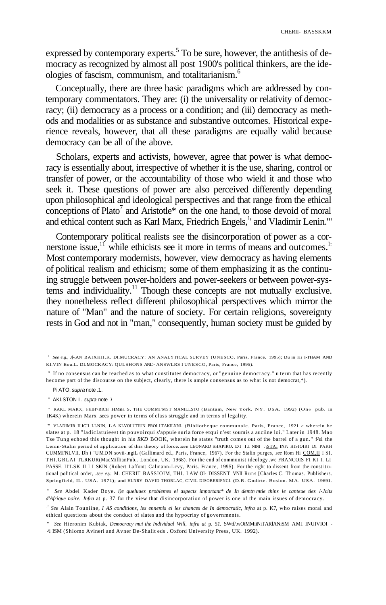expressed by contemporary experts.<sup>5</sup> To be sure, however, the antithesis of democracy as recognized by almost all post 1900's political thinkers, are the ideologies of fascism, communism, and totalitarianism.<sup>6</sup>

Conceptually, there are three basic paradigms which are addressed by contemporary commentators. They are: (i) the universality or relativity of democracy; (ii) democracy as a process or a condition; and (iii) democracy as methods and modalities or as substance and substantive outcomes. Historical experience reveals, however, that all these paradigms are equally valid because democracy can be all of the above.

Scholars, experts and activists, however, agree that power is what democracy is essentially about, irrespective of whether it is the use, sharing, control or transfer of power, or the accountability of those who wield it and those who seek it. These questions of power are also perceived differently depending upon philosophical and ideological perspectives and that range from the ethical conceptions of Plato<sup>7</sup> and Aristotle\* on the one hand, to those devoid of moral and ethical content such as Karl Marx, Friedrich Engels,<sup>1</sup> and Vladimir Lenin."'

Contemporary political realists see the disincorporation of power as a cornerstone issue,<sup>11</sup> while ethicists see it more in terms of means and outcomes.<sup>I:</sup> Most contemporary modernists, however, view democracy as having elements of political realism and ethicism; some of them emphasizing it as the continuing struggle between power-holders and power-seekers or between power-systems and individuality.<sup>11</sup> Though these concepts are not mutually exclusive. they nonetheless reflect different philosophical perspectives which mirror the nature of "Man" and the nature of society. For certain religions, sovereignty rests in God and not in "man," consequently, human society must be guided by

" If no consensus can be reached as to what constitutes democracy, or "genuine democracy." u term that has recently hecome part of the discourse on the subject, clearly, there is ample consensus as to what is not democrat,\*).

" AKI.STON I . supra note .\

" KAKL MARX, FHIH>RICH HMiH S. THE COMMI'MST MANILLSTO (Bantam, New York. NY. USA. 1992) (On« pub. in IK4K) wherein Marx .sees power in terms of class struggle and in terms of legality.

s  *See e.g.,* J[-,AN BAIXHII.K. DI.MUCRACY: AN ANALYTICAL SURVEY (UNESCO. Paris, France. 1995); Du in Hi I-THAM AND KI.VIN Bou.L. DLMOCKACY: QULSHONS ANL> ANSWLRS I UNESCO, Paris, France, 1995).

Pi ATO. supra note .1.

<sup>&#</sup>x27;" VLADIMIR II.ICII LLNIN, LA KLVOLUTIUN PROI LTAKILNNI- (Bibliotheque communale. Paris, France, 1921 > wherein he slates at p. 18 "ladiclatuieest tin pouvoirqui s'appuie surla force etqui n'est soumis a auciine loi." Later in 1948. Mao Tse Tung echoed this thought in his RKD BOOK, wherein he states "truth comes out of the barrel of a gun." f-'ui the Lenin-Stalin period ol application of this theory of force.:*see* LEONARD SHAPIRO. DI I.I NINI .[\STAI](file:///Stai) INF: HISIOIRI DI- PAKH CUMMI'NLVII. Dh i 'UMDN sovii-.ngiL (Gallimard ed., Paris, France, 1967). For the Stalin purges, *see* Rom Hi [COM.II I](http://Com.ii) SI. THI.GRLAI TLRKUR(MacMillianPub.. London, UK. 1968). For the end of communist ideology .we FRANCOIS FI KI I. LI PASSE. II'LSK II I I SKIN (Robert Laffont: Calmann-Lcvy, Paris. France, 1995). For the right to dissent from the const it utional political order, *.see e.y.* M. CHERIT BASSIOIM, THI. LAW OI- DISSENT VNII Runs [Charles C. Thomas. Publishers. Springfield, IL. USA. 1971); and HLNRY DAVID THORLAC, CIVIL DISOBERIFNCI. (D.R. Gndirte. Bosion. MA. USA. 19691.

<sup>&</sup>quot; *See* Abdel Kader Boye. *l)e queluues problemes el aspects important\* de In demtn mtie thins le canteue ties l-Jcits d'Afrique noire. Infra* at p. 37 for the view that disincorporation of power is one of the main issues of democracy.

<sup>,:</sup>  *See* Alain Touniine, *I AS conditions, les ennemis el les chances de In democratic, infra* at p. K7, who raises moral and ethical questions about the conduct of slates and the hypocrisy of governments.

<sup>&</sup>quot; *See* Hieronim Kubiak, *Democracy mui the Individual Will, infra at* p. *51.* SWtf/.wOiMMiiNiTARlANiSM AMI INUIVIOI - -\i ISM (Shlomo Avineri and Avner De-Shalit eds . Oxford University Press, UK. 1992).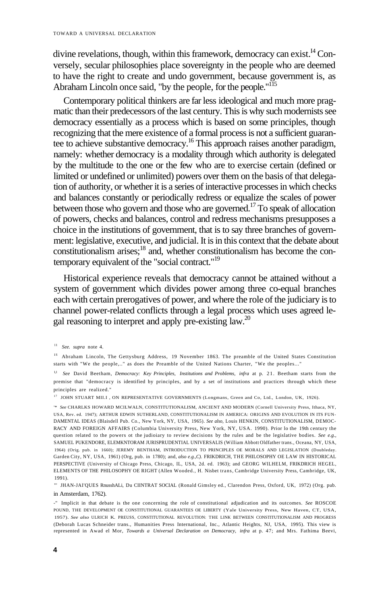divine revelations, though, within this framework, democracy can exist.<sup>14</sup> Conversely, secular philosophies place sovereignty in the people who are deemed to have the right to create and undo government, because government is, as Abraham Lincoln once said, "by the people, for the people."<sup>115</sup>

Contemporary political thinkers are far less ideological and much more pragmatic than their predecessors of the last century. This is why such modernists see democracy essentially as a process which is based on some principles, though recognizing that the mere existence of a formal process is not a sufficient guarantee to achieve substantive democracy.<sup>16</sup> This approach raises another paradigm, namely: whether democracy is a modality through which authority is delegated by the multitude to the one or the few who are to exercise certain (defined or limited or undefined or unlimited) powers over them on the basis of that delegation of authority, or whether it is a series of interactive processes in which checks and balances constantly or periodically redress or equalize the scales of power between those who govern and those who are governed.<sup>17</sup> To speak of allocation of powers, checks and balances, control and redress mechanisms presupposes a choice in the institutions of government, that is to say three branches of government: legislative, executive, and judicial. It is in this context that the debate about constitutionalism arises;<sup>18</sup> and, whether constitutionalism has become the contemporary equivalent of the "social contract."<sup>19</sup>

Historical experience reveals that democracy cannot be attained without a system of government which divides power among three co-equal branches each with certain prerogatives of power, and where the role of the judiciary is to channel power-related conflicts through a legal process which uses agreed legal reasoning to interpret and apply pre-existing law.<sup>20</sup>

'\* *See* CHARLKS HOWARD MCILWALN, CONSTITUTIONALISM, ANCIENT AND MODERN (Cornell University Press, Ithaca, NY, USA, Rev. ed. 1947); ARTHUR EDWIN SUTHERLAND, CONSTITUTIONALISM IN AMERICA: ORIGINS AND EVOLUTION IN ITS FUN-DAMENTAL IDEAS (Blaisdell Pub. Co., New York, NY, USA, 1965). *See also,* Louis HENKIN, CONSTITUTIONALISM, DEMOC-RACY AND FOREIGN AFFAIRS (Columbia University Press, New York, NY, USA. 1990). Prior lo the 19th century the question related to the powers ot the judioiary to review decisions by the rules and be the legislative bodies. *See e.g.,*  SAMUEL PUKENDORE, ELEMKNTORAM JURISPRUDENTIAL UNIVERSALIS (William Abbott Oldfather trans., Oceana, NY, USA, 1964) (Orig. pub. in 1660); JEREMY BENTHAM, INTRODUCTION TO PRINCIPLES OE MORALS AND LEGISLATION (Doubleday. Garden City, NY, USA, 1961) (Org, pub. in 1780); and, *also e.g.,C).* FRIKDRICH, THE PHILOSOPHY OE LAW IN HISTORICAL PERSPECTIVE (University of Chicago Press, Chicago, IL, USA, 2d. ed. 1963); and GEORG WILHELM, FRIKDRICH HEGEL, ELEMENTS OF THE PHILOSOPHY OE RIGHT (Allen Wooded., H. Nisbet trans, Cambridge University Press, Cambridge, UK, 1991).

"' JHAN-JAI'QUES RnusshALi, Du CIINTRAT SOCIAL (Ronald Gimsley ed., Clarendon Press, Oxford, UK, 1972) (Org. pub. in Amsterdam, 1762).

<sup>11</sup>  *See. supra* note 4.

<sup>&</sup>lt;sup>1S</sup> Abraham Lincoln, The Gettysburg Address, 19 November 1863. The preamble of the United States Constitution starts with "We the people,.." as does the Preamble of the United Nations Charter, "We the peoples..."

<sup>&</sup>lt;sup>1,1</sup> See David Beetham, *Democracy: Key Principles, Institutions and Problems, infra* at p. 21. Beetham starts from the premise that "democracy is identified by principles, and by a set of institutions and practices through which these principles are realized."

<sup>&</sup>lt;sup>17</sup> JOHN STUART MII.I, ON REPRESENTATIVE GOVERNMENTS (Longmans, Green and Co, Ltd., London, UK, 1926).

<sup>-&</sup>quot; Implicit in that debate is the one concerning the role of constitutional adjudication and its outcomes. *See* ROSCOE POUND, THE DEVELOPMENT OE CONSTITUTIONAL GUARANTEES OE LIBERTY (Yale University Press, New Haven, CT, USA, 1957). *See also* ULRICH K. PREUSS, CONSTITUTIONAL REVOLUTION: THE LINK BETWEEN CONSTITUTIONALISM AND PROGRESS (Deborah Lucas Schneider trans., Humanities Press International, Inc., Atlantic Heights, NJ, USA, 1995). This view is represented in Awad el Mor, *Towards a Universal Declaration on Democracy, infra* at p. 47; and Mrs. Fathima Beevi,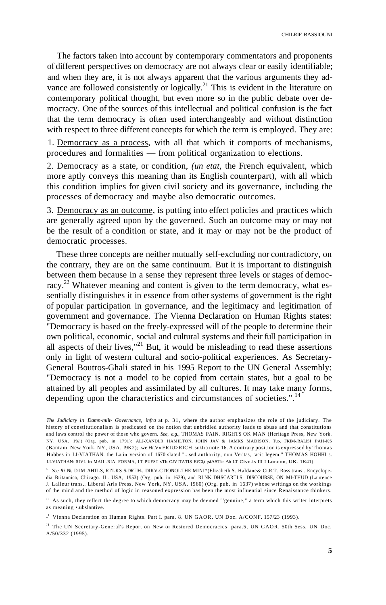The factors taken into account by contemporary commentators and proponents of different perspectives on democracy are not always clear or easily identifiable; and when they are, it is not always apparent that the various arguments they advance are followed consistently or logically. $^{21}$  This is evident in the literature on contemporary political thought, but even more so in the public debate over democracy. One of the sources of this intellectual and political confusion is the fact that the term democracy is often used interchangeably and without distinction with respect to three different concepts for which the term is employed. They are:

1. Democracy as a process, with all that which it comports of mechanisms, procedures and formalities — from political organization to elections.

2. Democracy as a state, or condition, *(un etat,* the French equivalent, which more aptly conveys this meaning than its English counterpart), with all which this condition implies for given civil society and its governance, including the processes of democracy and maybe also democratic outcomes.

3. Democracy as an outcome, is putting into effect policies and practices which are generally agreed upon by the governed. Such an outcome may or may not be the result of a condition or state, and it may or may not be the product of democratic processes.

These three concepts are neither mutually self-excluding nor contradictory, on the contrary, they are on the same continuum. But it is important to distinguish between them because in a sense they represent three levels or stages of democracy.<sup>22</sup> Whatever meaning and content is given to the term democracy, what essentially distinguishes it in essence from other systems of government is the right of popular participation in governance, and the legitimacy and legitimation of government and governance. The Vienna Declaration on Human Rights states: "Democracy is based on the freely-expressed will of the people to determine their own political, economic, social and cultural systems and their full participation in all aspects of their lives,"<sup>21</sup> But, it would be misleading to read these assertions only in light of western cultural and socio-political experiences. As Secretary-General Boutros-Ghali stated in his 1995 Report to the UN General Assembly: "Democracy is not a model to be copied from certain states, but a goal to be attained by all peoples and assimilated by all cultures. It may take many forms, depending upon the characteristics and circumstances of societies.".<sup>14</sup>

*The Judiciary in Damn-milt- Governance, infra* at p. 31, where the author emphasizes the role of the judiciary. The history of constitutionalism is predicated on the notion that unbridled authority leads to abuse and that constitutions and laws control the power of those who govern. *See, e.g.,* THOMAS PAIN. RIGHTS OK MAN (Heritage Press, New York. NY. USA. 1%!) (Org. pub. in 1791): ALJ-XANDLR HAMILTON, JOHN JAV & JAMKS MADISON. Tut-. FKIM-.RALISI PAH-KS (Bantam. New York, NY, USA. I9K2); .we H/.V« FRIU>RICH, su/Jra note 16. A contrary position is expressed by Thomas Hobbes in LI-VIATHAN. the Latin version of 1670 slated "...sed authority, non Veritas, tacit legem." THOMAS HOHHI s. LLVIATHAN: SIVI. in MAII-.RIA. FORMA, IT PUFST vTh CJVITATIS Ei'Cl,t-;siASTic Ah LT Civn.is III I London, UK. 1K41).

<sup>&</sup>lt;sup>1</sup> See Ri Ni. DIM AHTI-S, RI'LKS S-DRTIH-. DIKV-CTIONOI-THE MINI\*(Elizabeth S. Haldane& Ci.R.T. Ross trans.. Encyclopedia Britannica, Chicago. IL. USA, 1953) (Org. pub. in 1629), and RLNK DHSCARTLS, DISCOURSE, ON MI-THUD (Laurence J. Lalleur trans.. Liberal Arls Press, New York, NY, USA, I960) (Org. pub. in 1637) whose writings on the workings of the mind and the method of logic in reasoned expression has been the most influential since Renaissance thinkers.

<sup>::</sup> As such, they reflect the degree to which democracy may be deemed "'genuine," a term which this writer interprets as meaning •.ubslantive.

<sup>-</sup> l Vienna Declaration on Human Rights. Part I. para. 8. UN GAOR. UN Doc. A/CONF. 157/23 (1993).

<sup>&</sup>lt;sup>JJ</sup> The UN Secretary-General's Report on New or Restored Democracies, para.5, UN GAOR. 50th Sess. UN Doc. A/50/332 (1995).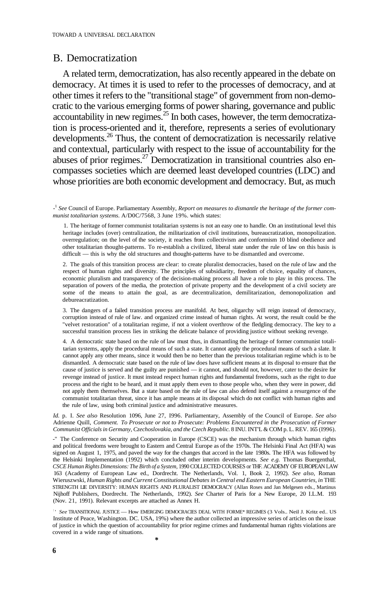#### B. Democratization

A related term, democratization, has also recently appeared in the debate on democracy. At times it is used to refer to the processes of democracy, and at other times it refers to the "transitional stage" of government from non-democratic to the various emerging forms of power sharing, governance and public  $accountability$  in new regimes. $^{25}$  In both cases, however, the term democratization is process-oriented and it, therefore, represents a series of evolutionary developments.<sup>26</sup> Thus, the content of democratization is necessarily relative and contextual, particularly with respect to the issue of accountability for the abuses of prior regimes.<sup>27</sup> Democratization in transitional countries also encompasses societies which are deemed least developed countries (LDC) and whose priorities are both economic development and democracy. But, as much

<sup>1</sup> See Council of Europe. Parliamentary Assembly, Report on measures to dismantle the heritage of the former com*munist totalitarian systems.* A/D0C/7568, 3 June 19%. which states:

1. The heritage of former communist totalitarian systems is not an easy one to handle. On an institutional level this heritage includes (over) centralization, the militarization of civil institutions, bureaucratization, monopolization. overregulation; on the level of the society, it reaches from collectivism and conformism 10 blind obedience and other totalitarian thought-patterns. To re-establish a civilized, liberal state under the rule of law on this basis is difficult — this is why the old structures and thought-patterns have to be dismantled and overcome.

2. The goals of this transition process are clear: to create pluralist democracies, based on the rule of law and the respect of human rights and diversity. The principles of subsidiarity, freedom of choice, equality of chances, economic pluralism and transparency of the decision-making process all have a role to play in this process. The separation of powers of the media, the protection of private property and the development of a civil society are some of the means to attain the goal, as are decentralization, demilitarization, demonopolization and debureacratization.

3. The dangers of a failed transition process are manifold. At best, oligarchy will reign instead of democracy, corruption instead of rule of law. and organized crime instead of human rights. At worst, the result could be the "velvet restoration" of a totalitarian regime, if not a violent overthrow of the fledgling democracy. The key to a successful transition process lies in striking the delicate balance of providing justice without seeking revenge.

4. A democratic state based on the rule of law must thus, in dismantling the heritage of former communist totalitarian systems, apply the procedural means of such a state. It cannot apply the procedural means of such a slate. It cannot apply any other means, since it would then be no better than the previous totalitarian regime which is to be dismantled. A democratic state based on the rule of law does have sufficient means at its disposal to ensure that the cause of justice is served and the guilty are punished — it cannot, and should not, however, cater to the desire for revenge instead of justice. It must instead respect human rights and fundamental freedoms, such as the right to due process and the right to be heard, and it must apply them even to those people who, when they were in power, did not apply them themselves. But a state based on the rule of law can also defend itself against a resurgence of the communist totalitarian threat, since it has ample means at its disposal which do not conflict with human rights and the rule of law, using both criminal justice and administrative measures.

*Id.* p. I. *See also* Resolution 1096, June 27, I996. Parliamentary, Assembly of the Council of Europe. *See also*  Adrienne Quill, *Comment. To Prosecute or not to Prosecute: Problems Encountered in the Prosecution of Former Communist Officials in Germany, Czechoslovakia, and the Czech Republic.* 8 INU. INT'L & COM p. L. REV. 165 (I996).

-" The Conference on Security and Cooperation in Europe (CSCE) was the mechanism through which human rights and political freedoms were brought to Eastern and Central Europe as of the 1970s. The Helsinki Final Act (HFA) was signed on August 1, 1975, and paved the way for the changes that accord in the late 1980s. The HFA was followed by the Helsinki Implementation (1992) which concluded other interim developments. *See e.g.* Thomas Buergenthal, *CSCE Human Rights Dimensions: The Birth of a System,* 1990 COLLECTED COURSES or THF. ACADEMY OF EUROPEAN LAW 163 (Academy of European Law ed., Dordrecht. The Netherlands, Vol. 1, Book 2, 1992). *See also,* Roman Wieruszwski, *Human Rights and Current Constitutional Debates in Central end Eastern European Countries, in* THE STRENGTH LIE DIVERSITY: HUMAN RIGHTS AND PLURALIST DEMOCRACY (Allan Roses and Jan Melgesen eds., Martinus Nijhoff Publishers, Dordrecht. The Netherlands, 1992). *See* Charter of Paris for a New Europe, 20 I.L.M. 193 (Nov. 21, 1991). Relevant excerpts are attached as Annex H.

: ' *See* TRANSITIONAL JUSTICE — How EMERGING DEMOCRACIES DEAL WITH FORME\* REGIMES (3 Vols.. Neil J. Kritz ed.. US Institute of Peace, Washington. DC. USA, 19%) where the author collected an impressive series of articles on the issue of justice in which the question of accountability for prior regime crimes and fundamental human rights violations are covered in a wide range of situations.

*\**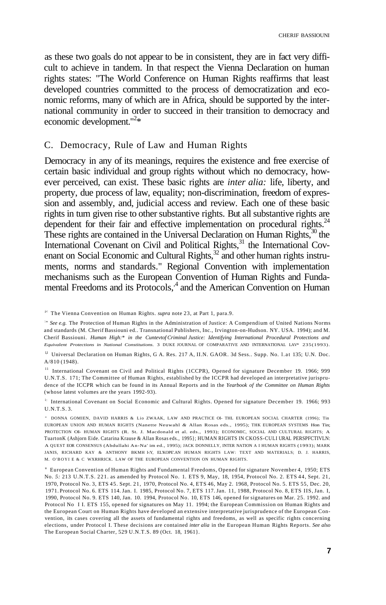as these two goals do not appear to be in consistent, they are in fact very difficult to achieve in tandem. In that respect the Vienna Declaration on human rights states: "The World Conference on Human Rights reaffirms that least developed countries committed to the process of democratization and economic reforms, many of which are in Africa, should be supported by the international community in order to succeed in their transition to democracy and economic development."<sup>2\*</sup>

#### C. Democracy, Rule of Law and Human Rights

Democracy in any of its meanings, requires the existence and free exercise of certain basic individual and group rights without which no democracy, however perceived, can exist. These basic rights are *inter alia:* life, liberty, and property, due process of law, equality; non-discrimination, freedom of expression and assembly, and, judicial access and review. Each one of these basic rights in turn given rise to other substantive rights. But all substantive rights are dependent for their fair and effective implementation on procedural rights. $^{24}$ These rights are contained in the Universal Declaration on Human Rights,<sup>30</sup> the International Covenant on Civil and Political Rights, $31$  the International Covenant on Social Economic and Cultural Rights,<sup>32</sup> and other human rights instruments, norms and standards." Regional Convention with implementation mechanisms such as the European Convention of Human Rights and Fundamental Freedoms and its Protocols,<sup>4</sup> and the American Convention on Human

<sup>&</sup>lt;sup>ik</sup> The Vienna Convention on Human Rights. *supra* note 23, at Part 1, para.9.

<sup>:</sup> " *See e.g.* The Protection of Human Rights in the Administration of Justice: A Compendium of United Nations Norms and standards (M. Cherif Bassiouni ed.. Transnational Publishers, Inc., Irvington-on-Hudson. NY. USA. 1994); and M. Cherif Bassiouni. *Human High:\* in the Cuntevtof Criminal Justice: Identifying International Procedural Protections and Equivalent Protections in National Constitutions.* 3 DUKE JOURNAL OF COMPARATIVE AND INTERNATIONAL LAV\* 235(1993).

<sup>&</sup>lt;sup>11</sup> Universal Declaration on Human Rights, G A. Res. 217 A, II.N. GAOR. 3d Sess.. Supp. No. 1.at 135; U.N. Doc. A/810 (1948).

<sup>&</sup>lt;sup>11</sup> International Covenant on Civil and Political Rights (1CCPR), Opened for signature December 19. 1966; 999 U.N.T.S. 171; The Committee of Human Rights, established by the ICCPR had developed an interpretative jurisprudence of the ICCPR which can be found in its Annual Reports and in the *Yearbook of the Committee on Human Rights*  (whose latest volumes are the years 1992-93).

i: International Covenant on Social Economic and Cultural Rights. Opened for signature December 19. 1966; 993 U.N.T.S. 3.

<sup>&</sup>quot; DONNA GOMIEN, DAVID HARRIS & Lio ZWAAK, LAW AND PRACTICE OI- THL EUROPEAN SOCIAL CHARTER (1996); Tin EUROPEAN UNION AND HUMAN RIGHTS (Nanette Neuwahl *&* Allan Rosas eds., 1995); THK EUROPEAN SYSTEMS Hon Tin; PROTECTION OI- HUMAN RIGHTS (R. St. J. Macdonald et al. eds., 1993); ECONOMIC, SOCIAL AND CULTURAL RIGHTS; A TuartonK (Ashjorn Eide. Catarina Krause & Allan Rosas eds., 1995}; HUMAN RIGHTS IN CKOSS-CULI URAL PERSPFCTIVLN: A QUEST EOR CONSENSUS (Abdullahi An-Na' im ed., 1995); JACK DONNELLY, INTER NATION A I HUMAN RIGHTS (1993); MARK JANIS, RICHARD KAY & ANTHONY BKMH I-Y, EL'KOPE'AN HUMAN RIGHTS LAW: TEXT AND MATERIALS: D. J. HARRIS, M. O'BOY I E & C WXRHRICK. LAW OF THE EUROPEAN CONVENTION ON HUMAN RIGHTS.

u European Convention of Human Rights and Fundamental Freedoms, Opened for signature November 4, 1950; ETS No. *5:* 213 U.N.T.S. 221. as amended by Protocol No. 1. ETS 9, May, 18, 1954, Protocol No. 2. ETS 44, Sept. 21, 1970, Protocol No. 3, ETS 45. Sept. 21, 1970, Protocol No. 4, ETS 46, May 2. 1968, Protocol No. 5. ETS 55, Dec. 20, 1971. Protocol No. 6. ETS 114. Jan. I. 1985, Protocol No. 7, ETS 117. Jan. 11, 1988, Protocol No. 8, ETS IIS, Jan. I, 1990, Protocol No. 9. ETS 140, Jan. 10. 1994, Protocol No. 10, ETS 146, opened for signatures on Mar. 25. 1992. and Protocol No I I. ETS 155, opened for signatures on May 11. 1994; the European Commission on Human Rights and the European Court on Human Rights have developed an extensive interpretative jurisprudence of the European Convention, its cases covering all the assets of fundamental rights and freedoms, as well as specific rights concerning elections, under Protocol I. These decisions are contained *inter alia* in the European Human Rights Reports. *See also*  The European Social Charter, 529 U.N.T.S. 89 (Oct. 18, 1961}.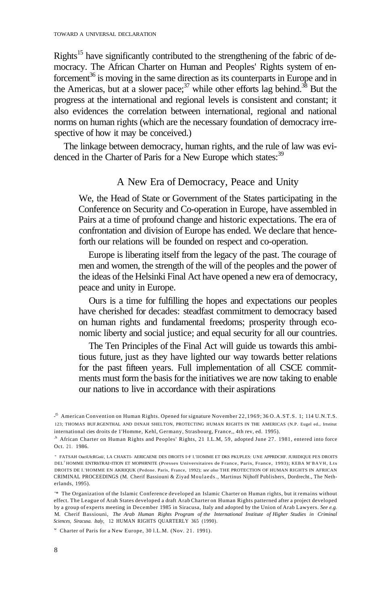Rights<sup>15</sup> have significantly contributed to the strengthening of the fabric of democracy. The African Charter on Human and Peoples' Rights system of enforcement<sup>36</sup> is moving in the same direction as its counterparts in Europe and in the Americas, but at a slower pace; $37$  while other efforts lag behind. $38$  But the progress at the international and regional levels is consistent and constant; it also evidences the correlation between international, regional and national norms on human rights (which are the necessary foundation of democracy irrespective of how it may be conceived.)

The linkage between democracy, human rights, and the rule of law was evidenced in the Charter of Paris for a New Europe which states:<sup>39</sup>

#### A New Era of Democracy, Peace and Unity

We, the Head of State or Government of the States participating in the Conference on Security and Co-operation in Europe, have assembled in Pairs at a time of profound change and historic expectations. The era of confrontation and division of Europe has ended. We declare that henceforth our relations will be founded on respect and co-operation.

Europe is liberating itself from the legacy of the past. The courage of men and women, the strength of the will of the peoples and the power of the ideas of the Helsinki Final Act have opened a new era of democracy, peace and unity in Europe.

Ours is a time for fulfilling the hopes and expectations our peoples have cherished for decades: steadfast commitment to democracy based on human rights and fundamental freedoms; prosperity through economic liberty and social justice; and equal security for all our countries.

The Ten Principles of the Final Act will guide us towards this ambitious future, just as they have lighted our way towards better relations for the past fifteen years. Full implementation of all CSCE commitments must form the basis for the initiatives we are now taking to enable our nations to live in accordance with their aspirations

<sup>-</sup> 15 American Convention on Human Rights. Opened for signature November 22,1969; 36 O.A.ST.S. 1; 114 U.N.T.S. 123; THOMAS BUF.RGENTHAL AND DINAH SHELTON, PROTECTING HUMAN RIGHTS IN THE AMERICAS (N.P. Eugel ed., Irtstitut international cies droits de 1'Homme, Kehl, Germany, Strasbourg, France,, 4th rev, ed. 1995).

<sup>&</sup>lt;sup>h</sup> African Charter on Human Rights and Peoples' Rights, 21 I.L.M, 59, adopted June 27. 1981, entered into force Oct. 21 . 1986.

<sup>&</sup>quot; FATSAH OuciUfcRGoii/, LA CHAKTI- AERICAENE DES DROITS I>F I.'IIOMME ET DKS PKUPLES: UNE APPRDCHF. JURIDIQUE PES DROITS DEL<sup>7</sup> HOMME ENTRhTRAI>ITION ET MOPHRNITE (Presses Universitaires de France, Paris, France, 1993); KEBA M'BAVH, Lts DROITS DE I.'HOMME EN AKRIQUK (Pedone. Paris, France, 1992); *see also* THE PROTECTION OF HUMAN RIGHTS IN AFRICAN CRIMINAL PROCEEDINGS (M. Cherif Bassiouni & Ziyad Moulaeds., Martinus Nijhoff Publishers, Dordrecht., The Netherlands, 1995).

<sup>&#</sup>x27;\* The Organization of the Islamic Conference developed an Islamic Charter on Human rights, but it remains without effect. The League of Arah States developed a draft Arab Charter on Human Rights patterned after a project developed by a group of experts meeting in December 1985 in Siracusa, Italy and adopted by the Union of Arab Lawyers. *See e.g.*  M. Cherif Bassiouni, *The Arab Human Rights Program of the International Institute of Higher Studies in Criminal Sciences, Siracusa. Italy,* 12 HUMAN RIGHTS QUARTERLY 365 (1990).

w Charter of Paris for a New Europe, 30 l.L.M. (Nov. 21. 1991).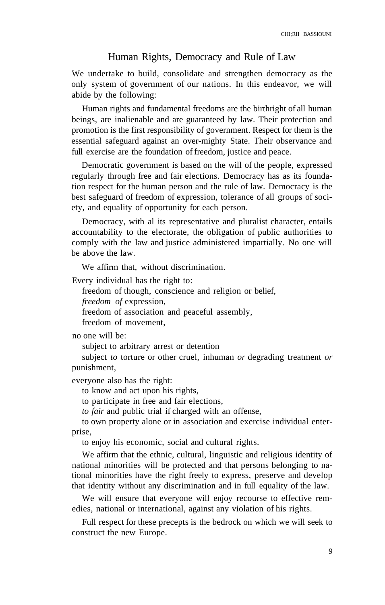#### Human Rights, Democracy and Rule of Law

We undertake to build, consolidate and strengthen democracy as the only system of government of our nations. In this endeavor, we will abide by the following:

Human rights and fundamental freedoms are the birthright of all human beings, are inalienable and are guaranteed by law. Their protection and promotion is the first responsibility of government. Respect for them is the essential safeguard against an over-mighty State. Their observance and full exercise are the foundation of freedom, justice and peace.

Democratic government is based on the will of the people, expressed regularly through free and fair elections. Democracy has as its foundation respect for the human person and the rule of law. Democracy is the best safeguard of freedom of expression, tolerance of all groups of society, and equality of opportunity for each person.

Democracy, with al its representative and pluralist character, entails accountability to the electorate, the obligation of public authorities to comply with the law and justice administered impartially. No one will be above the law.

We affirm that, without discrimination.

Every individual has the right to:

freedom of though, conscience and religion or belief,

*freedom of* expression,

freedom of association and peaceful assembly,

freedom of movement,

no one will be:

subject to arbitrary arrest or detention

subject *to* torture or other cruel, inhuman *or* degrading treatment *or*  punishment,

everyone also has the right:

to know and act upon his rights,

to participate in free and fair elections,

*to fair* and public trial if charged with an offense,

to own property alone or in association and exercise individual enterprise,

to enjoy his economic, social and cultural rights.

We affirm that the ethnic, cultural, linguistic and religious identity of national minorities will be protected and that persons belonging to national minorities have the right freely to express, preserve and develop that identity without any discrimination and in full equality of the law.

We will ensure that everyone will enjoy recourse to effective remedies, national or international, against any violation of his rights.

Full respect for these precepts is the bedrock on which we will seek to construct the new Europe.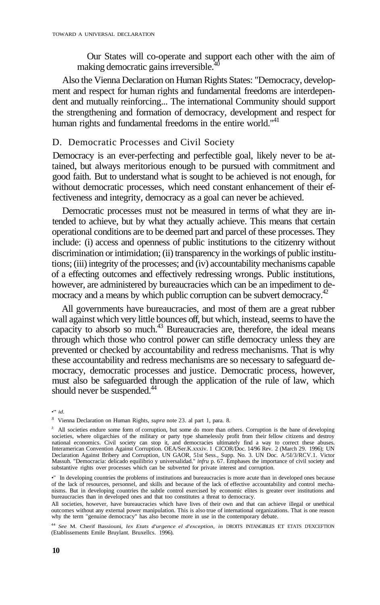Our States will co-operate and support each other with the aim of making democratic gains irreversible.<sup>4</sup>

Also the Vienna Declaration on Human Rights States: "Democracy, development and respect for human rights and fundamental freedoms are interdependent and mutually reinforcing... The international Community should support the strengthening and formation of democracy, development and respect for human rights and fundamental freedoms in the entire world."<sup>41</sup>

#### D. Democratic Processes and Civil Society

Democracy is an ever-perfecting and perfectible goal, likely never to be attained, but always meritorious enough to be pursued with commitment and good faith. But to understand what is sought to be achieved is not enough, for without democratic processes, which need constant enhancement of their effectiveness and integrity, democracy as a goal can never be achieved.

Democratic processes must not be measured in terms of what they are intended to achieve, but by what they actually achieve. This means that certain operational conditions are to be deemed part and parcel of these processes. They include: (i) access and openness of public institutions to the citizenry without discrimination or intimidation; (ii) transparency in the workings of public institutions; (iii) integrity of the processes; and (iv) accountability mechanisms capable of a effecting outcomes and effectively redressing wrongs. Public institutions, however, are administered by bureaucracies which can be an impediment to democracy and a means by which public corruption can be subvert democracy.<sup>42</sup>

All governments have bureaucracies, and most of them are a great rubber wall against which very little bounces off, but which, instead, seems to have the capacity to absorb so much.<sup>43</sup> Bureaucracies are, therefore, the ideal means through which those who control power can stifle democracy unless they are prevented or checked by accountability and redress mechanisms. That is why these accountability and redress mechanisms are so necessary to safeguard democracy, democratic processes and justice. Democratic process, however, must also be safeguarded through the application of the rule of law, which should never be suspended.<sup>44</sup>

•"' *id.* 

<sup>&</sup>lt;sup>Jl</sup> Vienna Declaration on Human Rights, *supra* note 23. al part 1, para. 8.

 $J<sup>1</sup>$ . All societies endure some form of corruption, but some do more than others. Corruption is the bane of developing societies, where oligarchies of the military or party type shamelessly profit from their fellow citizens and destroy<br>national economics. Civil society can stop it, and democracies ultimately find a way to correct these abu Interamerican Convention Against Corruption. OEA/Ser.K.xxxiv. 1 CICOR/Doc. 14/96 Rev. 2 (March 29. 1996); UN Declaration Against Bribery and Corruption, UN GAOR, 51st Sess., Supp. No. 3. UN Doc. A/5I/3/RCV.1. Victor<br>Massuh. "Democracia: delicado equilibrio y universalidad." infru p. 67. Emphases the importance of civil society an substantive rights over processes which can be subverted for private interest and corruption.

<sup>•&</sup>quot; In developing countries the problems of institutions and bureaucracies is more acute than in developed ones because of the lack of resources, personnel, and skills and because of the lack of effective accountability and control mechanisms. But in developing countries the subtle control exercised by economic elites is greater over institutions and bureaucracies than in developed ones and that too constitutes a threat to democracy.

All societies, however, have bureaucracies which have lives of their own and that can achieve illegal or unethical outcomes without any external power manipulation. This is also true of international organizations. That is one reason why the term "genuine democracy" has also become more in use in the contemporary debate.

<sup>44</sup> See M. Cherif Bassiouni, lex Etats d'urgence el d'exception, in DROITS INTANGIBLES ET ETATS D'EXCEFTION (Etablissements Emile Bruylant. Bruxellcs. 1996).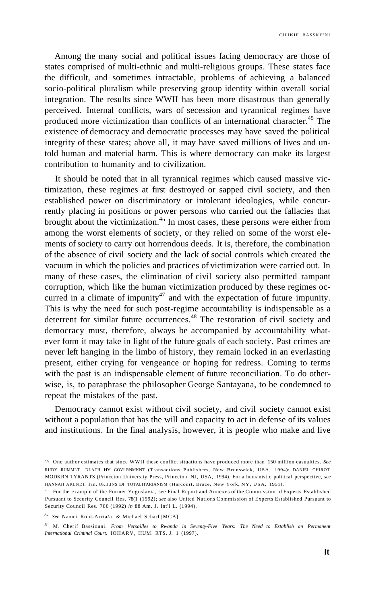Among the many social and political issues facing democracy are those of states comprised of multi-ethnic and multi-religious groups. These states face the difficult, and sometimes intractable, problems of achieving a balanced socio-political pluralism while preserving group identity within overall social integration. The results since WWII has been more disastrous than generally perceived. Internal conflicts, wars of secession and tyrannical regimes have produced more victimization than conflicts of an international character.<sup>45</sup> The existence of democracy and democratic processes may have saved the political integrity of these states; above all, it may have saved millions of lives and untold human and material harm. This is where democracy can make its largest contribution to humanity and to civilization.

It should be noted that in all tyrannical regimes which caused massive victimization, these regimes at first destroyed or sapped civil society, and then established power on discriminatory or intolerant ideologies, while concurrently placing in positions or power persons who carried out the fallacies that brought about the victimization.<sup>4</sup>" In most cases, these persons were either from among the worst elements of society, or they relied on some of the worst elements of society to carry out horrendous deeds. It is, therefore, the combination of the absence of civil society and the lack of social controls which created the vacuum in which the policies and practices of victimization were carried out. In many of these cases, the elimination of civil society also permitted rampant corruption, which like the human victimization produced by these regimes occurred in a climate of impunity<sup>47</sup> and with the expectation of future impunity. This is why the need for such post-regime accountability is indispensable as a deterrent for similar future occurrences.<sup>48</sup> The restoration of civil society and democracy must, therefore, always be accompanied by accountability whatever form it may take in light of the future goals of each society. Past crimes are never left hanging in the limbo of history, they remain locked in an everlasting present, either crying for vengeance or hoping for redress. Coming to terms with the past is an indispensable element of future reconciliation. To do otherwise, is, to paraphrase the philosopher George Santayana, to be condemned to repeat the mistakes of the past.

Democracy cannot exist without civil society, and civil society cannot exist without a population that has the will and capacity to act in defense of its values and institutions. In the final analysis, however, it is people who make and live

<sup>&#</sup>x27;^ One author estimates that since WWII these conflict situations have produced more than 150 million casualties. *See*  RUDY RUMMLT.. DLATH HY GOVI-RNMKNT (Transactions Publishers, New Brunswick, USA, 1994): DANIEL CHIROT. MODKRN TYRANTS (Princeton University Press, Princeton. NJ, USA, 1994). For a humanistic political perspective, *see*  HANNAH AKLNDI. Tin. OKII.INS DI TOTALITARIANISM (Harcourt, Brace, New York, NY, USA, 1951).

<sup>&</sup>quot;' For the example of" the Former Yugoslavia, see Final Report and Annexes of the Commission of Experts Established Pursuant to Security Council Res. 78(1 (1992); *see* also United Nations Commission of Experts Established Pursuant to Security Council Res. 780 (1992) *in* 88 Am. J. Int'l L. (1994).

*A* ' *See* Naomi Roht-Arria/a. *&* Michael Scharf |MCB]

*M* M. Cherif Bassiouni. *From Versailles to Rwanda in Seventy-Five Years: The Need to Establish an Permanent International Criminal Court.* IOHARV, HUM. RTS. J. 1 (1997).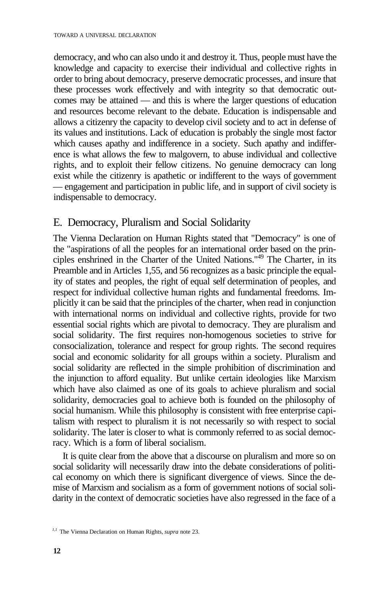democracy, and who can also undo it and destroy it. Thus, people must have the knowledge and capacity to exercise their individual and collective rights in order to bring about democracy, preserve democratic processes, and insure that these processes work effectively and with integrity so that democratic outcomes may be attained — and this is where the larger questions of education and resources become relevant to the debate. Education is indispensable and allows a citizenry the capacity to develop civil society and to act in defense of its values and institutions. Lack of education is probably the single most factor which causes apathy and indifference in a society. Such apathy and indifference is what allows the few to malgovern, to abuse individual and collective rights, and to exploit their fellow citizens. No genuine democracy can long exist while the citizenry is apathetic or indifferent to the ways of government — engagement and participation in public life, and in support of civil society is indispensable to democracy.

### E. Democracy, Pluralism and Social Solidarity

The Vienna Declaration on Human Rights stated that "Democracy" is one of the "aspirations of all the peoples for an international order based on the principles enshrined in the Charter of the United Nations."<sup>49</sup> The Charter, in its Preamble and in Articles 1,55, and 56 recognizes as a basic principle the equality of states and peoples, the right of equal self determination of peoples, and respect for individual collective human rights and fundamental freedoms. Implicitly it can be said that the principles of the charter, when read in conjunction with international norms on individual and collective rights, provide for two essential social rights which are pivotal to democracy. They are pluralism and social solidarity. The first requires non-homogenous societies to strive for consocialization, tolerance and respect for group rights. The second requires social and economic solidarity for all groups within a society. Pluralism and social solidarity are reflected in the simple prohibition of discrimination and the injunction to afford equality. But unlike certain ideologies like Marxism which have also claimed as one of its goals to achieve pluralism and social solidarity, democracies goal to achieve both is founded on the philosophy of social humanism. While this philosophy is consistent with free enterprise capitalism with respect to pluralism it is not necessarily so with respect to social solidarity. The later is closer to what is commonly referred to as social democracy. Which is a form of liberal socialism.

It is quite clear from the above that a discourse on pluralism and more so on social solidarity will necessarily draw into the debate considerations of political economy on which there is significant divergence of views. Since the demise of Marxism and socialism as a form of government notions of social solidarity in the context of democratic societies have also regressed in the face of a

*<sup>1,1</sup>* The Vienna Declaration on Human Rights, *supra* note 23.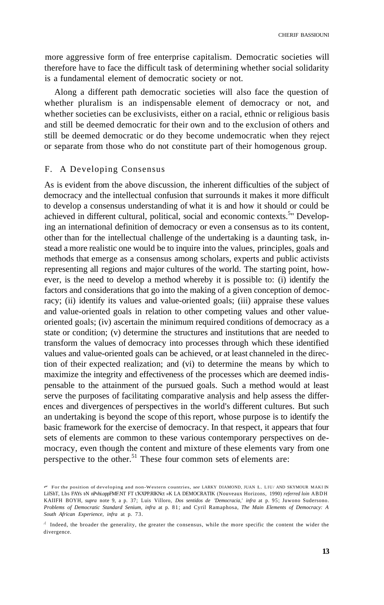CHERIF BASSIOUNI

more aggressive form of free enterprise capitalism. Democratic societies will therefore have to face the difficult task of determining whether social solidarity is a fundamental element of democratic society or not.

Along a different path democratic societies will also face the question of whether pluralism is an indispensable element of democracy or not, and whether societies can be exclusivists, either on a racial, ethnic or religious basis and still be deemed democratic for their own and to the exclusion of others and still be deemed democratic or do they become undemocratic when they reject or separate from those who do not constitute part of their homogenous group.

#### F. A Developing Consensus

As is evident from the above discussion, the inherent difficulties of the subject of democracy and the intellectual confusion that surrounds it makes it more difficult to develop a consensus understanding of what it is and how it should or could be achieved in different cultural, political, social and economic contexts.<sup>5</sup>" Developing an international definition of democracy or even a consensus as to its content, other than for the intellectual challenge of the undertaking is a daunting task, instead a more realistic one would be to inquire into the values, principles, goals and methods that emerge as a consensus among scholars, experts and public activists representing all regions and major cultures of the world. The starting point, however, is the need to develop a method whereby it is possible to: (i) identify the factors and considerations that go into the making of a given conception of democracy; (ii) identify its values and value-oriented goals; (iii) appraise these values and value-oriented goals in relation to other competing values and other valueoriented goals; (iv) ascertain the minimum required conditions of democracy as a state or condition; (v) determine the structures and institutions that are needed to transform the values of democracy into processes through which these identified values and value-oriented goals can be achieved, or at least channeled in the direction of their expected realization; and (vi) to determine the means by which to maximize the integrity and effectiveness of the processes which are deemed indispensable to the attainment of the pursued goals. Such a method would at least serve the purposes of facilitating comparative analysis and help assess the differences and divergences of perspectives in the world's different cultures. But such an undertaking is beyond the scope of this report, whose purpose is to identify the basic framework for the exercise of democracy. In that respect, it appears that four sets of elements are common to these various contemporary perspectives on democracy, even though the content and mixture of these elements vary from one perspective to the other.<sup>51</sup> These four common sets of elements are:

<sup>•\*&#</sup>x27; For the position of developing and non-Western countries, *see* LARKY DIAMOND, JUAN L. LIU/ AND SKYMOUR MAKI IN LifShT, Lbs FAYs tN nPvhi.oppFMF.NT FT t.'KXPP.RlKNct »K LA DEMOCRATIK (Nouveaux Horizons, 1990) referred loin ABDH KAIIFH BOYH, *supra* note 9, a p. 37; Luis Villoro, *Dos sentidos de 'Democracia,' infra* at p. 95; Juwono Sudersono. *Problems of Democratic Standard Senium, infra* at p. 81; and Cyril Ramaphosa, *The Main Elements of Democracy: A South African Experience, infra* at p. 73.

<sup>,(</sup> Indeed, the broader the generality, the greater the consensus, while the more specific the content the wider the divergence.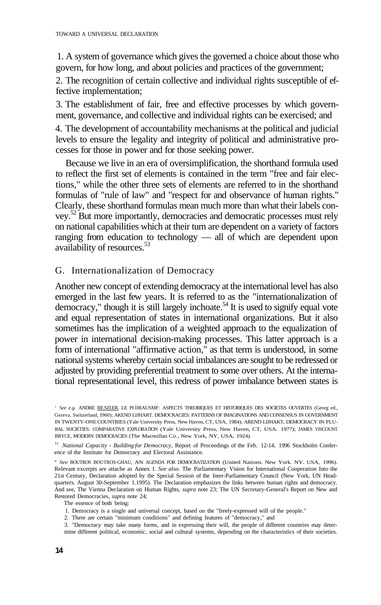1. A system of governance which gives the governed a choice about those who govern, for how long, and about policies and practices of the government;

2. The recognition of certain collective and individual rights susceptible of effective implementation;

3. The establishment of fair, free and effective processes by which government, governance, and collective and individual rights can be exercised; and

4. The development of accountability mechanisms at the political and judicial levels to ensure the legality and integrity of political and administrative processes for those in power and for those seeking power.

Because we live in an era of oversimplification, the shorthand formula used to reflect the first set of elements is contained in the term "free and fair elections," while the other three sets of elements are referred to in the shorthand formulas of "rule of law" and "respect for and observance of human rights." Clearly, these shorthand formulas mean much more than what their labels convey.<sup>52</sup> But more importantly, democracies and democratic processes must rely on national capabilities which at their turn are dependent on a variety of factors ranging from education to technology — all of which are dependent upon availability of resources.<sup>53</sup>

#### G. Internationalization of Democracy

Another new concept of extending democracy at the international level has also emerged in the last few years. It is referred to as the "internationalization of democracy," though it is still largely inchoate.<sup>54</sup> It is used to signify equal vote and equal representation of states in international organizations. But it also sometimes has the implication of a weighted approach to the equalization of power in international decision-making processes. This latter approach is a form of international "affirmative action," as that term is understood, in some national systems whereby certain social imbalances are sought to be redressed or adjusted by providing preferential treatment to some over others. At the international representational level, this redress of power imbalance between states is

<sup>11</sup> National Capacity - Building for Democracy, Report of Proceedings of the Feb. 12-14, 1996 Stockholm Conference of the Institute for Democracy and Electoral Assistance.

*u See* BOUTROS BOUTROS-GHAU, AN AGENDA FOR DEMOCRATIZATION (United Nations. New York. NY. USA, 1996). Relevant excerpts are attache as Annex I. *See also.* The Parliamentary Vision for International Cooperation Into the 21st Century, Declaration adopted by the Special Session of the Inter-Parliamentary Council (New York, UN Headquarters. August 30-September 1.1995). The Declaration emphasizes the links between human rights and democracy. And see, The Vienna Declaration on Human Rights, *supra* note 23; The UN Secretary-General's Report on New and Restored Democracies, *supra* note 24;

The essence of both being:

- 1. Democracy is a single and universal concept, based on the "freely-expressed will of the people."
- 2. There are certain "minimum conditions" and defining features of "democracy," and
- 3. "Democracy may take many forms, and in expressing their will, the people of different countries may determine different political, economic, social and cultural systems, depending on the characteristics of their societies.

<sup>,;</sup>  *See e.g.* ANDRE [RE.SZI.ER,](http://Re.szi.er) LE PI JJRAUSMF: ASPECTS THEORIQUES ET HISTORIQUES DES SOCIETES OUVERTES (Georg ed., Gereva. Switzerland, I960); AKEND LIJHART. DEMOCRACIES: PATTERNS OF IMAGINATIONS AND CONSENSUS IN GOVERNMENT IN TWENTY-ONE COUNTRIES (Yale University Press, New Haven, CT, USA, 1984); AREND LIJHAKT, DEMOCRACY IN PLU-RAL SOCIETIES: COMPARATIVE EXPLORATION (Yale University Press, New Haven, CT, USA. 1977); JAMES VISCOUNT BRYCE, MODERN DEMOCRACIES (The Macmillan Co., New York, NY, USA, 1924).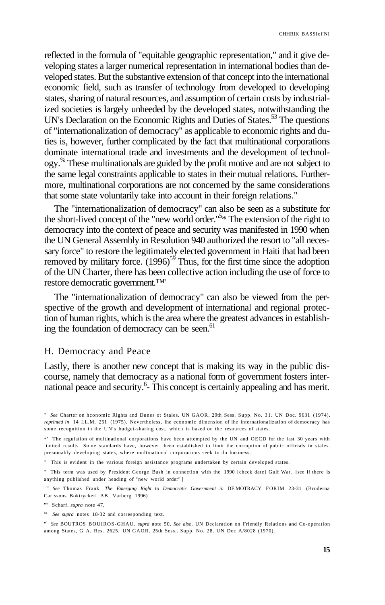reflected in the formula of "equitable geographic representation," and it give developing states a larger numerical representation in international bodies than developed states. But the substantive extension of that concept into the international economic field, such as transfer of technology from developed to developing states, sharing of natural resources, and assumption of certain costs by industrialized societies is largely unheeded by the developed states, notwithstanding the UN's Declaration on the Economic Rights and Duties of States.<sup>53</sup> The questions of "internationalization of democracy" as applicable to economic rights and duties is, however, further complicated by the fact that multinational corporations dominate international trade and investments and the development of technology.% These multinationals are guided by the profit motive and are not subject to the same legal constraints applicable to states in their mutual relations. Furthermore, multinational corporations are not concerned by the same considerations that some state voluntarily take into account in their foreign relations."

The "internationalization of democracy" can also be seen as a substitute for the short-lived concept of the "new world order."<sup>5\*</sup> The extension of the right to democracy into the context of peace and security was manifested in 1990 when the UN General Assembly in Resolution 940 authorized the resort to "all necessary force" to restore the legitimately elected government in Haiti that had been removed by military force.  $(1996)^{59}$  Thus, for the first time since the adoption of the UN Charter, there has been collective action including the use of force to restore democratic government.™'

The "internationalization of democracy" can also be viewed from the perspective of the growth and development of international and regional protection of human rights, which is the area where the greatest advances in establishing the foundation of democracy can be seen. $61$ 

#### H. Democracy and Peace

Lastly, there is another new concept that is making its way in the public discourse, namely that democracy as a national form of government fosters international peace and security.<sup>6</sup>- This concept is certainly appealing and has merit.

<sup>&</sup>quot; *See* Charter on hconomic Rights and Dunes ot Stales. UN GAOR. 29th Sess. Supp. No. 31. UN Doc. 9631 (1974). *reprinted in* 14 I.L.M. 251 (1975). Nevertheless, ihe economic dimension of ihe internationalization of democracy has some recognition in the UN's budget-sharing cost, which is based on the resources of states.

<sup>•&</sup>quot;' The regulation of multinational corporations have been attempted by the UN and OECD for the last 30 years with limited results. Some standards have, however, been established to limit the corruption of public officials in stales. presumably developing states, where multinational corporations seek to do business.

<sup>&</sup>quot; This is evident in the various foreign assistance programs undertaken by certain developed states.

<sup>&</sup>quot; This term was used by President George Bush in connection with the 1990 [check date] Gulf War. [see if there is anything published under heading of "new world order"']

*<sup>&#</sup>x27;"' See* Thomas Frank. *The Emerging Right to Democratic Government in* DF.MOTRACY FORIM 23-31 (Broderna Carlssons Boktryckeri AB. Varberg 1996)

<sup>&</sup>quot;" Scharf. *supra* note 47,

<sup>&</sup>lt;sup>r</sup>" See supra notes 18-32 and corresponding text.

<sup>&</sup>lt;sup>n:</sup> See BOUTROS BOUIROS-GHAU. supra note 50. See also, UN Declaration on Friendly Relations and Co-operation among States, G A. Res. 2625, UN GAOR. 25th Sess.. Supp. No. 28. UN Doc A/8028 (1970).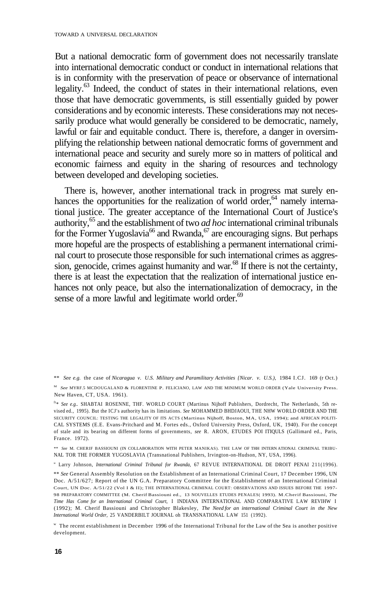But a national democratic form of government does not necessarily translate into international democratic conduct or conduct in international relations that is in conformity with the preservation of peace or observance of international legality.<sup>63</sup> Indeed, the conduct of states in their international relations, even those that have democratic governments, is still essentially guided by power considerations and by economic interests. These considerations may not necessarily produce what would generally be considered to be democratic, namely, lawful or fair and equitable conduct. There is, therefore, a danger in oversimplifying the relationship between national democratic forms of government and international peace and security and surely more so in matters of political and economic fairness and equity in the sharing of resources and technology between developed and developing societies.

There is, however, another international track in progress mat surely enhances the opportunities for the realization of world order,<sup>64</sup> namely international justice. The greater acceptance of the International Court of Justice's authority,<sup>65</sup> and the establishment of two *ad hoc* international criminal tribunals for the Former Yugoslavia<sup>66</sup> and Rwanda,<sup>67</sup> are encouraging signs. But perhaps more hopeful are the prospects of establishing a permanent international criminal court to prosecute those responsible for such international crimes as aggression, genocide, crimes against humanity and war.<sup>68</sup> If there is not the certainty, there is at least the expectation that the realization of international justice enhances not only peace, but also the internationalization of democracy, in the sense of a more lawful and legitimate world order. $69$ 

<sup>\*\*</sup> *See e.g.* the case of *Nicaragua v. U.S. Military and Paramilitary Activities {Nicar. v. U.S.),* 1984 I.CJ. 169 (r Oct.)

M  *See* MYRF.5 MCDOUGALAND & FLORENTINE P. FELICIANO, LAW AND THE MINIMUM WORLD ORDER (Yale University Press. New Haven, CT, USA. 1961).

ft\* *See e.g..* SHABTAI ROSENNE, THF. WORLD COURT (Martinus Nijhoff Publishers, Dordrecht, The Netherlands, 5th revised ed., 1995). But the ICJ's authority has its limitations. *See* MOHAMMED BHDJAOUI, THE NHW WORLD ORDER AND THE SECURITY COUNCIL: TESTING THE LEGALITY OF ITS ACTS (Martinus Nijhoff, Boston, MA, USA, 1994); and AFRICAN POLITI-CAL SYSTEMS (E.E. Evans-Pritchard and M. Fortes eds., Oxford University Press, Oxford, UK, 1940). For the concept of stale and its bearing on different forms of governments, *see* R. ARON, ETUDES POI ITIQULS (Gallimard ed., Paris, France. 1972).

<sup>\*\*</sup> *See* M. CHERIF BASSIOUNI (IN COLLABORATION WITH PETER MANIKAS). THE LAW OF THH INTERN ATIONAJ. CRIMINAL TRIBU-NAL TOR THE FORMER YUGOSLAVIA (Transnational Publishers, Irvington-on-Hudson, NY, USA, 1996).

<sup>&</sup>quot; Larry Johnson, *International Criminal Tribunal for Rwanda,* 67 REVUE INTERNATIONAL DE DROIT PENAI 211(1996).

<sup>\*\*</sup> *See* General Assembly Resolution on the Establishment of an International Criminal Court, 17 December 1996, UN Doc. A/51/627; Report of the UN G.A. Preparatory Committee for the Establishment of an International Criminal Court, UN Doc. A/51/22 (Vol I & II); THE INTERNATIONAL CRIMINAL COURT: OBSERVATIONS AND ISSUES BEFORE THE 1997- 98 PREPARATORY COMMITTEE (M. Cherif Bassiouni ed., 13 NOUVELLES ETUDES PENALES( 1993). M.Cherif Bassiouni, *The Time Has Come for an International Criminal Court,* I INDIANA INTERNATIONAL AND COMPARATIVE LAW REVIHW I (1992); M. Cherif Bassiouni and Christopher Blakesley, *The Need for an international Criminal Court in the New International World Order,* 25 VANDERBILT JOURNAL oh TRANSNATIONAL LAW 151 (1992).

w The recent establishment in December 1996 of the International Tribunal for the Law of the Sea is another positive development.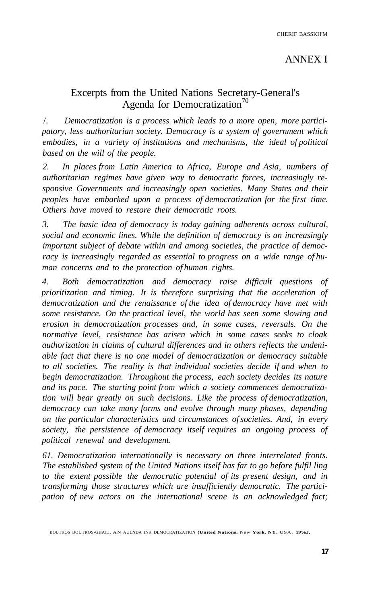### ANNEX I

### Excerpts from the United Nations Secretary-General's Agenda for Democratization $70$

/. *Democratization is a process which leads to a more open, more participatory, less authoritarian society. Democracy is a system of government which embodies, in a variety of institutions and mechanisms, the ideal of political based on the will of the people.* 

*2. In places from Latin America to Africa, Europe and Asia, numbers of authoritarian regimes have given way to democratic forces, increasingly responsive Governments and increasingly open societies. Many States and their peoples have embarked upon a process of democratization for the first time. Others have moved to restore their democratic roots.* 

*3. The basic idea of democracy is today gaining adherents across cultural, social and economic lines. While the definition of democracy is an increasingly important subject of debate within and among societies, the practice of democracy is increasingly regarded as essential to progress on a wide range of human concerns and to the protection of human rights.* 

*4. Both democratization and democracy raise difficult questions of prioritization and timing. It is therefore surprising that the acceleration of democratization and the renaissance of the idea of democracy have met with some resistance. On the practical level, the world has seen some slowing and erosion in democratization processes and, in some cases, reversals. On the normative level, resistance has arisen which in some cases seeks to cloak authorization in claims of cultural differences and in others reflects the undeniable fact that there is no one model of democratization or democracy suitable to all societies. The reality is that individual societies decide if and when to begin democratization. Throughout the process, each society decides its nature and its pace. The starting point from which a society commences democratization will bear greatly on such decisions. Like the process of democratization, democracy can take many forms and evolve through many phases, depending on the particular characteristics and circumstances of societies. And, in every society, the persistence of democracy itself requires an ongoing process of political renewal and development.* 

*61. Democratization internationally is necessary on three interrelated fronts. The established system of the United Nations itself has far to go before fulfil ling to the extent possible the democratic potential of its present design, and in transforming those structures which are insufficiently democratic. The participation of new actors on the international scene is an acknowledged fact;* 

BOUTKOS BOUTROS-GHAI.I, AN AULNDA INK DLMOCRATIZATION **(United Nations.** New **York. NY.** USA. **19%J.**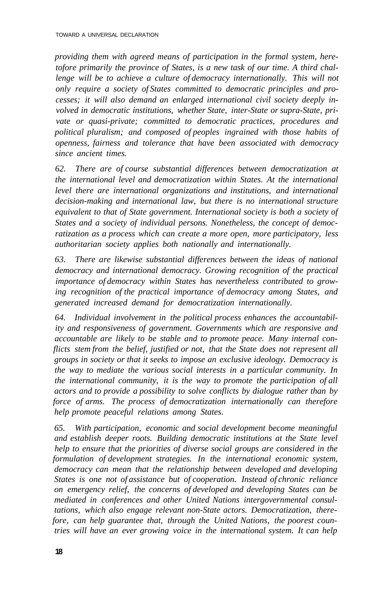*providing them with agreed means of participation in the formal system, heretofore primarily the province of States, is a new task of our time. A third challenge will be to achieve a culture of democracy internationally. This will not only require a society of States committed to democratic principles and processes; it will also demand an enlarged international civil society deeply involved in democratic institutions, whether State, inter-State or supra-State, private or quasi-private; committed to democratic practices, procedures and political pluralism; and composed of peoples ingrained with those habits of openness, fairness and tolerance that have been associated with democracy since ancient times.* 

*62. There are of course substantial differences between democratization at the international level and democratization within States. At the international level there are international organizations and institutions, and international decision-making and international law, but there is no international structure equivalent to that of State government. International society is both a society of States and a society of individual persons. Nonetheless, the concept of democratization as a process which can create a more open, more participatory, less authoritarian society applies both nationally and internationally.* 

*63. There are likewise substantial differences between the ideas of national democracy and international democracy. Growing recognition of the practical importance of democracy within States has nevertheless contributed to growing recognition of the practical importance of democracy among States, and generated increased demand for democratization internationally.* 

*64. Individual involvement in the political process enhances the accountability and responsiveness of government. Governments which are responsive and accountable are likely to be stable and to promote peace. Many internal conflicts stem from the belief, justified or not, that the State does not represent all groups in society or that it seeks to impose an exclusive ideology. Democracy is the way to mediate the various social interests in a particular community. In the international community, it is the way to promote the participation of all actors and to provide a possibility to solve conflicts by dialogue rather than by force of arms. The process of democratization internationally can therefore help promote peaceful relations among States.* 

*65. With participation, economic and social development become meaningful and establish deeper roots. Building democratic institutions at the State level help to ensure that the priorities of diverse social groups are considered in the formulation of development strategies. In the international economic system, democracy can mean that the relationship between developed and developing States is one not of assistance but of cooperation. Instead of chronic reliance on emergency relief, the concerns of developed and developing States can be mediated in conferences and other United Nations intergovernmental consultations, which also engage relevant non-State actors. Democratization, therefore, can help guarantee that, through the United Nations, the poorest countries will have an ever growing voice in the international system. It can help*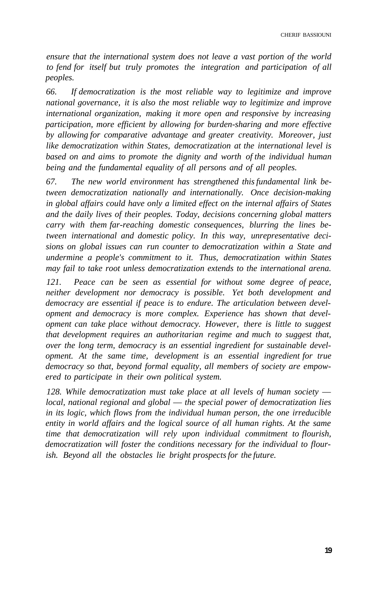*ensure that the international system does not leave a vast portion of the world to fend for itself but truly promotes the integration and participation of all peoples.* 

*66. If democratization is the most reliable way to legitimize and improve national governance, it is also the most reliable way to legitimize and improve international organization, making it more open and responsive by increasing participation, more efficient by allowing for burden-sharing and more effective by allowing for comparative advantage and greater creativity. Moreover, just like democratization within States, democratization at the international level is based on and aims to promote the dignity and worth of the individual human being and the fundamental equality of all persons and of all peoples.* 

*67. The new world environment has strengthened this fundamental link between democratization nationally and internationally. Once decision-making in global affairs could have only a limited effect on the internal affairs of States and the daily lives of their peoples. Today, decisions concerning global matters carry with them far-reaching domestic consequences, blurring the lines between international and domestic policy. In this way, unrepresentative decisions on global issues can run counter to democratization within a State and undermine a people's commitment to it. Thus, democratization within States may fail to take root unless democratization extends to the international arena.* 

*121. Peace can be seen as essential for without some degree of peace, neither development nor democracy is possible. Yet both development and democracy are essential if peace is to endure. The articulation between development and democracy is more complex. Experience has shown that development can take place without democracy. However, there is little to suggest that development requires an authoritarian regime and much to suggest that, over the long term, democracy is an essential ingredient for sustainable development. At the same time, development is an essential ingredient for true democracy so that, beyond formal equality, all members of society are empowered to participate in their own political system.* 

*128. While democratization must take place at all levels of human society local, national regional and global* — *the special power of democratization lies in its logic, which flows from the individual human person, the one irreducible entity in world affairs and the logical source of all human rights. At the same time that democratization will rely upon individual commitment to flourish, democratization will foster the conditions necessary for the individual to flourish. Beyond all the obstacles lie bright prospects for the future.*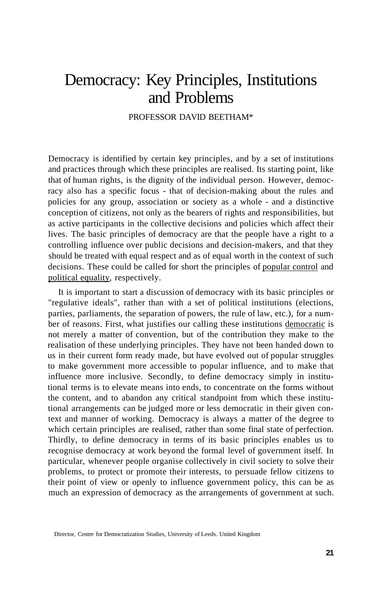## Democracy: Key Principles, Institutions and Problems

#### PROFESSOR DAVID BEETHAM\*

Democracy is identified by certain key principles, and by a set of institutions and practices through which these principles are realised. Its starting point, like that of human rights, is the dignity of the individual person. However, democracy also has a specific focus - that of decision-making about the rules and policies for any group, association or society as a whole - and a distinctive conception of citizens, not only as the bearers of rights and responsibilities, but as active participants in the collective decisions and policies which affect their lives. The basic principles of democracy are that the people have a right to a controlling influence over public decisions and decision-makers, and that they should be treated with equal respect and as of equal worth in the context of such decisions. These could be called for short the principles of popular control and political equality, respectively.

It is important to start a discussion of democracy with its basic principles or "regulative ideals", rather than with a set of political institutions (elections, parties, parliaments, the separation of powers, the rule of law, etc.), for a number of reasons. First, what justifies our calling these institutions democratic is not merely a matter of convention, but of the contribution they make to the realisation of these underlying principles. They have not been handed down to us in their current form ready made, but have evolved out of popular struggles to make government more accessible to popular influence, and to make that influence more inclusive. Secondly, to define democracy simply in institutional terms is to elevate means into ends, to concentrate on the forms without the content, and to abandon any critical standpoint from which these institutional arrangements can be judged more or less democratic in their given context and manner of working. Democracy is always a matter of the degree to which certain principles are realised, rather than some final state of perfection. Thirdly, to define democracy in terms of its basic principles enables us to recognise democracy at work beyond the formal level of government itself. In particular, whenever people organise collectively in civil society to solve their problems, to protect or promote their interests, to persuade fellow citizens to their point of view or openly to influence government policy, this can be as much an expression of democracy as the arrangements of government at such.

Director, Centre for Democratization Studies, University of Leeds. United Kingdom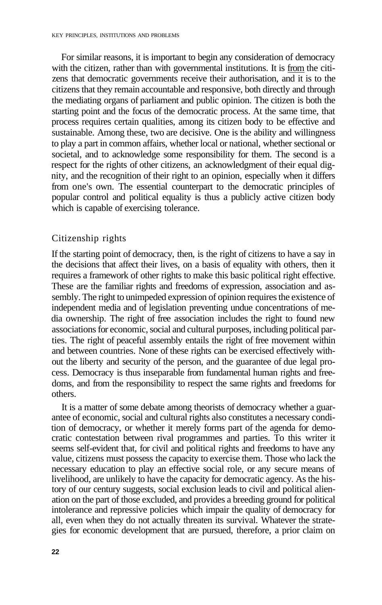For similar reasons, it is important to begin any consideration of democracy with the citizen, rather than with governmental institutions. It is from the citizens that democratic governments receive their authorisation, and it is to the citizens that they remain accountable and responsive, both directly and through the mediating organs of parliament and public opinion. The citizen is both the starting point and the focus of the democratic process. At the same time, that process requires certain qualities, among its citizen body to be effective and sustainable. Among these, two are decisive. One is the ability and willingness to play a part in common affairs, whether local or national, whether sectional or societal, and to acknowledge some responsibility for them. The second is a respect for the rights of other citizens, an acknowledgment of their equal dignity, and the recognition of their right to an opinion, especially when it differs from one's own. The essential counterpart to the democratic principles of popular control and political equality is thus a publicly active citizen body which is capable of exercising tolerance.

#### Citizenship rights

If the starting point of democracy, then, is the right of citizens to have a say in the decisions that affect their lives, on a basis of equality with others, then it requires a framework of other rights to make this basic political right effective. These are the familiar rights and freedoms of expression, association and assembly. The right to unimpeded expression of opinion requires the existence of independent media and of legislation preventing undue concentrations of media ownership. The right of free association includes the right to found new associations for economic, social and cultural purposes, including political parties. The right of peaceful assembly entails the right of free movement within and between countries. None of these rights can be exercised effectively without the liberty and security of the person, and the guarantee of due legal process. Democracy is thus inseparable from fundamental human rights and freedoms, and from the responsibility to respect the same rights and freedoms for others.

It is a matter of some debate among theorists of democracy whether a guarantee of economic, social and cultural rights also constitutes a necessary condition of democracy, or whether it merely forms part of the agenda for democratic contestation between rival programmes and parties. To this writer it seems self-evident that, for civil and political rights and freedoms to have any value, citizens must possess the capacity to exercise them. Those who lack the necessary education to play an effective social role, or any secure means of livelihood, are unlikely to have the capacity for democratic agency. As the history of our century suggests, social exclusion leads to civil and political alienation on the part of those excluded, and provides a breeding ground for political intolerance and repressive policies which impair the quality of democracy for all, even when they do not actually threaten its survival. Whatever the strategies for economic development that are pursued, therefore, a prior claim on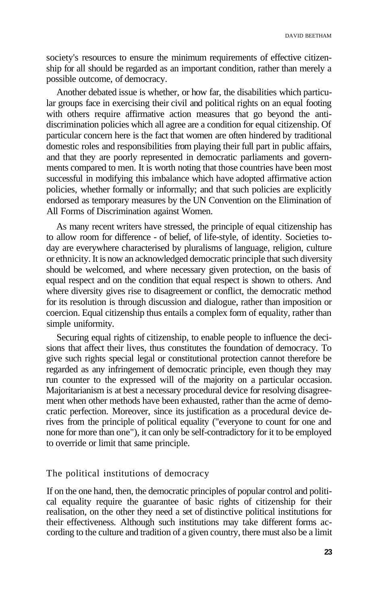DAVID BEETHAM

society's resources to ensure the minimum requirements of effective citizenship for all should be regarded as an important condition, rather than merely a possible outcome, of democracy.

Another debated issue is whether, or how far, the disabilities which particular groups face in exercising their civil and political rights on an equal footing with others require affirmative action measures that go beyond the antidiscrimination policies which all agree are a condition for equal citizenship. Of particular concern here is the fact that women are often hindered by traditional domestic roles and responsibilities from playing their full part in public affairs, and that they are poorly represented in democratic parliaments and governments compared to men. It is worth noting that those countries have been most successful in modifying this imbalance which have adopted affirmative action policies, whether formally or informally; and that such policies are explicitly endorsed as temporary measures by the UN Convention on the Elimination of All Forms of Discrimination against Women.

As many recent writers have stressed, the principle of equal citizenship has to allow room for difference - of belief, of life-style, of identity. Societies today are everywhere characterised by pluralisms of language, religion, culture or ethnicity. It is now an acknowledged democratic principle that such diversity should be welcomed, and where necessary given protection, on the basis of equal respect and on the condition that equal respect is shown to others. And where diversity gives rise to disagreement or conflict, the democratic method for its resolution is through discussion and dialogue, rather than imposition or coercion. Equal citizenship thus entails a complex form of equality, rather than simple uniformity.

Securing equal rights of citizenship, to enable people to influence the decisions that affect their lives, thus constitutes the foundation of democracy. To give such rights special legal or constitutional protection cannot therefore be regarded as any infringement of democratic principle, even though they may run counter to the expressed will of the majority on a particular occasion. Majoritarianism is at best a necessary procedural device for resolving disagreement when other methods have been exhausted, rather than the acme of democratic perfection. Moreover, since its justification as a procedural device derives from the principle of political equality ("everyone to count for one and none for more than one"), it can only be self-contradictory for it to be employed to override or limit that same principle.

#### The political institutions of democracy

If on the one hand, then, the democratic principles of popular control and political equality require the guarantee of basic rights of citizenship for their realisation, on the other they need a set of distinctive political institutions for their effectiveness. Although such institutions may take different forms according to the culture and tradition of a given country, there must also be a limit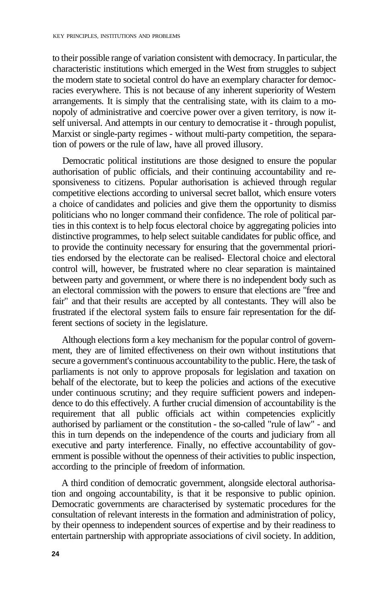to their possible range of variation consistent with democracy. In particular, the characteristic institutions which emerged in the West from struggles to subject the modern state to societal control do have an exemplary character for democracies everywhere. This is not because of any inherent superiority of Western arrangements. It is simply that the centralising state, with its claim to a monopoly of administrative and coercive power over a given territory, is now itself universal. And attempts in our century to democratise it - through populist, Marxist or single-party regimes - without multi-party competition, the separation of powers or the rule of law, have all proved illusory.

Democratic political institutions are those designed to ensure the popular authorisation of public officials, and their continuing accountability and responsiveness to citizens. Popular authorisation is achieved through regular competitive elections according to universal secret ballot, which ensure voters a choice of candidates and policies and give them the opportunity to dismiss politicians who no longer command their confidence. The role of political parties in this context is to help focus electoral choice by aggregating policies into distinctive programmes, to help select suitable candidates for public office, and to provide the continuity necessary for ensuring that the governmental priorities endorsed by the electorate can be realised- Electoral choice and electoral control will, however, be frustrated where no clear separation is maintained between party and government, or where there is no independent body such as an electoral commission with the powers to ensure that elections are "free and fair" and that their results are accepted by all contestants. They will also be frustrated if the electoral system fails to ensure fair representation for the different sections of society in the legislature.

Although elections form a key mechanism for the popular control of government, they are of limited effectiveness on their own without institutions that secure a government's continuous accountability to the public. Here, the task of parliaments is not only to approve proposals for legislation and taxation on behalf of the electorate, but to keep the policies and actions of the executive under continuous scrutiny; and they require sufficient powers and independence to do this effectively. A further crucial dimension of accountability is the requirement that all public officials act within competencies explicitly authorised by parliament or the constitution - the so-called "rule of law" - and this in turn depends on the independence of the courts and judiciary from all executive and party interference. Finally, no effective accountability of government is possible without the openness of their activities to public inspection, according to the principle of freedom of information.

A third condition of democratic government, alongside electoral authorisation and ongoing accountability, is that it be responsive to public opinion. Democratic governments are characterised by systematic procedures for the consultation of relevant interests in the formation and administration of policy, by their openness to independent sources of expertise and by their readiness to entertain partnership with appropriate associations of civil society. In addition,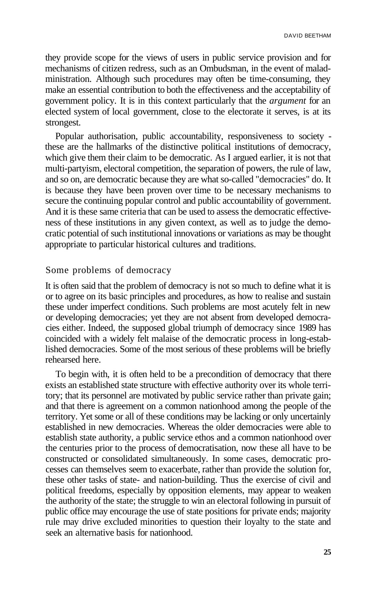they provide scope for the views of users in public service provision and for mechanisms of citizen redress, such as an Ombudsman, in the event of maladministration. Although such procedures may often be time-consuming, they make an essential contribution to both the effectiveness and the acceptability of government policy. It is in this context particularly that the *argument* for an elected system of local government, close to the electorate it serves, is at its strongest.

Popular authorisation, public accountability, responsiveness to society these are the hallmarks of the distinctive political institutions of democracy, which give them their claim to be democratic. As I argued earlier, it is not that multi-partyism, electoral competition, the separation of powers, the rule of law, and so on, are democratic because they are what so-called "democracies" do. It is because they have been proven over time to be necessary mechanisms to secure the continuing popular control and public accountability of government. And it is these same criteria that can be used to assess the democratic effectiveness of these institutions in any given context, as well as to judge the democratic potential of such institutional innovations or variations as may be thought appropriate to particular historical cultures and traditions.

#### Some problems of democracy

It is often said that the problem of democracy is not so much to define what it is or to agree on its basic principles and procedures, as how to realise and sustain these under imperfect conditions. Such problems are most acutely felt in new or developing democracies; yet they are not absent from developed democracies either. Indeed, the supposed global triumph of democracy since 1989 has coincided with a widely felt malaise of the democratic process in long-established democracies. Some of the most serious of these problems will be briefly rehearsed here.

To begin with, it is often held to be a precondition of democracy that there exists an established state structure with effective authority over its whole territory; that its personnel are motivated by public service rather than private gain; and that there is agreement on a common nationhood among the people of the territory. Yet some or all of these conditions may be lacking or only uncertainly established in new democracies. Whereas the older democracies were able to establish state authority, a public service ethos and a common nationhood over the centuries prior to the process of democratisation, now these all have to be constructed or consolidated simultaneously. In some cases, democratic processes can themselves seem to exacerbate, rather than provide the solution for, these other tasks of state- and nation-building. Thus the exercise of civil and political freedoms, especially by opposition elements, may appear to weaken the authority of the state; the struggle to win an electoral following in pursuit of public office may encourage the use of state positions for private ends; majority rule may drive excluded minorities to question their loyalty to the state and seek an alternative basis for nationhood.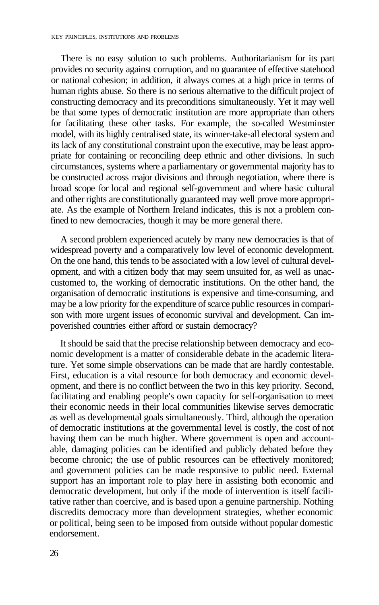There is no easy solution to such problems. Authoritarianism for its part provides no security against corruption, and no guarantee of effective statehood or national cohesion; in addition, it always comes at a high price in terms of human rights abuse. So there is no serious alternative to the difficult project of constructing democracy and its preconditions simultaneously. Yet it may well be that some types of democratic institution are more appropriate than others for facilitating these other tasks. For example, the so-called Westminster model, with its highly centralised state, its winner-take-all electoral system and its lack of any constitutional constraint upon the executive, may be least appropriate for containing or reconciling deep ethnic and other divisions. In such circumstances, systems where a parliamentary or governmental majority has to be constructed across major divisions and through negotiation, where there is broad scope for local and regional self-government and where basic cultural and other rights are constitutionally guaranteed may well prove more appropriate. As the example of Northern Ireland indicates, this is not a problem confined to new democracies, though it may be more general there.

A second problem experienced acutely by many new democracies is that of widespread poverty and a comparatively low level of economic development. On the one hand, this tends to be associated with a low level of cultural development, and with a citizen body that may seem unsuited for, as well as unaccustomed to, the working of democratic institutions. On the other hand, the organisation of democratic institutions is expensive and time-consuming, and may be a low priority for the expenditure of scarce public resources in comparison with more urgent issues of economic survival and development. Can impoverished countries either afford or sustain democracy?

It should be said that the precise relationship between democracy and economic development is a matter of considerable debate in the academic literature. Yet some simple observations can be made that are hardly contestable. First, education is a vital resource for both democracy and economic development, and there is no conflict between the two in this key priority. Second, facilitating and enabling people's own capacity for self-organisation to meet their economic needs in their local communities likewise serves democratic as well as developmental goals simultaneously. Third, although the operation of democratic institutions at the governmental level is costly, the cost of not having them can be much higher. Where government is open and accountable, damaging policies can be identified and publicly debated before they become chronic; the use of public resources can be effectively monitored; and government policies can be made responsive to public need. External support has an important role to play here in assisting both economic and democratic development, but only if the mode of intervention is itself facilitative rather than coercive, and is based upon a genuine partnership. Nothing discredits democracy more than development strategies, whether economic or political, being seen to be imposed from outside without popular domestic endorsement.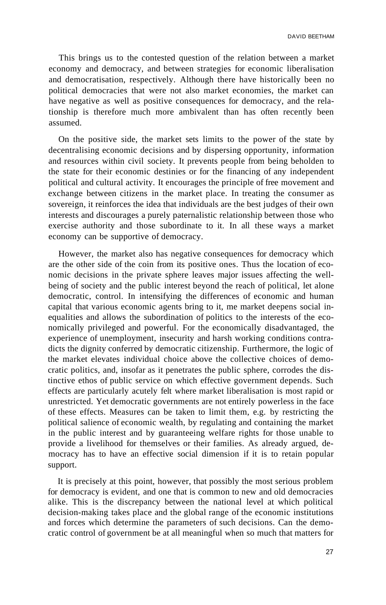This brings us to the contested question of the relation between a market economy and democracy, and between strategies for economic liberalisation and democratisation, respectively. Although there have historically been no political democracies that were not also market economies, the market can have negative as well as positive consequences for democracy, and the relationship is therefore much more ambivalent than has often recently been assumed.

On the positive side, the market sets limits to the power of the state by decentralising economic decisions and by dispersing opportunity, information and resources within civil society. It prevents people from being beholden to the state for their economic destinies or for the financing of any independent political and cultural activity. It encourages the principle of free movement and exchange between citizens in the market place. In treating the consumer as sovereign, it reinforces the idea that individuals are the best judges of their own interests and discourages a purely paternalistic relationship between those who exercise authority and those subordinate to it. In all these ways a market economy can be supportive of democracy.

However, the market also has negative consequences for democracy which are the other side of the coin from its positive ones. Thus the location of economic decisions in the private sphere leaves major issues affecting the wellbeing of society and the public interest beyond the reach of political, let alone democratic, control. In intensifying the differences of economic and human capital that various economic agents bring to it, me market deepens social inequalities and allows the subordination of politics to the interests of the economically privileged and powerful. For the economically disadvantaged, the experience of unemployment, insecurity and harsh working conditions contradicts the dignity conferred by democratic citizenship. Furthermore, the logic of the market elevates individual choice above the collective choices of democratic politics, and, insofar as it penetrates the public sphere, corrodes the distinctive ethos of public service on which effective government depends. Such effects are particularly acutely felt where market liberalisation is most rapid or unrestricted. Yet democratic governments are not entirely powerless in the face of these effects. Measures can be taken to limit them, e.g. by restricting the political salience of economic wealth, by regulating and containing the market in the public interest and by guaranteeing welfare rights for those unable to provide a livelihood for themselves or their families. As already argued, democracy has to have an effective social dimension if it is to retain popular support.

It is precisely at this point, however, that possibly the most serious problem for democracy is evident, and one that is common to new and old democracies alike. This is the discrepancy between the national level at which political decision-making takes place and the global range of the economic institutions and forces which determine the parameters of such decisions. Can the democratic control of government be at all meaningful when so much that matters for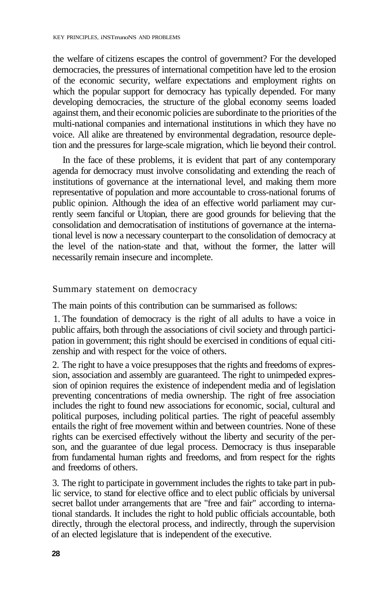the welfare of citizens escapes the control of government? For the developed democracies, the pressures of international competition have led to the erosion of the economic security, welfare expectations and employment rights on which the popular support for democracy has typically depended. For many developing democracies, the structure of the global economy seems loaded against them, and their economic policies are subordinate to the priorities of the multi-national companies and international institutions in which they have no voice. All alike are threatened by environmental degradation, resource depletion and the pressures for large-scale migration, which lie beyond their control.

In the face of these problems, it is evident that part of any contemporary agenda for democracy must involve consolidating and extending the reach of institutions of governance at the international level, and making them more representative of population and more accountable to cross-national forums of public opinion. Although the idea of an effective world parliament may currently seem fanciful or Utopian, there are good grounds for believing that the consolidation and democratisation of institutions of governance at the international level is now a necessary counterpart to the consolidation of democracy at the level of the nation-state and that, without the former, the latter will necessarily remain insecure and incomplete.

Summary statement on democracy

The main points of this contribution can be summarised as follows:

1. The foundation of democracy is the right of all adults to have a voice in public affairs, both through the associations of civil society and through participation in government; this right should be exercised in conditions of equal citizenship and with respect for the voice of others.

2. The right to have a voice presupposes that the rights and freedoms of expression, association and assembly are guaranteed. The right to unimpeded expression of opinion requires the existence of independent media and of legislation preventing concentrations of media ownership. The right of free association includes the right to found new associations for economic, social, cultural and political purposes, including political parties. The right of peaceful assembly entails the right of free movement within and between countries. None of these rights can be exercised effectively without the liberty and security of the person, and the guarantee of due legal process. Democracy is thus inseparable from fundamental human rights and freedoms, and from respect for the rights and freedoms of others.

3. The right to participate in government includes the rights to take part in public service, to stand for elective office and to elect public officials by universal secret ballot under arrangements that are "free and fair" according to international standards. It includes the right to hold public officials accountable, both directly, through the electoral process, and indirectly, through the supervision of an elected legislature that is independent of the executive.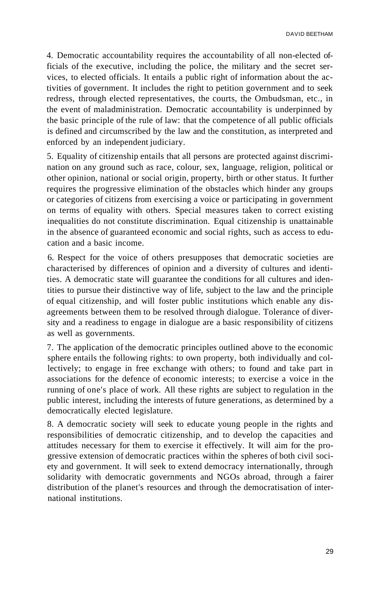DAVID BEETHAM

4. Democratic accountability requires the accountability of all non-elected officials of the executive, including the police, the military and the secret services, to elected officials. It entails a public right of information about the activities of government. It includes the right to petition government and to seek redress, through elected representatives, the courts, the Ombudsman, etc., in the event of maladministration. Democratic accountability is underpinned by the basic principle of the rule of law: that the competence of all public officials is defined and circumscribed by the law and the constitution, as interpreted and enforced by an independent judiciary.

5. Equality of citizenship entails that all persons are protected against discrimination on any ground such as race, colour, sex, language, religion, political or other opinion, national or social origin, property, birth or other status. It further requires the progressive elimination of the obstacles which hinder any groups or categories of citizens from exercising a voice or participating in government on terms of equality with others. Special measures taken to correct existing inequalities do not constitute discrimination. Equal citizenship is unattainable in the absence of guaranteed economic and social rights, such as access to education and a basic income.

6. Respect for the voice of others presupposes that democratic societies are characterised by differences of opinion and a diversity of cultures and identities. A democratic state will guarantee the conditions for all cultures and identities to pursue their distinctive way of life, subject to the law and the principle of equal citizenship, and will foster public institutions which enable any disagreements between them to be resolved through dialogue. Tolerance of diversity and a readiness to engage in dialogue are a basic responsibility of citizens as well as governments.

7. The application of the democratic principles outlined above to the economic sphere entails the following rights: to own property, both individually and collectively; to engage in free exchange with others; to found and take part in associations for the defence of economic interests; to exercise a voice in the running of one's place of work. All these rights are subject to regulation in the public interest, including the interests of future generations, as determined by a democratically elected legislature.

8. A democratic society will seek to educate young people in the rights and responsibilities of democratic citizenship, and to develop the capacities and attitudes necessary for them to exercise it effectively. It will aim for the progressive extension of democratic practices within the spheres of both civil society and government. It will seek to extend democracy internationally, through solidarity with democratic governments and NGOs abroad, through a fairer distribution of the planet's resources and through the democratisation of international institutions.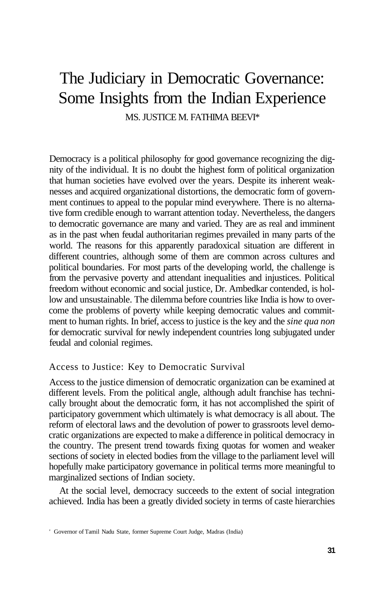# The Judiciary in Democratic Governance: Some Insights from the Indian Experience

MS. JUSTICE M. FATHIMA BEEVI\*

Democracy is a political philosophy for good governance recognizing the dignity of the individual. It is no doubt the highest form of political organization that human societies have evolved over the years. Despite its inherent weaknesses and acquired organizational distortions, the democratic form of government continues to appeal to the popular mind everywhere. There is no alternative form credible enough to warrant attention today. Nevertheless, the dangers to democratic governance are many and varied. They are as real and imminent as in the past when feudal authoritarian regimes prevailed in many parts of the world. The reasons for this apparently paradoxical situation are different in different countries, although some of them are common across cultures and political boundaries. For most parts of the developing world, the challenge is from the pervasive poverty and attendant inequalities and injustices. Political freedom without economic and social justice, Dr. Ambedkar contended, is hollow and unsustainable. The dilemma before countries like India is how to overcome the problems of poverty while keeping democratic values and commitment to human rights. In brief, access to justice is the key and the *sine qua non*  for democratic survival for newly independent countries long subjugated under feudal and colonial regimes.

#### Access to Justice: Key to Democratic Survival

Access to the justice dimension of democratic organization can be examined at different levels. From the political angle, although adult franchise has technically brought about the democratic form, it has not accomplished the spirit of participatory government which ultimately is what democracy is all about. The reform of electoral laws and the devolution of power to grassroots level democratic organizations are expected to make a difference in political democracy in the country. The present trend towards fixing quotas for women and weaker sections of society in elected bodies from the village to the parliament level will hopefully make participatory governance in political terms more meaningful to marginalized sections of Indian society.

At the social level, democracy succeeds to the extent of social integration achieved. India has been a greatly divided society in terms of caste hierarchies

<sup>&#</sup>x27; Governor of Tamil Nadu State, former Supreme Court Judge, Madras (India)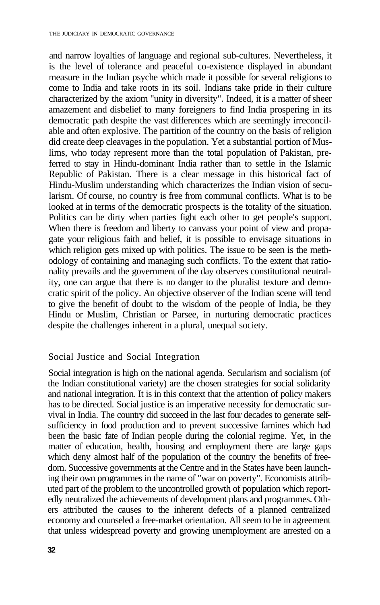and narrow loyalties of language and regional sub-cultures. Nevertheless, it is the level of tolerance and peaceful co-existence displayed in abundant measure in the Indian psyche which made it possible for several religions to come to India and take roots in its soil. Indians take pride in their culture characterized by the axiom "unity in diversity". Indeed, it is a matter of sheer amazement and disbelief to many foreigners to find India prospering in its democratic path despite the vast differences which are seemingly irreconcilable and often explosive. The partition of the country on the basis of religion did create deep cleavages in the population. Yet a substantial portion of Muslims, who today represent more than the total population of Pakistan, preferred to stay in Hindu-dominant India rather than to settle in the Islamic Republic of Pakistan. There is a clear message in this historical fact of Hindu-Muslim understanding which characterizes the Indian vision of secularism. Of course, no country is free from communal conflicts. What is to be looked at in terms of the democratic prospects is the totality of the situation. Politics can be dirty when parties fight each other to get people's support. When there is freedom and liberty to canvass your point of view and propagate your religious faith and belief, it is possible to envisage situations in which religion gets mixed up with politics. The issue to be seen is the methodology of containing and managing such conflicts. To the extent that rationality prevails and the government of the day observes constitutional neutrality, one can argue that there is no danger to the pluralist texture and democratic spirit of the policy. An objective observer of the Indian scene will tend to give the benefit of doubt to the wisdom of the people of India, be they Hindu or Muslim, Christian or Parsee, in nurturing democratic practices despite the challenges inherent in a plural, unequal society.

#### Social Justice and Social Integration

Social integration is high on the national agenda. Secularism and socialism (of the Indian constitutional variety) are the chosen strategies for social solidarity and national integration. It is in this context that the attention of policy makers has to be directed. Social justice is an imperative necessity for democratic survival in India. The country did succeed in the last four decades to generate selfsufficiency in food production and to prevent successive famines which had been the basic fate of Indian people during the colonial regime. Yet, in the matter of education, health, housing and employment there are large gaps which deny almost half of the population of the country the benefits of freedom. Successive governments at the Centre and in the States have been launching their own programmes in the name of "war on poverty". Economists attributed part of the problem to the uncontrolled growth of population which reportedly neutralized the achievements of development plans and programmes. Others attributed the causes to the inherent defects of a planned centralized economy and counseled a free-market orientation. All seem to be in agreement that unless widespread poverty and growing unemployment are arrested on a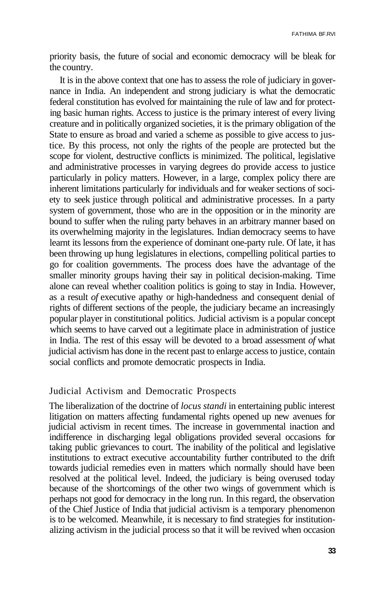priority basis, the future of social and economic democracy will be bleak for the country.

It is in the above context that one has to assess the role of judiciary in governance in India. An independent and strong judiciary is what the democratic federal constitution has evolved for maintaining the rule of law and for protecting basic human rights. Access to justice is the primary interest of every living creature and in politically organized societies, it is the primary obligation of the State to ensure as broad and varied a scheme as possible to give access to justice. By this process, not only the rights of the people are protected but the scope for violent, destructive conflicts is minimized. The political, legislative and administrative processes in varying degrees do provide access to justice particularly in policy matters. However, in a large, complex policy there are inherent limitations particularly for individuals and for weaker sections of society to seek justice through political and administrative processes. In a party system of government, those who are in the opposition or in the minority are bound to suffer when the ruling party behaves in an arbitrary manner based on its overwhelming majority in the legislatures. Indian democracy seems to have learnt its lessons from the experience of dominant one-party rule. Of late, it has been throwing up hung legislatures in elections, compelling political parties to go for coalition governments. The process does have the advantage of the smaller minority groups having their say in political decision-making. Time alone can reveal whether coalition politics is going to stay in India. However, as a result *of* executive apathy or high-handedness and consequent denial of rights of different sections of the people, the judiciary became an increasingly popular player in constitutional politics. Judicial activism is a popular concept which seems to have carved out a legitimate place in administration of justice in India. The rest of this essay will be devoted to a broad assessment *of* what judicial activism has done in the recent past to enlarge access to justice, contain social conflicts and promote democratic prospects in India.

#### Judicial Activism and Democratic Prospects

The liberalization of the doctrine of *locus standi* in entertaining public interest litigation on matters affecting fundamental rights opened up new avenues for judicial activism in recent times. The increase in governmental inaction and indifference in discharging legal obligations provided several occasions for taking public grievances to court. The inability of the political and legislative institutions to extract executive accountability further contributed to the drift towards judicial remedies even in matters which normally should have been resolved at the political level. Indeed, the judiciary is being overused today because of the shortcomings of the other two wings of government which is perhaps not good for democracy in the long run. In this regard, the observation of the Chief Justice of India that judicial activism is a temporary phenomenon is to be welcomed. Meanwhile, it is necessary to find strategies for institutionalizing activism in the judicial process so that it will be revived when occasion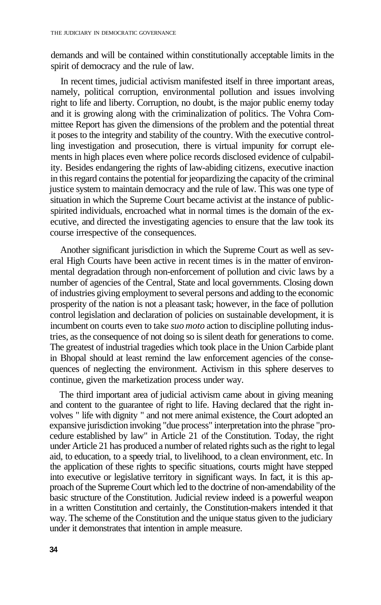demands and will be contained within constitutionally acceptable limits in the spirit of democracy and the rule of law.

In recent times, judicial activism manifested itself in three important areas, namely, political corruption, environmental pollution and issues involving right to life and liberty. Corruption, no doubt, is the major public enemy today and it is growing along with the criminalization of politics. The Vohra Committee Report has given the dimensions of the problem and the potential threat it poses to the integrity and stability of the country. With the executive controlling investigation and prosecution, there is virtual impunity for corrupt elements in high places even where police records disclosed evidence of culpability. Besides endangering the rights of law-abiding citizens, executive inaction in this regard contains the potential for jeopardizing the capacity of the criminal justice system to maintain democracy and the rule of law. This was one type of situation in which the Supreme Court became activist at the instance of publicspirited individuals, encroached what in normal times is the domain of the executive, and directed the investigating agencies to ensure that the law took its course irrespective of the consequences.

Another significant jurisdiction in which the Supreme Court as well as several High Courts have been active in recent times is in the matter of environmental degradation through non-enforcement of pollution and civic laws by a number of agencies of the Central, State and local governments. Closing down of industries giving employment to several persons and adding to the economic prosperity of the nation is not a pleasant task; however, in the face of pollution control legislation and declaration of policies on sustainable development, it is incumbent on courts even to take *suo moto* action to discipline polluting industries, as the consequence of not doing so is silent death for generations to come. The greatest of industrial tragedies which took place in the Union Carbide plant in Bhopal should at least remind the law enforcement agencies of the consequences of neglecting the environment. Activism in this sphere deserves to continue, given the marketization process under way.

The third important area of judicial activism came about in giving meaning and content to the guarantee of right to life. Having declared that the right involves " life with dignity " and not mere animal existence, the Court adopted an expansive jurisdiction invoking "due process" interpretation into the phrase "procedure established by law" in Article 21 of the Constitution. Today, the right under Article 21 has produced a number of related rights such as the right to legal aid, to education, to a speedy trial, to livelihood, to a clean environment, etc. In the application of these rights to specific situations, courts might have stepped into executive or legislative territory in significant ways. In fact, it is this approach of the Supreme Court which led to the doctrine of non-amendability of the basic structure of the Constitution. Judicial review indeed is a powerful weapon in a written Constitution and certainly, the Constitution-makers intended it that way. The scheme of the Constitution and the unique status given to the judiciary under it demonstrates that intention in ample measure.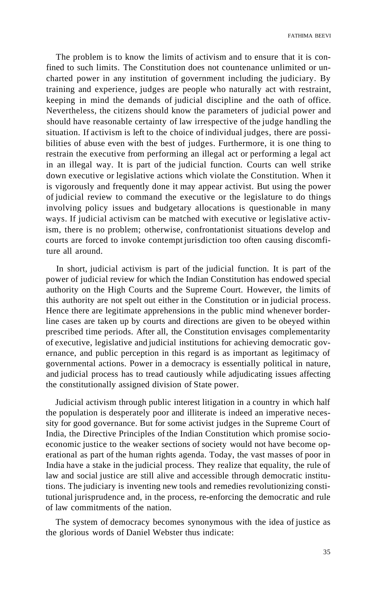FATHIMA BEEVI

The problem is to know the limits of activism and to ensure that it is confined to such limits. The Constitution does not countenance unlimited or uncharted power in any institution of government including the judiciary. By training and experience, judges are people who naturally act with restraint, keeping in mind the demands of judicial discipline and the oath of office. Nevertheless, the citizens should know the parameters of judicial power and should have reasonable certainty of law irrespective of the judge handling the situation. If activism is left to the choice of individual judges, there are possibilities of abuse even with the best of judges. Furthermore, it is one thing to restrain the executive from performing an illegal act or performing a legal act in an illegal way. It is part of the judicial function. Courts can well strike down executive or legislative actions which violate the Constitution. When it is vigorously and frequently done it may appear activist. But using the power of judicial review to command the executive or the legislature to do things involving policy issues and budgetary allocations is questionable in many ways. If judicial activism can be matched with executive or legislative activism, there is no problem; otherwise, confrontationist situations develop and courts are forced to invoke contempt jurisdiction too often causing discomfiture all around.

In short, judicial activism is part of the judicial function. It is part of the power of judicial review for which the Indian Constitution has endowed special authority on the High Courts and the Supreme Court. However, the limits of this authority are not spelt out either in the Constitution or in judicial process. Hence there are legitimate apprehensions in the public mind whenever borderline cases are taken up by courts and directions are given to be obeyed within prescribed time periods. After all, the Constitution envisages complementarity of executive, legislative and judicial institutions for achieving democratic governance, and public perception in this regard is as important as legitimacy of governmental actions. Power in a democracy is essentially political in nature, and judicial process has to tread cautiously while adjudicating issues affecting the constitutionally assigned division of State power.

Judicial activism through public interest litigation in a country in which half the population is desperately poor and illiterate is indeed an imperative necessity for good governance. But for some activist judges in the Supreme Court of India, the Directive Principles of the Indian Constitution which promise socioeconomic justice to the weaker sections of society would not have become operational as part of the human rights agenda. Today, the vast masses of poor in India have a stake in the judicial process. They realize that equality, the rule of law and social justice are still alive and accessible through democratic institutions. The judiciary is inventing new tools and remedies revolutionizing constitutional jurisprudence and, in the process, re-enforcing the democratic and rule of law commitments of the nation.

The system of democracy becomes synonymous with the idea of justice as the glorious words of Daniel Webster thus indicate: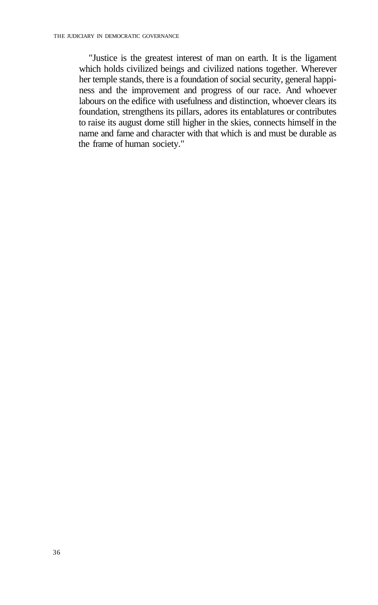"Justice is the greatest interest of man on earth. It is the ligament which holds civilized beings and civilized nations together. Wherever her temple stands, there is a foundation of social security, general happiness and the improvement and progress of our race. And whoever labours on the edifice with usefulness and distinction, whoever clears its foundation, strengthens its pillars, adores its entablatures or contributes to raise its august dome still higher in the skies, connects himself in the name and fame and character with that which is and must be durable as the frame of human society."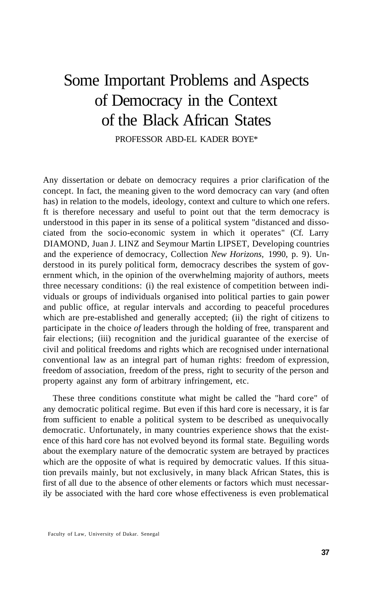# Some Important Problems and Aspects of Democracy in the Context of the Black African States

PROFESSOR ABD-EL KADER BOYE\*

Any dissertation or debate on democracy requires a prior clarification of the concept. In fact, the meaning given to the word democracy can vary (and often has) in relation to the models, ideology, context and culture to which one refers. ft is therefore necessary and useful to point out that the term democracy is understood in this paper in its sense of a political system "distanced and dissociated from the socio-economic system in which it operates" (Cf. Larry DIAMOND, Juan J. LINZ and Seymour Martin LIPSET, Developing countries and the experience of democracy, Collection *New Horizons,* 1990, p. 9). Understood in its purely political form, democracy describes the system of government which, in the opinion of the overwhelming majority of authors, meets three necessary conditions: (i) the real existence of competition between individuals or groups of individuals organised into political parties to gain power and public office, at regular intervals and according to peaceful procedures which are pre-established and generally accepted; (ii) the right of citizens to participate in the choice *of* leaders through the holding of free, transparent and fair elections; (iii) recognition and the juridical guarantee of the exercise of civil and political freedoms and rights which are recognised under international conventional law as an integral part of human rights: freedom of expression, freedom of association, freedom of the press, right to security of the person and property against any form of arbitrary infringement, etc.

These three conditions constitute what might be called the "hard core" of any democratic political regime. But even if this hard core is necessary, it is far from sufficient to enable a political system to be described as unequivocally democratic. Unfortunately, in many countries experience shows that the existence of this hard core has not evolved beyond its formal state. Beguiling words about the exemplary nature of the democratic system are betrayed by practices which are the opposite of what is required by democratic values. If this situation prevails mainly, but not exclusively, in many black African States, this is first of all due to the absence of other elements or factors which must necessarily be associated with the hard core whose effectiveness is even problematical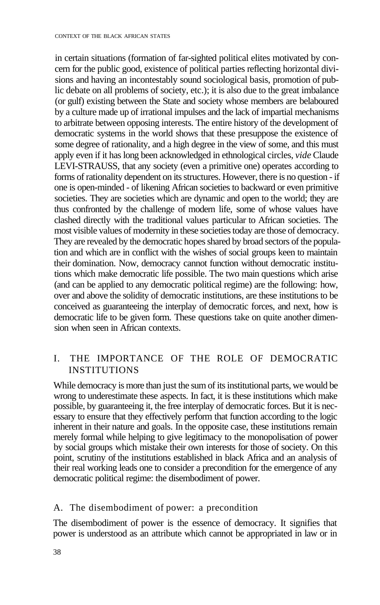in certain situations (formation of far-sighted political elites motivated by concern for the public good, existence of political parties reflecting horizontal divisions and having an incontestably sound sociological basis, promotion of public debate on all problems of society, etc.); it is also due to the great imbalance (or gulf) existing between the State and society whose members are belaboured by a culture made up of irrational impulses and the lack of impartial mechanisms to arbitrate between opposing interests. The entire history of the development of democratic systems in the world shows that these presuppose the existence of some degree of rationality, and a high degree in the view of some, and this must apply even if it has long been acknowledged in ethnological circles, *vide* Claude LEVI-STRAUSS, that any society (even a primitive one) operates according to forms of rationality dependent on its structures. However, there is no question - if one is open-minded - of likening African societies to backward or even primitive societies. They are societies which are dynamic and open to the world; they are thus confronted by the challenge of modern life, some of whose values have clashed directly with the traditional values particular to African societies. The most visible values of modernity in these societies today are those of democracy. They are revealed by the democratic hopes shared by broad sectors of the population and which are in conflict with the wishes of social groups keen to maintain their domination. Now, democracy cannot function without democratic institutions which make democratic life possible. The two main questions which arise (and can be applied to any democratic political regime) are the following: how, over and above the solidity of democratic institutions, are these institutions to be conceived as guaranteeing the interplay of democratic forces, and next, how is democratic life to be given form. These questions take on quite another dimension when seen in African contexts.

### I. THE IMPORTANCE OF THE ROLE OF DEMOCRATIC INSTITUTIONS

While democracy is more than just the sum of its institutional parts, we would be wrong to underestimate these aspects. In fact, it is these institutions which make possible, by guaranteeing it, the free interplay of democratic forces. But it is necessary to ensure that they effectively perform that function according to the logic inherent in their nature and goals. In the opposite case, these institutions remain merely formal while helping to give legitimacy to the monopolisation of power by social groups which mistake their own interests for those of society. On this point, scrutiny of the institutions established in black Africa and an analysis of their real working leads one to consider a precondition for the emergence of any democratic political regime: the disembodiment of power.

#### A. The disembodiment of power: a precondition

The disembodiment of power is the essence of democracy. It signifies that power is understood as an attribute which cannot be appropriated in law or in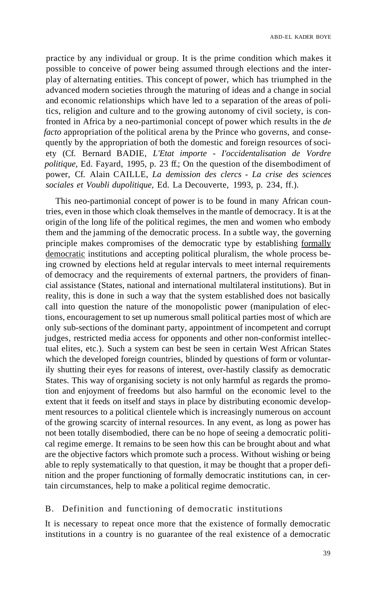practice by any individual or group. It is the prime condition which makes it possible to conceive of power being assumed through elections and the interplay of alternating entities. This concept of power, which has triumphed in the advanced modern societies through the maturing of ideas and a change in social and economic relationships which have led to a separation of the areas of politics, religion and culture and to the growing autonomy of civil society, is confronted in Africa by a neo-partimonial concept of power which results in the *de facto* appropriation of the political arena by the Prince who governs, and consequently by the appropriation of both the domestic and foreign resources of society (Cf. Bernard BADIE, *L'Etat importe - I'occidentalisation de Vordre politique,* Ed. Fayard, 1995, p. 23 ff.; On the question of the disembodiment of power, Cf. Alain CAILLE, *La demission des clercs - La crise des sciences sociales et Voubli dupolitique,* Ed. La Decouverte, 1993, p. 234, ff.).

This neo-partimonial concept of power is to be found in many African countries, even in those which cloak themselves in the mantle of democracy. It is at the origin of the long life of the political regimes, the men and women who embody them and the jamming of the democratic process. In a subtle way, the governing principle makes compromises of the democratic type by establishing formally democratic institutions and accepting political pluralism, the whole process being crowned by elections held at regular intervals to meet internal requirements of democracy and the requirements of external partners, the providers of financial assistance (States, national and international multilateral institutions). But in reality, this is done in such a way that the system established does not basically call into question the nature of the monopolistic power (manipulation of elections, encouragement to set up numerous small political parties most of which are only sub-sections of the dominant party, appointment of incompetent and corrupt judges, restricted media access for opponents and other non-conformist intellectual elites, etc.). Such a system can best be seen in certain West African States which the developed foreign countries, blinded by questions of form or voluntarily shutting their eyes for reasons of interest, over-hastily classify as democratic States. This way of organising society is not only harmful as regards the promotion and enjoyment of freedoms but also harmful on the economic level to the extent that it feeds on itself and stays in place by distributing economic development resources to a political clientele which is increasingly numerous on account of the growing scarcity of internal resources. In any event, as long as power has not been totally disembodied, there can be no hope of seeing a democratic political regime emerge. It remains to be seen how this can be brought about and what are the objective factors which promote such a process. Without wishing or being able to reply systematically to that question, it may be thought that a proper definition and the proper functioning of formally democratic institutions can, in certain circumstances, help to make a political regime democratic.

#### B. Definition and functioning of democratic institutions

It is necessary to repeat once more that the existence of formally democratic institutions in a country is no guarantee of the real existence of a democratic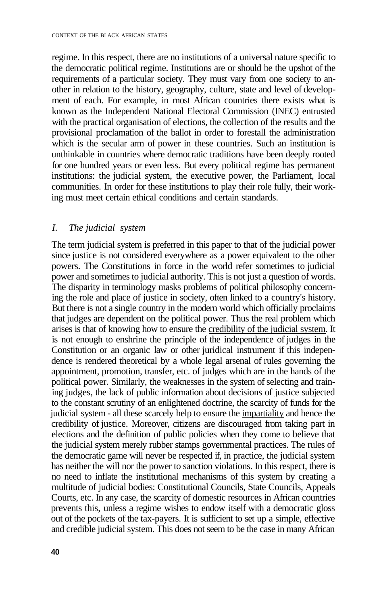regime. In this respect, there are no institutions of a universal nature specific to the democratic political regime. Institutions are or should be the upshot of the requirements of a particular society. They must vary from one society to another in relation to the history, geography, culture, state and level of development of each. For example, in most African countries there exists what is known as the Independent National Electoral Commission (INEC) entrusted with the practical organisation of elections, the collection of the results and the provisional proclamation of the ballot in order to forestall the administration which is the secular arm of power in these countries. Such an institution is unthinkable in countries where democratic traditions have been deeply rooted for one hundred years or even less. But every political regime has permanent institutions: the judicial system, the executive power, the Parliament, local communities. In order for these institutions to play their role fully, their working must meet certain ethical conditions and certain standards.

#### *I. The judicial system*

The term judicial system is preferred in this paper to that of the judicial power since justice is not considered everywhere as a power equivalent to the other powers. The Constitutions in force in the world refer sometimes to judicial power and sometimes to judicial authority. This is not just a question of words. The disparity in terminology masks problems of political philosophy concerning the role and place of justice in society, often linked to a country's history. But there is not a single country in the modern world which officially proclaims that judges are dependent on the political power. Thus the real problem which arises is that of knowing how to ensure the credibility of the judicial system. It is not enough to enshrine the principle of the independence of judges in the Constitution or an organic law or other juridical instrument if this independence is rendered theoretical by a whole legal arsenal of rules governing the appointment, promotion, transfer, etc. of judges which are in the hands of the political power. Similarly, the weaknesses in the system of selecting and training judges, the lack of public information about decisions of justice subjected to the constant scrutiny of an enlightened doctrine, the scarcity of funds for the judicial system - all these scarcely help to ensure the impartiality and hence the credibility of justice. Moreover, citizens are discouraged from taking part in elections and the definition of public policies when they come to believe that the judicial system merely rubber stamps governmental practices. The rules of the democratic game will never be respected if, in practice, the judicial system has neither the will nor the power to sanction violations. In this respect, there is no need to inflate the institutional mechanisms of this system by creating a multitude of judicial bodies: Constitutional Councils, State Councils, Appeals Courts, etc. In any case, the scarcity of domestic resources in African countries prevents this, unless a regime wishes to endow itself with a democratic gloss out of the pockets of the tax-payers. It is sufficient to set up a simple, effective and credible judicial system. This does not seem to be the case in many African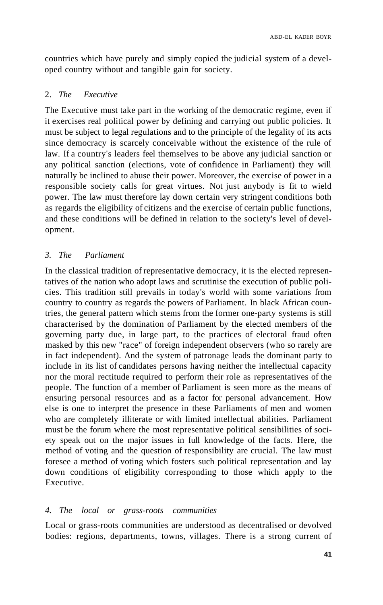countries which have purely and simply copied the judicial system of a developed country without and tangible gain for society.

#### 2. *The Executive*

The Executive must take part in the working of the democratic regime, even if it exercises real political power by defining and carrying out public policies. It must be subject to legal regulations and to the principle of the legality of its acts since democracy is scarcely conceivable without the existence of the rule of law. If a country's leaders feel themselves to be above any judicial sanction or any political sanction (elections, vote of confidence in Parliament) they will naturally be inclined to abuse their power. Moreover, the exercise of power in a responsible society calls for great virtues. Not just anybody is fit to wield power. The law must therefore lay down certain very stringent conditions both as regards the eligibility of citizens and the exercise of certain public functions, and these conditions will be defined in relation to the society's level of development.

#### *3. The Parliament*

In the classical tradition of representative democracy, it is the elected representatives of the nation who adopt laws and scrutinise the execution of public policies. This tradition still prevails in today's world with some variations from country to country as regards the powers of Parliament. In black African countries, the general pattern which stems from the former one-party systems is still characterised by the domination of Parliament by the elected members of the governing party due, in large part, to the practices of electoral fraud often masked by this new "race" of foreign independent observers (who so rarely are in fact independent). And the system of patronage leads the dominant party to include in its list of candidates persons having neither the intellectual capacity nor the moral rectitude required to perform their role as representatives of the people. The function of a member of Parliament is seen more as the means of ensuring personal resources and as a factor for personal advancement. How else is one to interpret the presence in these Parliaments of men and women who are completely illiterate or with limited intellectual abilities. Parliament must be the forum where the most representative political sensibilities of society speak out on the major issues in full knowledge of the facts. Here, the method of voting and the question of responsibility are crucial. The law must foresee a method of voting which fosters such political representation and lay down conditions of eligibility corresponding to those which apply to the Executive.

#### *4. The local or grass-roots communities*

Local or grass-roots communities are understood as decentralised or devolved bodies: regions, departments, towns, villages. There is a strong current of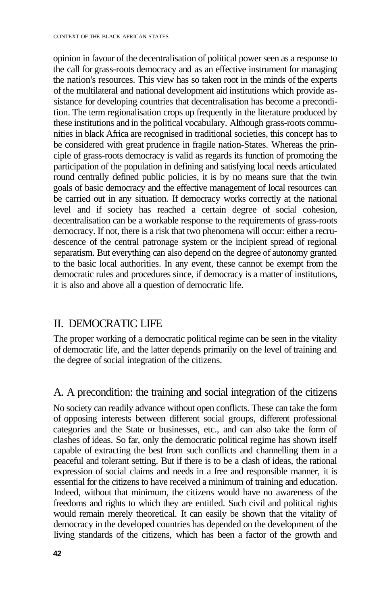opinion in favour of the decentralisation of political power seen as a response to the call for grass-roots democracy and as an effective instrument for managing the nation's resources. This view has so taken root in the minds of the experts of the multilateral and national development aid institutions which provide assistance for developing countries that decentralisation has become a precondition. The term regionalisation crops up frequently in the literature produced by these institutions and in the political vocabulary. Although grass-roots communities in black Africa are recognised in traditional societies, this concept has to be considered with great prudence in fragile nation-States. Whereas the principle of grass-roots democracy is valid as regards its function of promoting the participation of the population in defining and satisfying local needs articulated round centrally defined public policies, it is by no means sure that the twin goals of basic democracy and the effective management of local resources can be carried out in any situation. If democracy works correctly at the national level and if society has reached a certain degree of social cohesion, decentralisation can be a workable response to the requirements of grass-roots democracy. If not, there is a risk that two phenomena will occur: either a recrudescence of the central patronage system or the incipient spread of regional separatism. But everything can also depend on the degree of autonomy granted to the basic local authorities. In any event, these cannot be exempt from the democratic rules and procedures since, if democracy is a matter of institutions, it is also and above all a question of democratic life.

## II. DEMOCRATIC LIFE

The proper working of a democratic political regime can be seen in the vitality of democratic life, and the latter depends primarily on the level of training and the degree of social integration of the citizens.

## A. A precondition: the training and social integration of the citizens

No society can readily advance without open conflicts. These can take the form of opposing interests between different social groups, different professional categories and the State or businesses, etc., and can also take the form of clashes of ideas. So far, only the democratic political regime has shown itself capable of extracting the best from such conflicts and channelling them in a peaceful and tolerant setting. But if there is to be a clash of ideas, the rational expression of social claims and needs in a free and responsible manner, it is essential for the citizens to have received a minimum of training and education. Indeed, without that minimum, the citizens would have no awareness of the freedoms and rights to which they are entitled. Such civil and political rights would remain merely theoretical. It can easily be shown that the vitality of democracy in the developed countries has depended on the development of the living standards of the citizens, which has been a factor of the growth and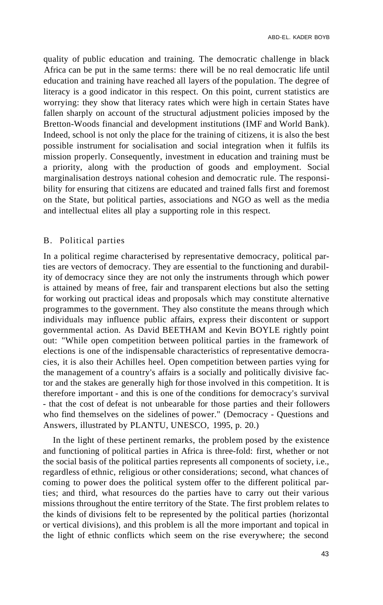quality of public education and training. The democratic challenge in black Africa can be put in the same terms: there will be no real democratic life until education and training have reached all layers of the population. The degree of literacy is a good indicator in this respect. On this point, current statistics are worrying: they show that literacy rates which were high in certain States have fallen sharply on account of the structural adjustment policies imposed by the Bretton-Woods financial and development institutions (IMF and World Bank). Indeed, school is not only the place for the training of citizens, it is also the best possible instrument for socialisation and social integration when it fulfils its mission properly. Consequently, investment in education and training must be a priority, along with the production of goods and employment. Social marginalisation destroys national cohesion and democratic rule. The responsibility for ensuring that citizens are educated and trained falls first and foremost on the State, but political parties, associations and NGO as well as the media and intellectual elites all play a supporting role in this respect.

#### B. Political parties

In a political regime characterised by representative democracy, political parties are vectors of democracy. They are essential to the functioning and durability of democracy since they are not only the instruments through which power is attained by means of free, fair and transparent elections but also the setting for working out practical ideas and proposals which may constitute alternative programmes to the government. They also constitute the means through which individuals may influence public affairs, express their discontent or support governmental action. As David BEETHAM and Kevin BOYLE rightly point out: "While open competition between political parties in the framework of elections is one of the indispensable characteristics of representative democracies, it is also their Achilles heel. Open competition between parties vying for the management of a country's affairs is a socially and politically divisive factor and the stakes are generally high for those involved in this competition. It is therefore important - and this is one of the conditions for democracy's survival - that the cost of defeat is not unbearable for those parties and their followers who find themselves on the sidelines of power." (Democracy - Questions and Answers, illustrated by PLANTU, UNESCO, 1995, p. 20.)

In the light of these pertinent remarks, the problem posed by the existence and functioning of political parties in Africa is three-fold: first, whether or not the social basis of the political parties represents all components of society, i.e., regardless of ethnic, religious or other considerations; second, what chances of coming to power does the political system offer to the different political parties; and third, what resources do the parties have to carry out their various missions throughout the entire territory of the State. The first problem relates to the kinds of divisions felt to be represented by the political parties (horizontal or vertical divisions), and this problem is all the more important and topical in the light of ethnic conflicts which seem on the rise everywhere; the second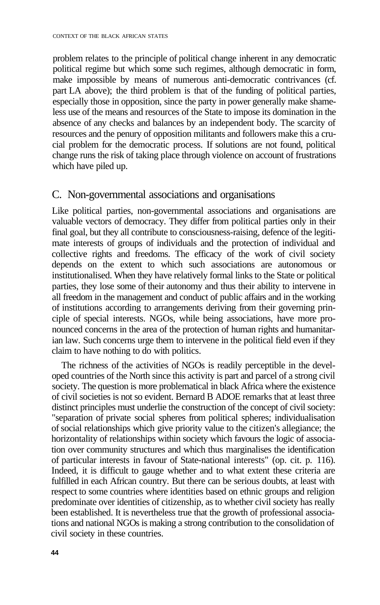problem relates to the principle of political change inherent in any democratic political regime but which some such regimes, although democratic in form, make impossible by means of numerous anti-democratic contrivances (cf. part LA above); the third problem is that of the funding of political parties, especially those in opposition, since the party in power generally make shameless use of the means and resources of the State to impose its domination in the absence of any checks and balances by an independent body. The scarcity of resources and the penury of opposition militants and followers make this a crucial problem for the democratic process. If solutions are not found, political change runs the risk of taking place through violence on account of frustrations which have piled up.

## C. Non-governmental associations and organisations

Like political parties, non-governmental associations and organisations are valuable vectors of democracy. They differ from political parties only in their final goal, but they all contribute to consciousness-raising, defence of the legitimate interests of groups of individuals and the protection of individual and collective rights and freedoms. The efficacy of the work of civil society depends on the extent to which such associations are autonomous or institutionalised. When they have relatively formal links to the State or political parties, they lose some of their autonomy and thus their ability to intervene in all freedom in the management and conduct of public affairs and in the working of institutions according to arrangements deriving from their governing principle of special interests. NGOs, while being associations, have more pronounced concerns in the area of the protection of human rights and humanitarian law. Such concerns urge them to intervene in the political field even if they claim to have nothing to do with politics.

The richness of the activities of NGOs is readily perceptible in the developed countries of the North since this activity is part and parcel of a strong civil society. The question is more problematical in black Africa where the existence of civil societies is not so evident. Bernard B ADOE remarks that at least three distinct principles must underlie the construction of the concept of civil society: "separation of private social spheres from political spheres; individualisation of social relationships which give priority value to the citizen's allegiance; the horizontality of relationships within society which favours the logic of association over community structures and which thus marginalises the identification of particular interests in favour of State-national interests" (op. cit. p. 116). Indeed, it is difficult to gauge whether and to what extent these criteria are fulfilled in each African country. But there can be serious doubts, at least with respect to some countries where identities based on ethnic groups and religion predominate over identities of citizenship, as to whether civil society has really been established. It is nevertheless true that the growth of professional associations and national NGOs is making a strong contribution to the consolidation of civil society in these countries.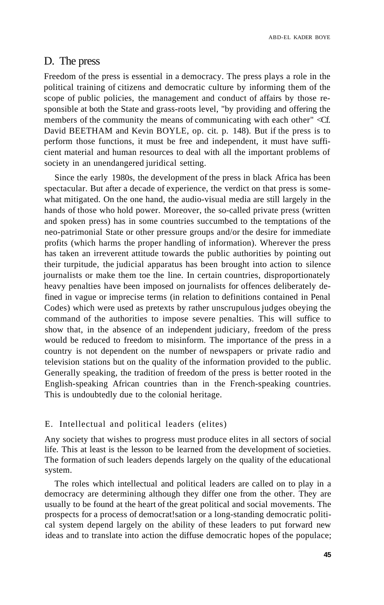#### D. The press

Freedom of the press is essential in a democracy. The press plays a role in the political training of citizens and democratic culture by informing them of the scope of public policies, the management and conduct of affairs by those responsible at both the State and grass-roots level, "by providing and offering the members of the community the means of communicating with each other" <Cf. David BEETHAM and Kevin BOYLE, op. cit. p. 148). But if the press is to perform those functions, it must be free and independent, it must have sufficient material and human resources to deal with all the important problems of society in an unendangered juridical setting.

Since the early 1980s, the development of the press in black Africa has been spectacular. But after a decade of experience, the verdict on that press is somewhat mitigated. On the one hand, the audio-visual media are still largely in the hands of those who hold power. Moreover, the so-called private press (written and spoken press) has in some countries succumbed to the temptations of the neo-patrimonial State or other pressure groups and/or the desire for immediate profits (which harms the proper handling of information). Wherever the press has taken an irreverent attitude towards the public authorities by pointing out their turpitude, the judicial apparatus has been brought into action to silence journalists or make them toe the line. In certain countries, disproportionately heavy penalties have been imposed on journalists for offences deliberately defined in vague or imprecise terms (in relation to definitions contained in Penal Codes) which were used as pretexts by rather unscrupulous judges obeying the command of the authorities to impose severe penalties. This will suffice to show that, in the absence of an independent judiciary, freedom of the press would be reduced to freedom to misinform. The importance of the press in a country is not dependent on the number of newspapers or private radio and television stations but on the quality of the information provided to the public. Generally speaking, the tradition of freedom of the press is better rooted in the English-speaking African countries than in the French-speaking countries. This is undoubtedly due to the colonial heritage.

#### E. Intellectual and political leaders (elites)

Any society that wishes to progress must produce elites in all sectors of social life. This at least is the lesson to be learned from the development of societies. The formation of such leaders depends largely on the quality of the educational system.

The roles which intellectual and political leaders are called on to play in a democracy are determining although they differ one from the other. They are usually to be found at the heart of the great political and social movements. The prospects for a process of democrat!sation or a long-standing democratic political system depend largely on the ability of these leaders to put forward new ideas and to translate into action the diffuse democratic hopes of the populace;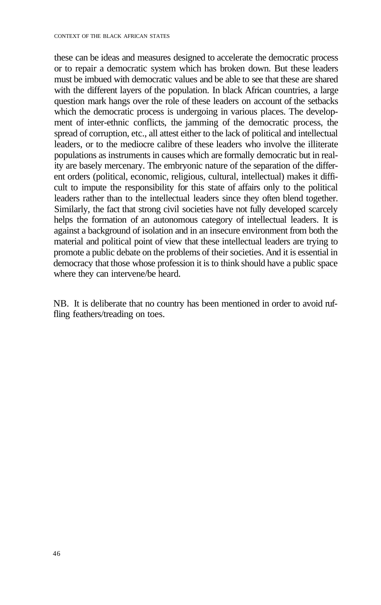these can be ideas and measures designed to accelerate the democratic process or to repair a democratic system which has broken down. But these leaders must be imbued with democratic values and be able to see that these are shared with the different layers of the population. In black African countries, a large question mark hangs over the role of these leaders on account of the setbacks which the democratic process is undergoing in various places. The development of inter-ethnic conflicts, the jamming of the democratic process, the spread of corruption, etc., all attest either to the lack of political and intellectual leaders, or to the mediocre calibre of these leaders who involve the illiterate populations as instruments in causes which are formally democratic but in reality are basely mercenary. The embryonic nature of the separation of the different orders (political, economic, religious, cultural, intellectual) makes it difficult to impute the responsibility for this state of affairs only to the political leaders rather than to the intellectual leaders since they often blend together. Similarly, the fact that strong civil societies have not fully developed scarcely helps the formation of an autonomous category of intellectual leaders. It is against a background of isolation and in an insecure environment from both the material and political point of view that these intellectual leaders are trying to promote a public debate on the problems of their societies. And it is essential in democracy that those whose profession it is to think should have a public space where they can intervene/be heard.

NB. It is deliberate that no country has been mentioned in order to avoid ruffling feathers/treading on toes.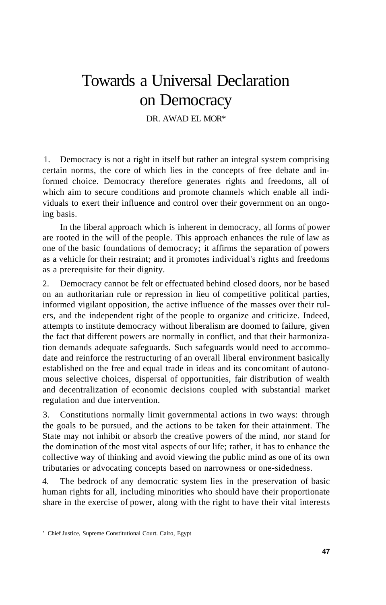## Towards a Universal Declaration on Democracy

DR. AWAD EL MOR\*

1. Democracy is not a right in itself but rather an integral system comprising certain norms, the core of which lies in the concepts of free debate and informed choice. Democracy therefore generates rights and freedoms, all of which aim to secure conditions and promote channels which enable all individuals to exert their influence and control over their government on an ongoing basis.

In the liberal approach which is inherent in democracy, all forms of power are rooted in the will of the people. This approach enhances the rule of law as one of the basic foundations of democracy; it affirms the separation of powers as a vehicle for their restraint; and it promotes individual's rights and freedoms as a prerequisite for their dignity.

2. Democracy cannot be felt or effectuated behind closed doors, nor be based on an authoritarian rule or repression in lieu of competitive political parties, informed vigilant opposition, the active influence of the masses over their rulers, and the independent right of the people to organize and criticize. Indeed, attempts to institute democracy without liberalism are doomed to failure, given the fact that different powers are normally in conflict, and that their harmonization demands adequate safeguards. Such safeguards would need to accommodate and reinforce the restructuring of an overall liberal environment basically established on the free and equal trade in ideas and its concomitant of autonomous selective choices, dispersal of opportunities, fair distribution of wealth and decentralization of economic decisions coupled with substantial market regulation and due intervention.

3. Constitutions normally limit governmental actions in two ways: through the goals to be pursued, and the actions to be taken for their attainment. The State may not inhibit or absorb the creative powers of the mind, nor stand for the domination of the most vital aspects of our life; rather, it has to enhance the collective way of thinking and avoid viewing the public mind as one of its own tributaries or advocating concepts based on narrowness or one-sidedness.

4. The bedrock of any democratic system lies in the preservation of basic human rights for all, including minorities who should have their proportionate share in the exercise of power, along with the right to have their vital interests

<sup>&#</sup>x27; Chief Justice, Supreme Constitutional Court. Cairo, Egypt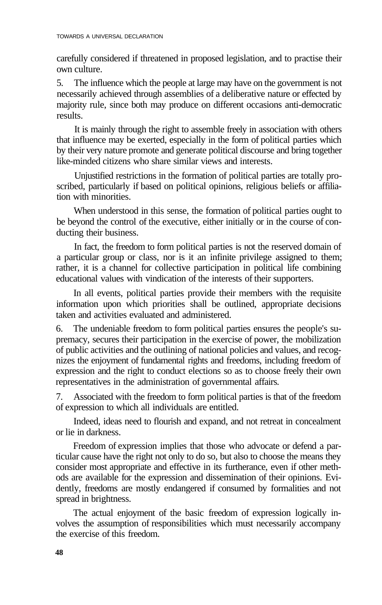carefully considered if threatened in proposed legislation, and to practise their own culture.

5. The influence which the people at large may have on the government is not necessarily achieved through assemblies of a deliberative nature or effected by majority rule, since both may produce on different occasions anti-democratic results.

It is mainly through the right to assemble freely in association with others that influence may be exerted, especially in the form of political parties which by their very nature promote and generate political discourse and bring together like-minded citizens who share similar views and interests.

Unjustified restrictions in the formation of political parties are totally proscribed, particularly if based on political opinions, religious beliefs or affiliation with minorities.

When understood in this sense, the formation of political parties ought to be beyond the control of the executive, either initially or in the course of conducting their business.

In fact, the freedom to form political parties is not the reserved domain of a particular group or class, nor is it an infinite privilege assigned to them; rather, it is a channel for collective participation in political life combining educational values with vindication of the interests of their supporters.

In all events, political parties provide their members with the requisite information upon which priorities shall be outlined, appropriate decisions taken and activities evaluated and administered.

6. The undeniable freedom to form political parties ensures the people's supremacy, secures their participation in the exercise of power, the mobilization of public activities and the outlining of national policies and values, and recognizes the enjoyment of fundamental rights and freedoms, including freedom of expression and the right to conduct elections so as to choose freely their own representatives in the administration of governmental affairs.

7. Associated with the freedom to form political parties is that of the freedom of expression to which all individuals are entitled.

Indeed, ideas need to flourish and expand, and not retreat in concealment or lie in darkness.

Freedom of expression implies that those who advocate or defend a particular cause have the right not only to do so, but also to choose the means they consider most appropriate and effective in its furtherance, even if other methods are available for the expression and dissemination of their opinions. Evidently, freedoms are mostly endangered if consumed by formalities and not spread in brightness.

The actual enjoyment of the basic freedom of expression logically involves the assumption of responsibilities which must necessarily accompany the exercise of this freedom.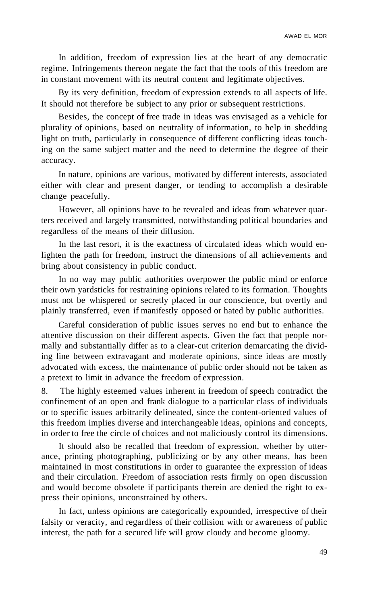In addition, freedom of expression lies at the heart of any democratic regime. Infringements thereon negate the fact that the tools of this freedom are in constant movement with its neutral content and legitimate objectives.

By its very definition, freedom of expression extends to all aspects of life. It should not therefore be subject to any prior or subsequent restrictions.

Besides, the concept of free trade in ideas was envisaged as a vehicle for plurality of opinions, based on neutrality of information, to help in shedding light on truth, particularly in consequence of different conflicting ideas touching on the same subject matter and the need to determine the degree of their accuracy.

In nature, opinions are various, motivated by different interests, associated either with clear and present danger, or tending to accomplish a desirable change peacefully.

However, all opinions have to be revealed and ideas from whatever quarters received and largely transmitted, notwithstanding political boundaries and regardless of the means of their diffusion.

In the last resort, it is the exactness of circulated ideas which would enlighten the path for freedom, instruct the dimensions of all achievements and bring about consistency in public conduct.

In no way may public authorities overpower the public mind or enforce their own yardsticks for restraining opinions related to its formation. Thoughts must not be whispered or secretly placed in our conscience, but overtly and plainly transferred, even if manifestly opposed or hated by public authorities.

Careful consideration of public issues serves no end but to enhance the attentive discussion on their different aspects. Given the fact that people normally and substantially differ as to a clear-cut criterion demarcating the dividing line between extravagant and moderate opinions, since ideas are mostly advocated with excess, the maintenance of public order should not be taken as a pretext to limit in advance the freedom of expression.

8. The highly esteemed values inherent in freedom of speech contradict the confinement of an open and frank dialogue to a particular class of individuals or to specific issues arbitrarily delineated, since the content-oriented values of this freedom implies diverse and interchangeable ideas, opinions and concepts, in order to free the circle of choices and not maliciously control its dimensions.

It should also be recalled that freedom of expression, whether by utterance, printing photographing, publicizing or by any other means, has been maintained in most constitutions in order to guarantee the expression of ideas and their circulation. Freedom of association rests firmly on open discussion and would become obsolete if participants therein are denied the right to express their opinions, unconstrained by others.

In fact, unless opinions are categorically expounded, irrespective of their falsity or veracity, and regardless of their collision with or awareness of public interest, the path for a secured life will grow cloudy and become gloomy.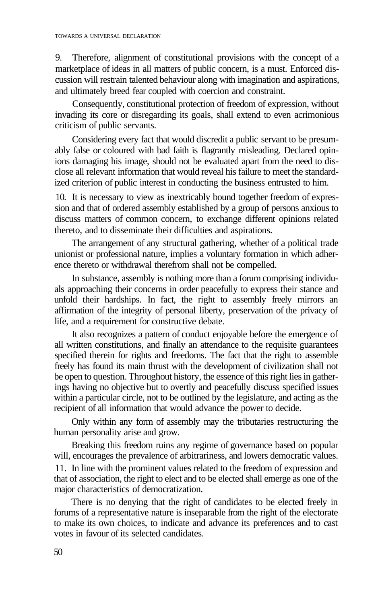9. Therefore, alignment of constitutional provisions with the concept of a marketplace of ideas in all matters of public concern, is a must. Enforced discussion will restrain talented behaviour along with imagination and aspirations, and ultimately breed fear coupled with coercion and constraint.

Consequently, constitutional protection of freedom of expression, without invading its core or disregarding its goals, shall extend to even acrimonious criticism of public servants.

Considering every fact that would discredit a public servant to be presumably false or coloured with bad faith is flagrantly misleading. Declared opinions damaging his image, should not be evaluated apart from the need to disclose all relevant information that would reveal his failure to meet the standardized criterion of public interest in conducting the business entrusted to him.

10. It is necessary to view as inextricably bound together freedom of expression and that of ordered assembly established by a group of persons anxious to discuss matters of common concern, to exchange different opinions related thereto, and to disseminate their difficulties and aspirations.

The arrangement of any structural gathering, whether of a political trade unionist or professional nature, implies a voluntary formation in which adherence thereto or withdrawal therefrom shall not be compelled.

In substance, assembly is nothing more than a forum comprising individuals approaching their concerns in order peacefully to express their stance and unfold their hardships. In fact, the right to assembly freely mirrors an affirmation of the integrity of personal liberty, preservation of the privacy of life, and a requirement for constructive debate.

It also recognizes a pattern of conduct enjoyable before the emergence of all written constitutions, and finally an attendance to the requisite guarantees specified therein for rights and freedoms. The fact that the right to assemble freely has found its main thrust with the development of civilization shall not be open to question. Throughout history, the essence of this right lies in gatherings having no objective but to overtly and peacefully discuss specified issues within a particular circle, not to be outlined by the legislature, and acting as the recipient of all information that would advance the power to decide.

Only within any form of assembly may the tributaries restructuring the human personality arise and grow.

Breaking this freedom ruins any regime of governance based on popular will, encourages the prevalence of arbitrariness, and lowers democratic values. 11. In line with the prominent values related to the freedom of expression and that of association, the right to elect and to be elected shall emerge as one of the major characteristics of democratization.

There is no denying that the right of candidates to be elected freely in forums of a representative nature is inseparable from the right of the electorate to make its own choices, to indicate and advance its preferences and to cast votes in favour of its selected candidates.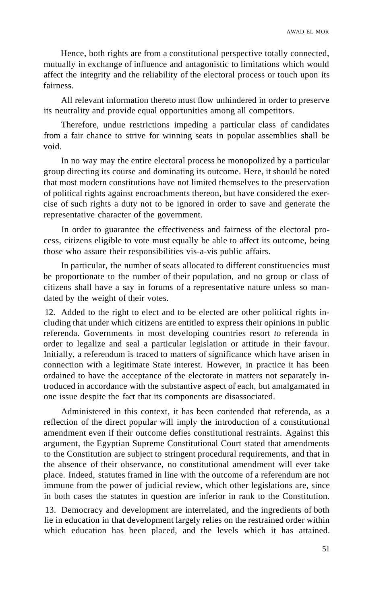Hence, both rights are from a constitutional perspective totally connected, mutually in exchange of influence and antagonistic to limitations which would affect the integrity and the reliability of the electoral process or touch upon its fairness.

All relevant information thereto must flow unhindered in order to preserve its neutrality and provide equal opportunities among all competitors.

Therefore, undue restrictions impeding a particular class of candidates from a fair chance to strive for winning seats in popular assemblies shall be void.

In no way may the entire electoral process be monopolized by a particular group directing its course and dominating its outcome. Here, it should be noted that most modern constitutions have not limited themselves to the preservation of political rights against encroachments thereon, but have considered the exercise of such rights a duty not to be ignored in order to save and generate the representative character of the government.

In order to guarantee the effectiveness and fairness of the electoral process, citizens eligible to vote must equally be able to affect its outcome, being those who assure their responsibilities vis-a-vis public affairs.

In particular, the number of seats allocated to different constituencies must be proportionate to the number of their population, and no group or class of citizens shall have a say in forums of a representative nature unless so mandated by the weight of their votes.

12. Added to the right to elect and to be elected are other political rights including that under which citizens are entitled to express their opinions in public referenda. Governments in most developing countries resort *to* referenda in order to legalize and seal a particular legislation or attitude in their favour. Initially, a referendum is traced to matters of significance which have arisen in connection with a legitimate State interest. However, in practice it has been ordained to have the acceptance of the electorate in matters not separately introduced in accordance with the substantive aspect of each, but amalgamated in one issue despite the fact that its components are disassociated.

Administered in this context, it has been contended that referenda, as a reflection of the direct popular will imply the introduction of a constitutional amendment even if their outcome defies constitutional restraints. Against this argument, the Egyptian Supreme Constitutional Court stated that amendments to the Constitution are subject to stringent procedural requirements, and that in the absence of their observance, no constitutional amendment will ever take place. Indeed, statutes framed in line with the outcome of a referendum are not immune from the power of judicial review, which other legislations are, since in both cases the statutes in question are inferior in rank to the Constitution.

13. Democracy and development are interrelated, and the ingredients of both lie in education in that development largely relies on the restrained order within which education has been placed, and the levels which it has attained.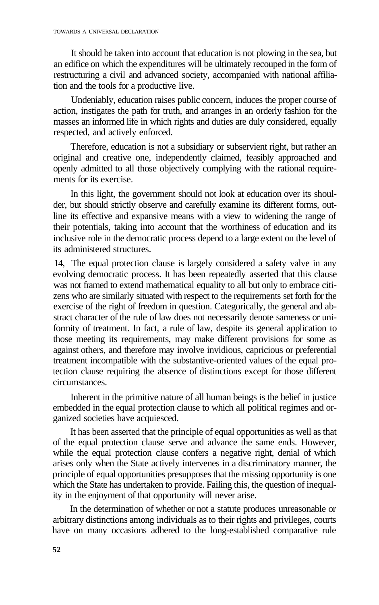It should be taken into account that education is not plowing in the sea, but an edifice on which the expenditures will be ultimately recouped in the form of restructuring a civil and advanced society, accompanied with national affiliation and the tools for a productive live.

Undeniably, education raises public concern, induces the proper course of action, instigates the path for truth, and arranges in an orderly fashion for the masses an informed life in which rights and duties are duly considered, equally respected, and actively enforced.

Therefore, education is not a subsidiary or subservient right, but rather an original and creative one, independently claimed, feasibly approached and openly admitted to all those objectively complying with the rational requirements for its exercise.

In this light, the government should not look at education over its shoulder, but should strictly observe and carefully examine its different forms, outline its effective and expansive means with a view to widening the range of their potentials, taking into account that the worthiness of education and its inclusive role in the democratic process depend to a large extent on the level of its administered structures.

14, The equal protection clause is largely considered a safety valve in any evolving democratic process. It has been repeatedly asserted that this clause was not framed to extend mathematical equality to all but only to embrace citizens who are similarly situated with respect to the requirements set forth for the exercise of the right of freedom in question. Categorically, the general and abstract character of the rule of law does not necessarily denote sameness or uniformity of treatment. In fact, a rule of law, despite its general application to those meeting its requirements, may make different provisions for some as against others, and therefore may involve invidious, capricious or preferential treatment incompatible with the substantive-oriented values of the equal protection clause requiring the absence of distinctions except for those different circumstances.

Inherent in the primitive nature of all human beings is the belief in justice embedded in the equal protection clause to which all political regimes and organized societies have acquiesced.

It has been asserted that the principle of equal opportunities as well as that of the equal protection clause serve and advance the same ends. However, while the equal protection clause confers a negative right, denial of which arises only when the State actively intervenes in a discriminatory manner, the principle of equal opportunities presupposes that the missing opportunity is one which the State has undertaken to provide. Failing this, the question of inequality in the enjoyment of that opportunity will never arise.

In the determination of whether or not a statute produces unreasonable or arbitrary distinctions among individuals as to their rights and privileges, courts have on many occasions adhered to the long-established comparative rule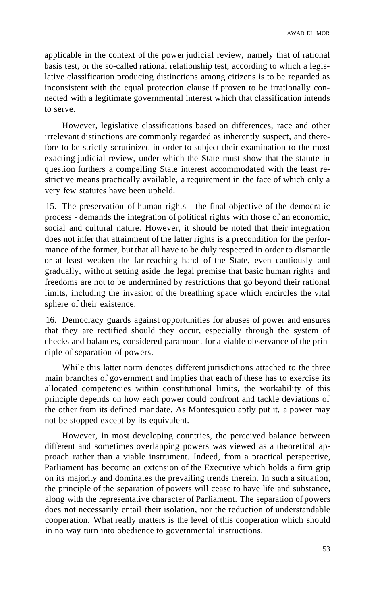applicable in the context of the power judicial review, namely that of rational basis test, or the so-called rational relationship test, according to which a legislative classification producing distinctions among citizens is to be regarded as inconsistent with the equal protection clause if proven to be irrationally connected with a legitimate governmental interest which that classification intends to serve.

However, legislative classifications based on differences, race and other irrelevant distinctions are commonly regarded as inherently suspect, and therefore to be strictly scrutinized in order to subject their examination to the most exacting judicial review, under which the State must show that the statute in question furthers a compelling State interest accommodated with the least restrictive means practically available, a requirement in the face of which only a very few statutes have been upheld.

15. The preservation of human rights - the final objective of the democratic process - demands the integration of political rights with those of an economic, social and cultural nature. However, it should be noted that their integration does not infer that attainment of the latter rights is a precondition for the performance of the former, but that all have to be duly respected in order to dismantle or at least weaken the far-reaching hand of the State, even cautiously and gradually, without setting aside the legal premise that basic human rights and freedoms are not to be undermined by restrictions that go beyond their rational limits, including the invasion of the breathing space which encircles the vital sphere of their existence.

16. Democracy guards against opportunities for abuses of power and ensures that they are rectified should they occur, especially through the system of checks and balances, considered paramount for a viable observance of the principle of separation of powers.

While this latter norm denotes different jurisdictions attached to the three main branches of government and implies that each of these has to exercise its allocated competencies within constitutional limits, the workability of this principle depends on how each power could confront and tackle deviations of the other from its defined mandate. As Montesquieu aptly put it, a power may not be stopped except by its equivalent.

However, in most developing countries, the perceived balance between different and sometimes overlapping powers was viewed as a theoretical approach rather than a viable instrument. Indeed, from a practical perspective, Parliament has become an extension of the Executive which holds a firm grip on its majority and dominates the prevailing trends therein. In such a situation, the principle of the separation of powers will cease to have life and substance, along with the representative character of Parliament. The separation of powers does not necessarily entail their isolation, nor the reduction of understandable cooperation. What really matters is the level of this cooperation which should in no way turn into obedience to governmental instructions.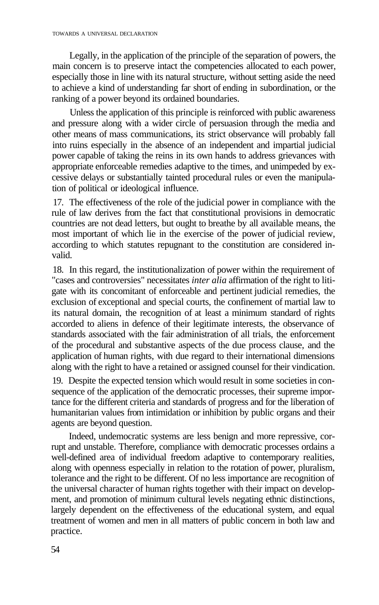Legally, in the application of the principle of the separation of powers, the main concern is to preserve intact the competencies allocated to each power, especially those in line with its natural structure, without setting aside the need to achieve a kind of understanding far short of ending in subordination, or the ranking of a power beyond its ordained boundaries.

Unless the application of this principle is reinforced with public awareness and pressure along with a wider circle of persuasion through the media and other means of mass communications, its strict observance will probably fall into ruins especially in the absence of an independent and impartial judicial power capable of taking the reins in its own hands to address grievances with appropriate enforceable remedies adaptive to the times, and unimpeded by excessive delays or substantially tainted procedural rules or even the manipulation of political or ideological influence.

17. The effectiveness of the role of the judicial power in compliance with the rule of law derives from the fact that constitutional provisions in democratic countries are not dead letters, but ought to breathe by all available means, the most important of which lie in the exercise of the power of judicial review, according to which statutes repugnant to the constitution are considered invalid.

18. In this regard, the institutionalization of power within the requirement of "cases and controversies" necessitates *inter alia* affirmation of the right to litigate with its concomitant of enforceable and pertinent judicial remedies, the exclusion of exceptional and special courts, the confinement of martial law to its natural domain, the recognition of at least a minimum standard of rights accorded to aliens in defence of their legitimate interests, the observance of standards associated with the fair administration of all trials, the enforcement of the procedural and substantive aspects of the due process clause, and the application of human rights, with due regard to their international dimensions along with the right to have a retained or assigned counsel for their vindication.

19. Despite the expected tension which would result in some societies in consequence of the application of the democratic processes, their supreme importance for the different criteria and standards of progress and for the liberation of humanitarian values from intimidation or inhibition by public organs and their agents are beyond question.

Indeed, undemocratic systems are less benign and more repressive, corrupt and unstable. Therefore, compliance with democratic processes ordains a well-defined area of individual freedom adaptive to contemporary realities, along with openness especially in relation to the rotation of power, pluralism, tolerance and the right to be different. Of no less importance are recognition of the universal character of human rights together with their impact on development, and promotion of minimum cultural levels negating ethnic distinctions, largely dependent on the effectiveness of the educational system, and equal treatment of women and men in all matters of public concern in both law and practice.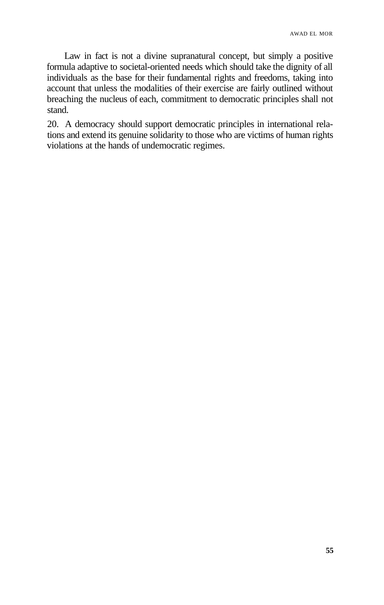Law in fact is not a divine supranatural concept, but simply a positive formula adaptive to societal-oriented needs which should take the dignity of all individuals as the base for their fundamental rights and freedoms, taking into account that unless the modalities of their exercise are fairly outlined without breaching the nucleus of each, commitment to democratic principles shall not stand.

20. A democracy should support democratic principles in international relations and extend its genuine solidarity to those who are victims of human rights violations at the hands of undemocratic regimes.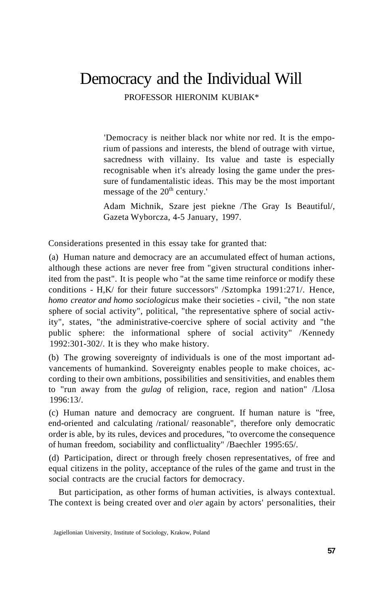## Democracy and the Individual Will

PROFESSOR HIERONIM KUBIAK\*

'Democracy is neither black nor white nor red. It is the emporium of passions and interests, the blend of outrage with virtue, sacredness with villainy. Its value and taste is especially recognisable when it's already losing the game under the pressure of fundamentalistic ideas. This may be the most important message of the  $20<sup>th</sup>$  century.'

Adam Michnik, Szare jest piekne /The Gray Is Beautiful/, Gazeta Wyborcza, 4-5 January, 1997.

Considerations presented in this essay take for granted that:

(a) Human nature and democracy are an accumulated effect of human actions, although these actions are never free from "given structural conditions inherited from the past". It is people who "at the same time reinforce or modify these conditions - H,K/ for their future successors" /Sztompka 1991:271/. Hence, *homo creator and homo sociologicus* make their societies - civil, "the non state sphere of social activity", political, "the representative sphere of social activity", states, "the administrative-coercive sphere of social activity and "the public sphere: the informational sphere of social activity" /Kennedy 1992:301-302/. It is they who make history.

(b) The growing sovereignty of individuals is one of the most important advancements of humankind. Sovereignty enables people to make choices, according to their own ambitions, possibilities and sensitivities, and enables them to "run away from the *gulag* of religion, race, region and nation" /Llosa 1996:13/.

(c) Human nature and democracy are congruent. If human nature is "free, end-oriented and calculating /rational/ reasonable", therefore only democratic order is able, by its rules, devices and procedures, "to overcome the consequence of human freedom, sociability and conflictuality" /Baechler 1995:65/.

(d) Participation, direct or through freely chosen representatives, of free and equal citizens in the polity, acceptance of the rules of the game and trust in the social contracts are the crucial factors for democracy.

But participation, as other forms of human activities, is always contextual. The context is being created over and  $\rho\$ er again by actors' personalities, their

Jagiellonian University, Institute of Sociology, Krakow, Poland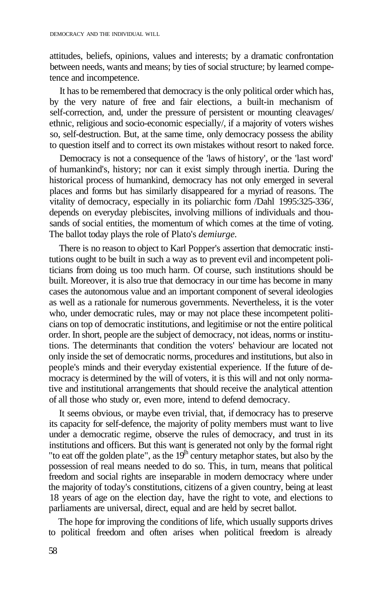attitudes, beliefs, opinions, values and interests; by a dramatic confrontation between needs, wants and means; by ties of social structure; by learned competence and incompetence.

It has to be remembered that democracy is the only political order which has, by the very nature of free and fair elections, a built-in mechanism of self-correction, and, under the pressure of persistent or mounting cleavages/ ethnic, religious and socio-economic especially/, if a majority of voters wishes so, self-destruction. But, at the same time, only democracy possess the ability to question itself and to correct its own mistakes without resort to naked force.

Democracy is not a consequence of the 'laws of history', or the 'last word' of humankind's, history; nor can it exist simply through inertia. During the historical process of humankind, democracy has not only emerged in several places and forms but has similarly disappeared for a myriad of reasons. The vitality of democracy, especially in its poliarchic form /Dahl 1995:325-336/, depends on everyday plebiscites, involving millions of individuals and thousands of social entities, the momentum of which comes at the time of voting. The ballot today plays the role of Plato's *demiurge.* 

There is no reason to object to Karl Popper's assertion that democratic institutions ought to be built in such a way as to prevent evil and incompetent politicians from doing us too much harm. Of course, such institutions should be built. Moreover, it is also true that democracy in our time has become in many cases the autonomous value and an important component of several ideologies as well as a rationale for numerous governments. Nevertheless, it is the voter who, under democratic rules, may or may not place these incompetent politicians on top of democratic institutions, and legitimise or not the entire political order. In short, people are the subject of democracy, not ideas, norms or institutions. The determinants that condition the voters' behaviour are located not only inside the set of democratic norms, procedures and institutions, but also in people's minds and their everyday existential experience. If the future of democracy is determined by the will of voters, it is this will and not only normative and institutional arrangements that should receive the analytical attention of all those who study or, even more, intend to defend democracy.

It seems obvious, or maybe even trivial, that, if democracy has to preserve its capacity for self-defence, the majority of polity members must want to live under a democratic regime, observe the rules of democracy, and trust in its institutions and officers. But this want is generated not only by the formal right "to eat off the golden plate", as the  $19<sup>lh</sup>$  century metaphor states, but also by the possession of real means needed to do so. This, in turn, means that political freedom and social rights are inseparable in modern democracy where under the majority of today's constitutions, citizens of a given country, being at least 18 years of age on the election day, have the right to vote, and elections to parliaments are universal, direct, equal and are held by secret ballot.

The hope for improving the conditions of life, which usually supports drives to political freedom and often arises when political freedom is already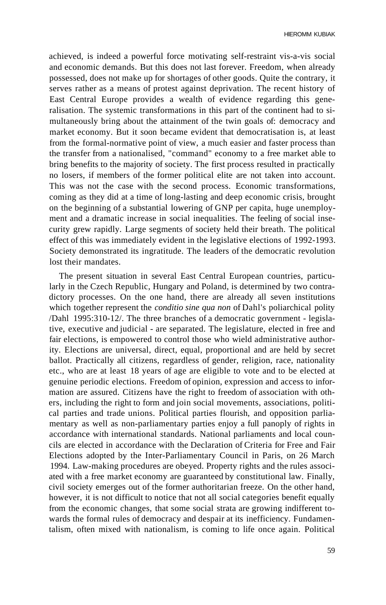HlEROMM KUBIAK

achieved, is indeed a powerful force motivating self-restraint vis-a-vis social and economic demands. But this does not last forever. Freedom, when already possessed, does not make up for shortages of other goods. Quite the contrary, it serves rather as a means of protest against deprivation. The recent history of East Central Europe provides a wealth of evidence regarding this generalisation. The systemic transformations in this part of the continent had to simultaneously bring about the attainment of the twin goals of: democracy and market economy. But it soon became evident that democratisation is, at least from the formal-normative point of view, a much easier and faster process than the transfer from a nationalised, "command" economy to a free market able to bring benefits to the majority of society. The first process resulted in practically no losers, if members of the former political elite are not taken into account. This was not the case with the second process. Economic transformations, coming as they did at a time of long-lasting and deep economic crisis, brought on the beginning of a substantial lowering of GNP per capita, huge unemployment and a dramatic increase in social inequalities. The feeling of social insecurity grew rapidly. Large segments of society held their breath. The political effect of this was immediately evident in the legislative elections of 1992-1993. Society demonstrated its ingratitude. The leaders of the democratic revolution lost their mandates.

The present situation in several East Central European countries, particularly in the Czech Republic, Hungary and Poland, is determined by two contradictory processes. On the one hand, there are already all seven institutions which together represent the *conditio sine qua non* of Dahl's poliarchical polity /Dahl 1995:310-12/. The three branches of a democratic government - legislative, executive and judicial - are separated. The legislature, elected in free and fair elections, is empowered to control those who wield administrative authority. Elections are universal, direct, equal, proportional and are held by secret ballot. Practically all citizens, regardless of gender, religion, race, nationality etc., who are at least 18 years of age are eligible to vote and to be elected at genuine periodic elections. Freedom of opinion, expression and access to information are assured. Citizens have the right to freedom of association with others, including the right to form and join social movements, associations, political parties and trade unions. Political parties flourish, and opposition parliamentary as well as non-parliamentary parties enjoy a full panoply of rights in accordance with international standards. National parliaments and local councils are elected in accordance with the Declaration of Criteria for Free and Fair Elections adopted by the Inter-Parliamentary Council in Paris, on 26 March 1994. Law-making procedures are obeyed. Property rights and the rules associated with a free market economy are guaranteed by constitutional law. Finally, civil society emerges out of the former authoritarian freeze. On the other hand, however, it is not difficult to notice that not all social categories benefit equally from the economic changes, that some social strata are growing indifferent towards the formal rules of democracy and despair at its inefficiency. Fundamentalism, often mixed with nationalism, is coming to life once again. Political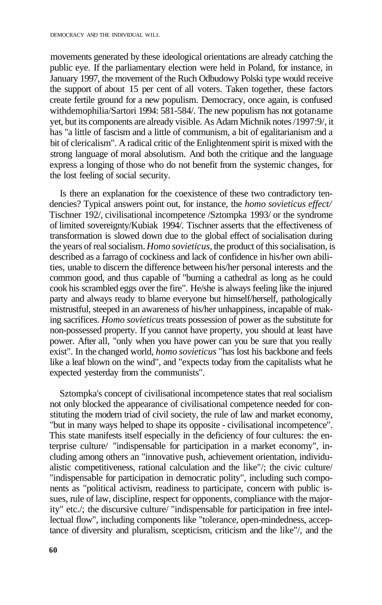movements generated by these ideological orientations are already catching the public eye. If the parliamentary election were held in Poland, for instance, in January 1997, the movement of the Ruch Odbudowy Polski type would receive the support of about 15 per cent of all voters. Taken together, these factors create fertile ground for a new populism. Democracy, once again, is confused withdemophilia/Sartori 1994: 581-584/. The new populism has not gotaname yet, but its components are already visible. As Adam Michnik notes /1997:9/, it has "a little of fascism and a little of communism, a bit of egalitarianism and a bit of clericalism". A radical critic of the Enlightenment spirit is mixed with the strong language of moral absolutism. And both the critique and the language express a longing of those who do not benefit from the systemic changes, for the lost feeling of social security.

Is there an explanation for the coexistence of these two contradictory tendencies? Typical answers point out, for instance, the *homo sovieticus effect/*  Tischner 192/, civilisational incompetence /Sztompka 1993/ or the syndrome of limited sovereignty/Kubiak 1994/. Tischner asserts that the effectiveness of transformation is slowed down due to the global effect of socialisation during the years of real socialism. *Homo sovieticus,* the product of this socialisation, is described as a farrago of cockiness and lack of confidence in his/her own abilities, unable to discern the difference between his/her personal interests and the common good, and thus capable of "burning a cathedral as long as he could cook his scrambled eggs over the fire". He/she is always feeling like the injured party and always ready to blame everyone but himself/herself, pathologically mistrustful, steeped in an awareness of his/her unhappiness, incapable of making sacrifices. *Homo sovieticus* treats possession of power as the substitute for non-possessed property. If you cannot have property, you should at least have power. After all, "only when you have power can you be sure that you really exist". In the changed world, *homo sovieticus* "has lost his backbone and feels like a leaf blown on the wind", and "expects today from the capitalists what he expected yesterday from the communists".

Sztompka's concept of civilisational incompetence states that real socialism not only blocked the appearance of civilisational competence needed for constituting the modern triad of civil society, the rule of law and market economy, "but in many ways helped to shape its opposite - civilisational incompetence". This state manifests itself especially in the deficiency of four cultures: the enterprise culture/ "indispensable for participation in a market economy", including among others an "innovative push, achievement orientation, individualistic competitiveness, rational calculation and the like"/; the civic culture/ "indispensable for participation in democratic polity", including such components as "political activism, readiness to participate, concern with public issues, rule of law, discipline, respect for opponents, compliance with the majority" etc./; the discursive culture/ "indispensable for participation in free intellectual flow", including components like "tolerance, open-mindedness, acceptance of diversity and pluralism, scepticism, criticism and the like"/, and the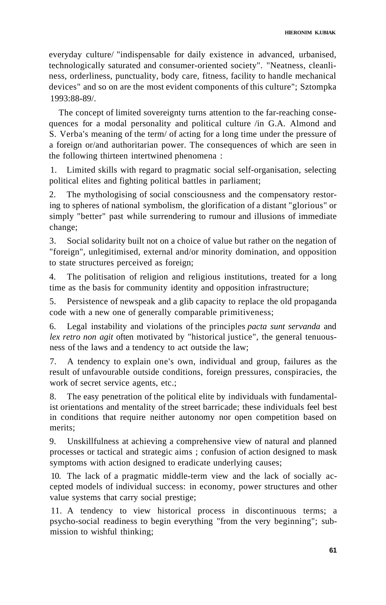everyday culture/ "indispensable for daily existence in advanced, urbanised, technologically saturated and consumer-oriented society". "Neatness, cleanliness, orderliness, punctuality, body care, fitness, facility to handle mechanical devices" and so on are the most evident components of this culture"; Sztompka 1993:88-89/.

The concept of limited sovereignty turns attention to the far-reaching consequences for a modal personality and political culture /in G.A. Almond and S. Verba's meaning of the term/ of acting for a long time under the pressure of a foreign or/and authoritarian power. The consequences of which are seen in the following thirteen intertwined phenomena :

1. Limited skills with regard to pragmatic social self-organisation, selecting political elites and fighting political battles in parliament;

2. The mythologising of social consciousness and the compensatory restoring to spheres of national symbolism, the glorification of a distant "glorious" or simply "better" past while surrendering to rumour and illusions of immediate change;

3. Social solidarity built not on a choice of value but rather on the negation of "foreign", unlegitimised, external and/or minority domination, and opposition to state structures perceived as foreign;

4. The politisation of religion and religious institutions, treated for a long time as the basis for community identity and opposition infrastructure;

5. Persistence of newspeak and a glib capacity to replace the old propaganda code with a new one of generally comparable primitiveness;

6. Legal instability and violations of the principles *pacta sunt servanda* and *lex retro non agit* often motivated by "historical justice", the general tenuousness of the laws and a tendency to act outside the law;

7. A tendency to explain one's own, individual and group, failures as the result of unfavourable outside conditions, foreign pressures, conspiracies, the work of secret service agents, etc.;

The easy penetration of the political elite by individuals with fundamentalist orientations and mentality of the street barricade; these individuals feel best in conditions that require neither autonomy nor open competition based on merits;

9. Unskillfulness at achieving a comprehensive view of natural and planned processes or tactical and strategic aims ; confusion of action designed to mask symptoms with action designed to eradicate underlying causes;

10. The lack of a pragmatic middle-term view and the lack of socially accepted models of individual success: in economy, power structures and other value systems that carry social prestige;

11. A tendency to view historical process in discontinuous terms; a psycho-social readiness to begin everything "from the very beginning"; submission to wishful thinking;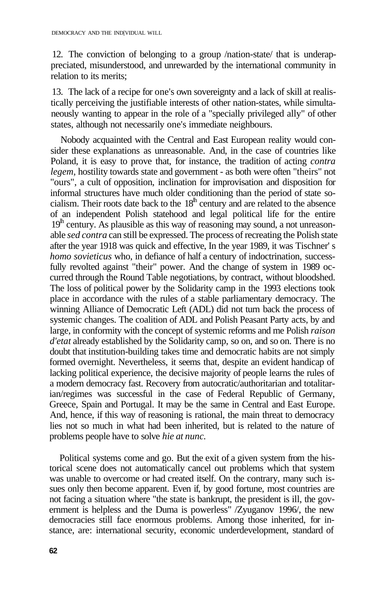12. The conviction of belonging to a group /nation-state/ that is underappreciated, misunderstood, and unrewarded by the international community in relation to its merits;

13. The lack of a recipe for one's own sovereignty and a lack of skill at realistically perceiving the justifiable interests of other nation-states, while simultaneously wanting to appear in the role of a "specially privileged ally" of other states, although not necessarily one's immediate neighbours.

Nobody acquainted with the Central and East European reality would consider these explanations as unreasonable. And, in the case of countries like Poland, it is easy to prove that, for instance, the tradition of acting *contra legem,* hostility towards state and government - as both were often "theirs" not "ours", a cult of opposition, inclination for improvisation and disposition for informal structures have much older conditioning than the period of state socialism. Their roots date back to the  $18<sup>th</sup>$  century and are related to the absence of an independent Polish statehood and legal political life for the entire 19<sup>h</sup> century. As plausible as this way of reasoning may sound, a not unreasonable *sed contra* can still be expressed. The process of recreating the Polish state after the year 1918 was quick and effective, In the year 1989, it was Tischner' s *homo sovieticus* who, in defiance of half a century of indoctrination, successfully revolted against "their" power. And the change of system in 1989 occurred through the Round Table negotiations, by contract, without bloodshed. The loss of political power by the Solidarity camp in the 1993 elections took place in accordance with the rules of a stable parliamentary democracy. The winning Alliance of Democratic Left (ADL) did not turn back the process of systemic changes. The coalition of ADL and Polish Peasant Party acts, by and large, in conformity with the concept of systemic reforms and me Polish *raison d'etat* already established by the Solidarity camp, so on, and so on. There is no doubt that institution-building takes time and democratic habits are not simply formed overnight. Nevertheless, it seems that, despite an evident handicap of lacking political experience, the decisive majority of people learns the rules of a modern democracy fast. Recovery from autocratic/authoritarian and totalitarian/regimes was successful in the case of Federal Republic of Germany, Greece, Spain and Portugal. It may be the same in Central and East Europe. And, hence, if this way of reasoning is rational, the main threat to democracy lies not so much in what had been inherited, but is related to the nature of problems people have to solve *hie at nunc.* 

Political systems come and go. But the exit of a given system from the historical scene does not automatically cancel out problems which that system was unable to overcome or had created itself. On the contrary, many such issues only then become apparent. Even if, by good fortune, most countries are not facing a situation where "the state is bankrupt, the president is ill, the government is helpless and the Duma is powerless" /Zyuganov 1996/, the new democracies still face enormous problems. Among those inherited, for instance, are: international security, economic underdevelopment, standard of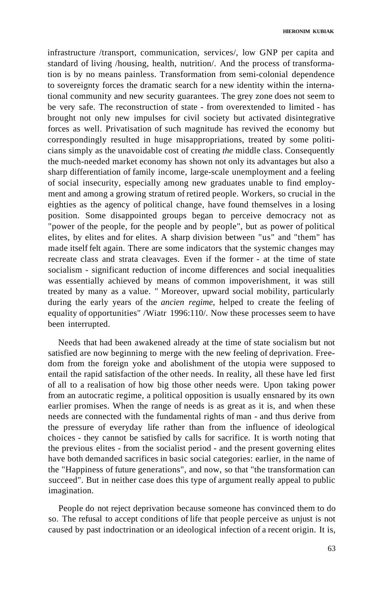infrastructure /transport, communication, services/, low GNP per capita and standard of living /housing, health, nutrition/. And the process of transformation is by no means painless. Transformation from semi-colonial dependence to sovereignty forces the dramatic search for a new identity within the international community and new security guarantees. The grey zone does not seem to be very safe. The reconstruction of state - from overextended to limited - has brought not only new impulses for civil society but activated disintegrative forces as well. Privatisation of such magnitude has revived the economy but correspondingly resulted in huge misappropriations, treated by some politicians simply as the unavoidable cost of creating *the* middle class. Consequently the much-needed market economy has shown not only its advantages but also a sharp differentiation of family income, large-scale unemployment and a feeling of social insecurity, especially among new graduates unable to find employment and among a growing stratum of retired people. Workers, so crucial in the eighties as the agency of political change, have found themselves in a losing position. Some disappointed groups began to perceive democracy not as "power of the people, for the people and by people", but as power of political elites, by elites and for elites. A sharp division between "us" and "them" has made itself felt again. There are some indicators that the systemic changes may recreate class and strata cleavages. Even if the former - at the time of state socialism - significant reduction of income differences and social inequalities was essentially achieved by means of common impoverishment, it was still treated by many as a value. " Moreover, upward social mobility, particularly during the early years of the *ancien regime,* helped to create the feeling of equality of opportunities" /Wiatr 1996:110/. Now these processes seem to have been interrupted.

Needs that had been awakened already at the time of state socialism but not satisfied are now beginning to merge with the new feeling of deprivation. Freedom from the foreign yoke and abolishment of the utopia were supposed to entail the rapid satisfaction of the other needs. In reality, all these have led first of all to a realisation of how big those other needs were. Upon taking power from an autocratic regime, a political opposition is usually ensnared by its own earlier promises. When the range of needs is as great as it is, and when these needs are connected with the fundamental rights of man - and thus derive from the pressure of everyday life rather than from the influence of ideological choices - they cannot be satisfied by calls for sacrifice. It is worth noting that the previous elites - from the socialist period - and the present governing elites have both demanded sacrifices in basic social categories: earlier, in the name of the "Happiness of future generations", and now, so that "the transformation can succeed". But in neither case does this type of argument really appeal to public imagination.

People do not reject deprivation because someone has convinced them to do so. The refusal to accept conditions of life that people perceive as unjust is not caused by past indoctrination or an ideological infection of a recent origin. It is,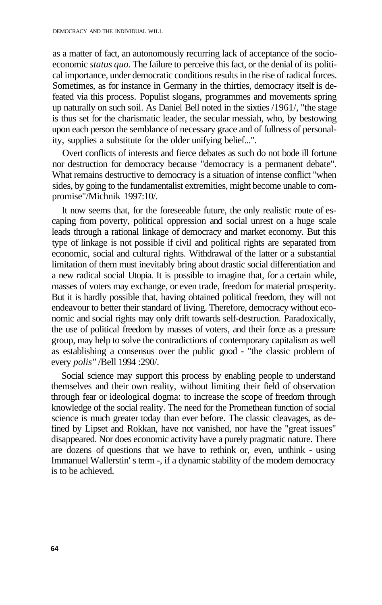as a matter of fact, an autonomously recurring lack of acceptance of the socioeconomic *status quo.* The failure to perceive this fact, or the denial of its political importance, under democratic conditions results in the rise of radical forces. Sometimes, as for instance in Germany in the thirties, democracy itself is defeated via this process. Populist slogans, programmes and movements spring up naturally on such soil. As Daniel Bell noted in the sixties /1961/, "the stage is thus set for the charismatic leader, the secular messiah, who, by bestowing upon each person the semblance of necessary grace and of fullness of personality, supplies a substitute for the older unifying belief...".

Overt conflicts of interests and fierce debates as such do not bode ill fortune nor destruction for democracy because "democracy is a permanent debate". What remains destructive to democracy is a situation of intense conflict "when sides, by going to the fundamentalist extremities, might become unable to compromise"/Michnik 1997:10/.

It now seems that, for the foreseeable future, the only realistic route of escaping from poverty, political oppression and social unrest on a huge scale leads through a rational linkage of democracy and market economy. But this type of linkage is not possible if civil and political rights are separated from economic, social and cultural rights. Withdrawal of the latter or a substantial limitation of them must inevitably bring about drastic social differentiation and a new radical social Utopia. It is possible to imagine that, for a certain while, masses of voters may exchange, or even trade, freedom for material prosperity. But it is hardly possible that, having obtained political freedom, they will not endeavour to better their standard of living. Therefore, democracy without economic and social rights may only drift towards self-destruction. Paradoxically, the use of political freedom by masses of voters, and their force as a pressure group, may help to solve the contradictions of contemporary capitalism as well as establishing a consensus over the public good - "the classic problem of every *polis"* /Bell 1994 :290/.

Social science may support this process by enabling people to understand themselves and their own reality, without limiting their field of observation through fear or ideological dogma: to increase the scope of freedom through knowledge of the social reality. The need for the Promethean function of social science is much greater today than ever before. The classic cleavages, as defined by Lipset and Rokkan, have not vanished, nor have the "great issues" disappeared. Nor does economic activity have a purely pragmatic nature. There are dozens of questions that we have to rethink or, even, unthink - using Immanuel Wallerstin' s term -, if a dynamic stability of the modem democracy is to be achieved.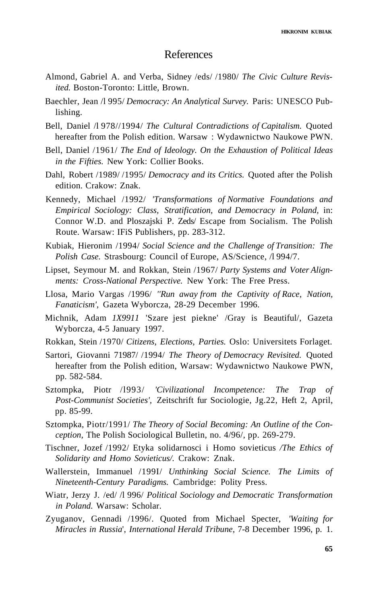### References

- Almond, Gabriel A. and Verba, Sidney /eds/ /1980/ *The Civic Culture Revisited.* Boston-Toronto: Little, Brown.
- Baechler, Jean /l 995/ *Democracy: An Analytical Survey.* Paris: UNESCO Publishing.
- Bell, Daniel /l 978//1994/ *The Cultural Contradictions of Capitalism.* Quoted hereafter from the Polish edition. Warsaw : Wydawnictwo Naukowe PWN.
- Bell, Daniel /1961/ *The End of Ideology. On the Exhaustion of Political Ideas in the Fifties.* New York: Collier Books.
- Dahl, Robert /1989/ /1995/ *Democracy and its Critics.* Quoted after the Polish edition. Crakow: Znak.
- Kennedy, Michael /1992/ *'Transformations of Normative Foundations and Empirical Sociology: Class, Stratification, and Democracy in Poland,* in: Connor W.D. and Ploszajski P. Zeds/ Escape from Socialism. The Polish Route. Warsaw: IFiS Publishers, pp. 283-312.
- Kubiak, Hieronim /1994/ *Social Science and the Challenge of Transition: The Polish Case.* Strasbourg: Council of Europe, AS/Science, /l 994/7.
- Lipset, Seymour M. and Rokkan, Stein /1967/ *Party Systems and Voter Alignments: Cross-National Perspective.* New York: The Free Press.
- Llosa, Mario Vargas /1996/ *''Run away from the Captivity of Race, Nation, Fanaticism',* Gazeta Wyborcza, 28-29 December 1996.
- Michnik, Adam *1X9911* 'Szare jest piekne' /Gray is Beautiful/, Gazeta Wyborcza, 4-5 January 1997.
- Rokkan, Stein /1970/ *Citizens, Elections, Parties.* Oslo: Universitets Forlaget.
- Sartori, Giovanni 71987/ /1994/ *The Theory of Democracy Revisited.* Quoted hereafter from the Polish edition, Warsaw: Wydawnictwo Naukowe PWN, pp. 582-584.
- Sztompka, Piotr /l993/ *'Civilizational Incompetence: The Trap of Post-Communist Societies',* Zeitschrift fur Sociologie, Jg.22, Heft 2, April, pp. 85-99.
- Sztompka, Piotr/1991/ *The Theory of Social Becoming: An Outline of the Conception,* The Polish Sociological Bulletin, no. 4/96/, pp. 269-279.
- Tischner, Jozef /1992/ Etyka solidarnosci i Homo sovieticus */The Ethics of Solidarity and Homo Sovieticus/.* Crakow: Znak.
- Wallerstein, Immanuel /199I/ *Unthinking Social Science. The Limits of Nineteenth-Century Paradigms.* Cambridge: Polity Press.
- Wiatr, Jerzy J. /ed/ /l 996/ *Political Sociology and Democratic Transformation in Poland.* Warsaw: Scholar.
- Zyuganov, Gennadi /1996/. Quoted from Michael Specter, *'Waiting for Miracles in Russia*', *International Herald Tribune,* 7-8 December 1996, p. 1.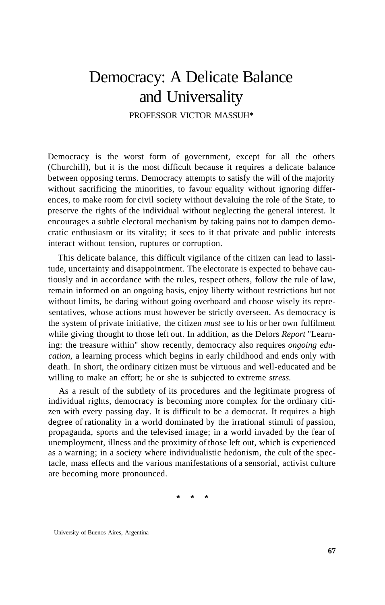# Democracy: A Delicate Balance and Universality

PROFESSOR VICTOR MASSUH\*

Democracy is the worst form of government, except for all the others (Churchill), but it is the most difficult because it requires a delicate balance between opposing terms. Democracy attempts to satisfy the will of the majority without sacrificing the minorities, to favour equality without ignoring differences, to make room for civil society without devaluing the role of the State, to preserve the rights of the individual without neglecting the general interest. It encourages a subtle electoral mechanism by taking pains not to dampen democratic enthusiasm or its vitality; it sees to it that private and public interests interact without tension, ruptures or corruption.

This delicate balance, this difficult vigilance of the citizen can lead to lassitude, uncertainty and disappointment. The electorate is expected to behave cautiously and in accordance with the rules, respect others, follow the rule of law, remain informed on an ongoing basis, enjoy liberty without restrictions but not without limits, be daring without going overboard and choose wisely its representatives, whose actions must however be strictly overseen. As democracy is the system of private initiative, the citizen *must* see to his or her own fulfilment while giving thought to those left out. In addition, as the Delors *Report* "Learning: the treasure within" show recently, democracy also requires *ongoing education,* a learning process which begins in early childhood and ends only with death. In short, the ordinary citizen must be virtuous and well-educated and be willing to make an effort; he or she is subjected to extreme *stress.* 

As a result of the subtlety of its procedures and the legitimate progress of individual rights, democracy is becoming more complex for the ordinary citizen with every passing day. It is difficult to be a democrat. It requires a high degree of rationality in a world dominated by the irrational stimuli of passion, propaganda, sports and the televised image; in a world invaded by the fear of unemployment, illness and the proximity of those left out, which is experienced as a warning; in a society where individualistic hedonism, the cult of the spectacle, mass effects and the various manifestations of a sensorial, activist culture are becoming more pronounced.

**\* \* \***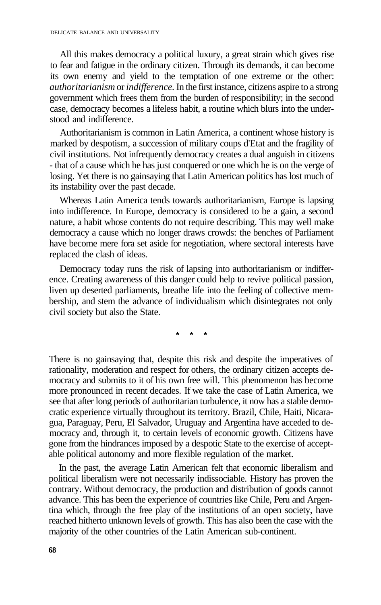All this makes democracy a political luxury, a great strain which gives rise to fear and fatigue in the ordinary citizen. Through its demands, it can become its own enemy and yield to the temptation of one extreme or the other: *authoritarianism* or *indifference.* In the first instance, citizens aspire to a strong government which frees them from the burden of responsibility; in the second case, democracy becomes a lifeless habit, a routine which blurs into the understood and indifference.

Authoritarianism is common in Latin America, a continent whose history is marked by despotism, a succession of military coups d'Etat and the fragility of civil institutions. Not infrequently democracy creates a dual anguish in citizens - that of a cause which he has just conquered or one which he is on the verge of losing. Yet there is no gainsaying that Latin American politics has lost much of its instability over the past decade.

Whereas Latin America tends towards authoritarianism, Europe is lapsing into indifference. In Europe, democracy is considered to be a gain, a second nature, a habit whose contents do not require describing. This may well make democracy a cause which no longer draws crowds: the benches of Parliament have become mere fora set aside for negotiation, where sectoral interests have replaced the clash of ideas.

Democracy today runs the risk of lapsing into authoritarianism or indifference. Creating awareness of this danger could help to revive political passion, liven up deserted parliaments, breathe life into the feeling of collective membership, and stem the advance of individualism which disintegrates not only civil society but also the State.

**\* \* \*** 

There is no gainsaying that, despite this risk and despite the imperatives of rationality, moderation and respect for others, the ordinary citizen accepts democracy and submits to it of his own free will. This phenomenon has become more pronounced in recent decades. If we take the case of Latin America, we see that after long periods of authoritarian turbulence, it now has a stable democratic experience virtually throughout its territory. Brazil, Chile, Haiti, Nicaragua, Paraguay, Peru, El Salvador, Uruguay and Argentina have acceded to democracy and, through it, to certain levels of economic growth. Citizens have gone from the hindrances imposed by a despotic State to the exercise of acceptable political autonomy and more flexible regulation of the market.

In the past, the average Latin American felt that economic liberalism and political liberalism were not necessarily indissociable. History has proven the contrary. Without democracy, the production and distribution of goods cannot advance. This has been the experience of countries like Chile, Peru and Argentina which, through the free play of the institutions of an open society, have reached hitherto unknown levels of growth. This has also been the case with the majority of the other countries of the Latin American sub-continent.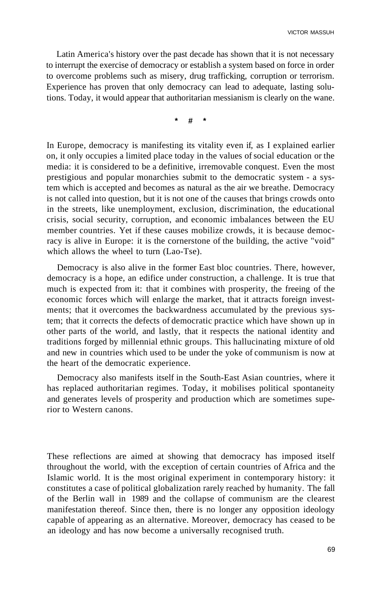Latin America's history over the past decade has shown that it is not necessary to interrupt the exercise of democracy or establish a system based on force in order to overcome problems such as misery, drug trafficking, corruption or terrorism. Experience has proven that only democracy can lead to adequate, lasting solutions. Today, it would appear that authoritarian messianism is clearly on the wane.

**\* # \*** 

In Europe, democracy is manifesting its vitality even if, as I explained earlier on, it only occupies a limited place today in the values of social education or the media: it is considered to be a definitive, irremovable conquest. Even the most prestigious and popular monarchies submit to the democratic system - a system which is accepted and becomes as natural as the air we breathe. Democracy is not called into question, but it is not one of the causes that brings crowds onto in the streets, like unemployment, exclusion, discrimination, the educational crisis, social security, corruption, and economic imbalances between the EU member countries. Yet if these causes mobilize crowds, it is because democracy is alive in Europe: it is the cornerstone of the building, the active "void" which allows the wheel to turn (Lao-Tse).

Democracy is also alive in the former East bloc countries. There, however, democracy is a hope, an edifice under construction, a challenge. It is true that much is expected from it: that it combines with prosperity, the freeing of the economic forces which will enlarge the market, that it attracts foreign investments; that it overcomes the backwardness accumulated by the previous system; that it corrects the defects of democratic practice which have shown up in other parts of the world, and lastly, that it respects the national identity and traditions forged by millennial ethnic groups. This hallucinating mixture of old and new in countries which used to be under the yoke of communism is now at the heart of the democratic experience.

Democracy also manifests itself in the South-East Asian countries, where it has replaced authoritarian regimes. Today, it mobilises political spontaneity and generates levels of prosperity and production which are sometimes superior to Western canons.

These reflections are aimed at showing that democracy has imposed itself throughout the world, with the exception of certain countries of Africa and the Islamic world. It is the most original experiment in contemporary history: it constitutes a case of political globalization rarely reached by humanity. The fall of the Berlin wall in 1989 and the collapse of communism are the clearest manifestation thereof. Since then, there is no longer any opposition ideology capable of appearing as an alternative. Moreover, democracy has ceased to be an ideology and has now become a universally recognised truth.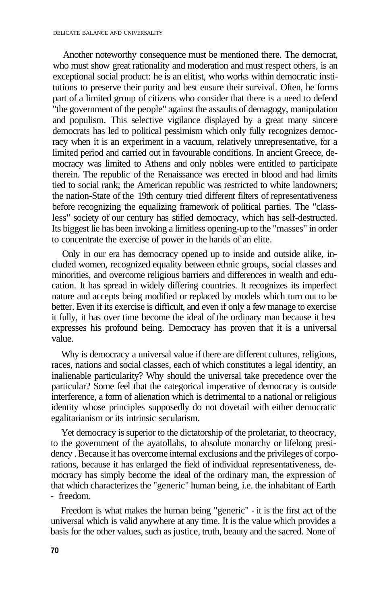Another noteworthy consequence must be mentioned there. The democrat, who must show great rationality and moderation and must respect others, is an exceptional social product: he is an elitist, who works within democratic institutions to preserve their purity and best ensure their survival. Often, he forms part of a limited group of citizens who consider that there is a need to defend "the government of the people" against the assaults of demagogy, manipulation and populism. This selective vigilance displayed by a great many sincere democrats has led to political pessimism which only fully recognizes democracy when it is an experiment in a vacuum, relatively unrepresentative, for a limited period and carried out in favourable conditions. In ancient Greece, democracy was limited to Athens and only nobles were entitled to participate therein. The republic of the Renaissance was erected in blood and had limits tied to social rank; the American republic was restricted to white landowners; the nation-State of the 19th century tried different filters of representativeness before recognizing the equalizing framework of political parties. The "classless" society of our century has stifled democracy, which has self-destructed. Its biggest lie has been invoking a limitless opening-up to the "masses" in order to concentrate the exercise of power in the hands of an elite.

Only in our era has democracy opened up to inside and outside alike, included women, recognized equality between ethnic groups, social classes and minorities, and overcome religious barriers and differences in wealth and education. It has spread in widely differing countries. It recognizes its imperfect nature and accepts being modified or replaced by models which turn out to be better. Even if its exercise is difficult, and even if only a few manage to exercise it fully, it has over time become the ideal of the ordinary man because it best expresses his profound being. Democracy has proven that it is a universal value.

Why is democracy a universal value if there are different cultures, religions, races, nations and social classes, each of which constitutes a legal identity, an inalienable particularity? Why should the universal take precedence over the particular? Some feel that the categorical imperative of democracy is outside interference, a form of alienation which is detrimental to a national or religious identity whose principles supposedly do not dovetail with either democratic egalitarianism or its intrinsic secularism.

Yet democracy is superior to the dictatorship of the proletariat, to theocracy, to the government of the ayatollahs, to absolute monarchy or lifelong presidency . Because it has overcome internal exclusions and the privileges of corporations, because it has enlarged the field of individual representativeness, democracy has simply become the ideal of the ordinary man, the expression of that which characterizes the "generic" human being, i.e. the inhabitant of Earth - freedom.

Freedom is what makes the human being "generic" - it is the first act of the universal which is valid anywhere at any time. It is the value which provides a basis for the other values, such as justice, truth, beauty and the sacred. None of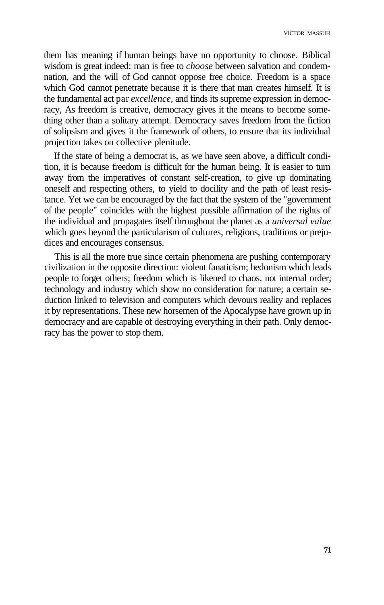them has meaning if human beings have no opportunity to choose. Biblical wisdom is great indeed: man is free to *choose* between salvation and condemnation, and the will of God cannot oppose free choice. Freedom is a space which God cannot penetrate because it is there that man creates himself. It is the fundamental act par *excellence,* and finds its supreme expression in democracy, As freedom is creative, democracy gives it the means to become something other than a solitary attempt. Democracy saves freedom from the fiction of solipsism and gives it the framework of others, to ensure that its individual projection takes on collective plenitude.

If the state of being a democrat is, as we have seen above, a difficult condition, it is because freedom is difficult for the human being. It is easier to turn away from the imperatives of constant self-creation, to give up dominating oneself and respecting others, to yield to docility and the path of least resistance. Yet we can be encouraged by the fact that the system of the "government of the people" coincides with the highest possible affirmation of the rights of the individual and propagates itself throughout the planet as a *universal value*  which goes beyond the particularism of cultures, religions, traditions or prejudices and encourages consensus.

This is all the more true since certain phenomena are pushing contemporary civilization in the opposite direction: violent fanaticism; hedonism which leads people to forget others; freedom which is likened to chaos, not internal order; technology and industry which show no consideration for nature; a certain seduction linked to television and computers which devours reality and replaces it by representations. These new horsemen of the Apocalypse have grown up in democracy and are capable of destroying everything in their path. Only democracy has the power to stop them.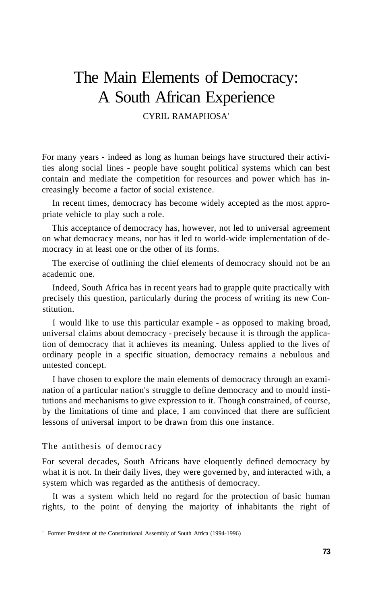# The Main Elements of Democracy: A South African Experience

CYRIL RAMAPHOSA'

For many years - indeed as long as human beings have structured their activities along social lines - people have sought political systems which can best contain and mediate the competition for resources and power which has increasingly become a factor of social existence.

In recent times, democracy has become widely accepted as the most appropriate vehicle to play such a role.

This acceptance of democracy has, however, not led to universal agreement on what democracy means, nor has it led to world-wide implementation of democracy in at least one or the other of its forms.

The exercise of outlining the chief elements of democracy should not be an academic one.

Indeed, South Africa has in recent years had to grapple quite practically with precisely this question, particularly during the process of writing its new Constitution.

I would like to use this particular example - as opposed to making broad, universal claims about democracy - precisely because it is through the application of democracy that it achieves its meaning. Unless applied to the lives of ordinary people in a specific situation, democracy remains a nebulous and untested concept.

I have chosen to explore the main elements of democracy through an examination of a particular nation's struggle to define democracy and to mould institutions and mechanisms to give expression to it. Though constrained, of course, by the limitations of time and place, I am convinced that there are sufficient lessons of universal import to be drawn from this one instance.

### The antithesis of democracy

For several decades, South Africans have eloquently defined democracy by what it is not. In their daily lives, they were governed by, and interacted with, a system which was regarded as the antithesis of democracy.

It was a system which held no regard for the protection of basic human rights, to the point of denying the majority of inhabitants the right of

<sup>&#</sup>x27; Former President of the Constitutional Assembly of South Africa (1994-1996)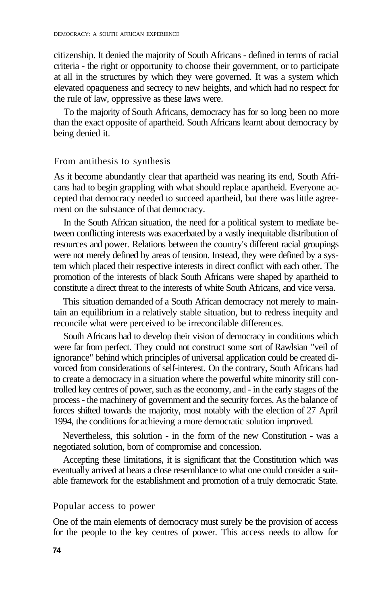citizenship. It denied the majority of South Africans - defined in terms of racial criteria - the right or opportunity to choose their government, or to participate at all in the structures by which they were governed. It was a system which elevated opaqueness and secrecy to new heights, and which had no respect for the rule of law, oppressive as these laws were.

To the majority of South Africans, democracy has for so long been no more than the exact opposite of apartheid. South Africans learnt about democracy by being denied it.

#### From antithesis to synthesis

As it become abundantly clear that apartheid was nearing its end, South Africans had to begin grappling with what should replace apartheid. Everyone accepted that democracy needed to succeed apartheid, but there was little agreement on the substance of that democracy.

In the South African situation, the need for a political system to mediate between conflicting interests was exacerbated by a vastly inequitable distribution of resources and power. Relations between the country's different racial groupings were not merely defined by areas of tension. Instead, they were defined by a system which placed their respective interests in direct conflict with each other. The promotion of the interests of black South Africans were shaped by apartheid to constitute a direct threat to the interests of white South Africans, and vice versa.

This situation demanded of a South African democracy not merely to maintain an equilibrium in a relatively stable situation, but to redress inequity and reconcile what were perceived to be irreconcilable differences.

South Africans had to develop their vision of democracy in conditions which were far from perfect. They could not construct some sort of Rawlsian "veil of ignorance" behind which principles of universal application could be created divorced from considerations of self-interest. On the contrary, South Africans had to create a democracy in a situation where the powerful white minority still controlled key centres of power, such as the economy, and - in the early stages of the process - the machinery of government and the security forces. As the balance of forces shifted towards the majority, most notably with the election of 27 April 1994, the conditions for achieving a more democratic solution improved.

Nevertheless, this solution - in the form of the new Constitution - was a negotiated solution, born of compromise and concession.

Accepting these limitations, it is significant that the Constitution which was eventually arrived at bears a close resemblance to what one could consider a suitable framework for the establishment and promotion of a truly democratic State.

#### Popular access to power

One of the main elements of democracy must surely be the provision of access for the people to the key centres of power. This access needs to allow for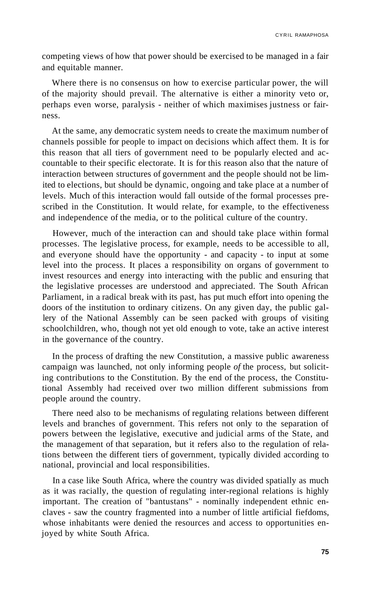competing views of how that power should be exercised to be managed in a fair and equitable manner.

Where there is no consensus on how to exercise particular power, the will of the majority should prevail. The alternative is either a minority veto or, perhaps even worse, paralysis - neither of which maximises justness or fairness.

At the same, any democratic system needs to create the maximum number of channels possible for people to impact on decisions which affect them. It is for this reason that all tiers of government need to be popularly elected and accountable to their specific electorate. It is for this reason also that the nature of interaction between structures of government and the people should not be limited to elections, but should be dynamic, ongoing and take place at a number of levels. Much of this interaction would fall outside of the formal processes prescribed in the Constitution. It would relate, for example, to the effectiveness and independence of the media, or to the political culture of the country.

However, much of the interaction can and should take place within formal processes. The legislative process, for example, needs to be accessible to all, and everyone should have the opportunity - and capacity - to input at some level into the process. It places a responsibility on organs of government to invest resources and energy into interacting with the public and ensuring that the legislative processes are understood and appreciated. The South African Parliament, in a radical break with its past, has put much effort into opening the doors of the institution to ordinary citizens. On any given day, the public gallery of the National Assembly can be seen packed with groups of visiting schoolchildren, who, though not yet old enough to vote, take an active interest in the governance of the country.

In the process of drafting the new Constitution, a massive public awareness campaign was launched, not only informing people *of* the process, but soliciting contributions to the Constitution. By the end of the process, the Constitutional Assembly had received over two million different submissions from people around the country.

There need also to be mechanisms of regulating relations between different levels and branches of government. This refers not only to the separation of powers between the legislative, executive and judicial arms of the State, and the management of that separation, but it refers also to the regulation of relations between the different tiers of government, typically divided according to national, provincial and local responsibilities.

In a case like South Africa, where the country was divided spatially as much as it was racially, the question of regulating inter-regional relations is highly important. The creation of "bantustans" - nominally independent ethnic enclaves - saw the country fragmented into a number of little artificial fiefdoms, whose inhabitants were denied the resources and access to opportunities enjoyed by white South Africa.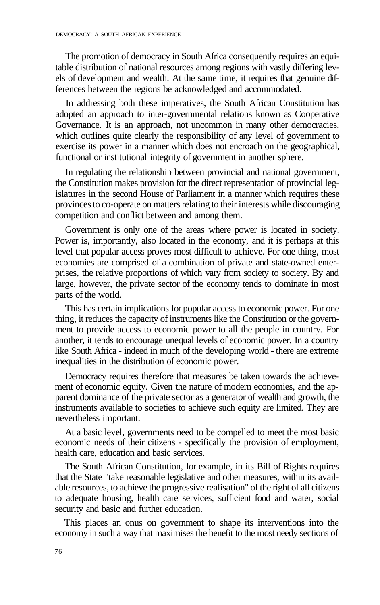The promotion of democracy in South Africa consequently requires an equitable distribution of national resources among regions with vastly differing levels of development and wealth. At the same time, it requires that genuine differences between the regions be acknowledged and accommodated.

In addressing both these imperatives, the South African Constitution has adopted an approach to inter-governmental relations known as Cooperative Governance. It is an approach, not uncommon in many other democracies, which outlines quite clearly the responsibility of any level of government to exercise its power in a manner which does not encroach on the geographical, functional or institutional integrity of government in another sphere.

In regulating the relationship between provincial and national government, the Constitution makes provision for the direct representation of provincial legislatures in the second House of Parliament in a manner which requires these provinces to co-operate on matters relating to their interests while discouraging competition and conflict between and among them.

Government is only one of the areas where power is located in society. Power is, importantly, also located in the economy, and it is perhaps at this level that popular access proves most difficult to achieve. For one thing, most economies are comprised of a combination of private and state-owned enterprises, the relative proportions of which vary from society to society. By and large, however, the private sector of the economy tends to dominate in most parts of the world.

This has certain implications for popular access to economic power. For one thing, it reduces the capacity of instruments like the Constitution or the government to provide access to economic power to all the people in country. For another, it tends to encourage unequal levels of economic power. In a country like South Africa - indeed in much of the developing world - there are extreme inequalities in the distribution of economic power.

Democracy requires therefore that measures be taken towards the achievement of economic equity. Given the nature of modern economies, and the apparent dominance of the private sector as a generator of wealth and growth, the instruments available to societies to achieve such equity are limited. They are nevertheless important.

At a basic level, governments need to be compelled to meet the most basic economic needs of their citizens - specifically the provision of employment, health care, education and basic services.

The South African Constitution, for example, in its Bill of Rights requires that the State "take reasonable legislative and other measures, within its available resources, to achieve the progressive realisation" of the right of all citizens to adequate housing, health care services, sufficient food and water, social security and basic and further education.

This places an onus on government to shape its interventions into the economy in such a way that maximises the benefit to the most needy sections of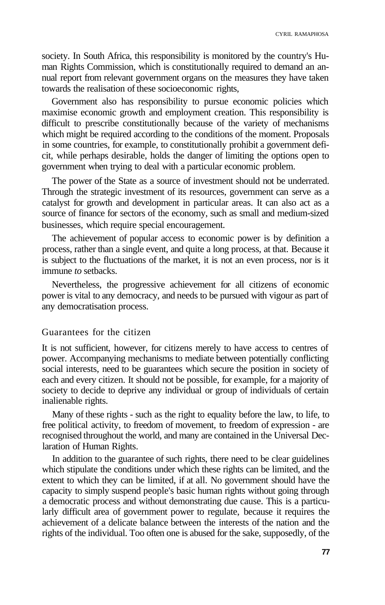CYRIL RAMAPHOSA

society. In South Africa, this responsibility is monitored by the country's Human Rights Commission, which is constitutionally required to demand an annual report from relevant government organs on the measures they have taken towards the realisation of these socioeconomic rights,

Government also has responsibility to pursue economic policies which maximise economic growth and employment creation. This responsibility is difficult to prescribe constitutionally because of the variety of mechanisms which might be required according to the conditions of the moment. Proposals in some countries, for example, to constitutionally prohibit a government deficit, while perhaps desirable, holds the danger of limiting the options open to government when trying to deal with a particular economic problem.

The power of the State as a source of investment should not be underrated. Through the strategic investment of its resources, government can serve as a catalyst for growth and development in particular areas. It can also act as a source of finance for sectors of the economy, such as small and medium-sized businesses, which require special encouragement.

The achievement of popular access to economic power is by definition a process, rather than a single event, and quite a long process, at that. Because it is subject to the fluctuations of the market, it is not an even process, nor is it immune *to* setbacks.

Nevertheless, the progressive achievement for all citizens of economic power is vital to any democracy, and needs to be pursued with vigour as part of any democratisation process.

### Guarantees for the citizen

It is not sufficient, however, for citizens merely to have access to centres of power. Accompanying mechanisms to mediate between potentially conflicting social interests, need to be guarantees which secure the position in society of each and every citizen. It should not be possible, for example, for a majority of society to decide to deprive any individual or group of individuals of certain inalienable rights.

Many of these rights - such as the right to equality before the law, to life, to free political activity, to freedom of movement, to freedom of expression - are recognised throughout the world, and many are contained in the Universal Declaration of Human Rights.

In addition to the guarantee of such rights, there need to be clear guidelines which stipulate the conditions under which these rights can be limited, and the extent to which they can be limited, if at all. No government should have the capacity to simply suspend people's basic human rights without going through a democratic process and without demonstrating due cause. This is a particularly difficult area of government power to regulate, because it requires the achievement of a delicate balance between the interests of the nation and the rights of the individual. Too often one is abused for the sake, supposedly, of the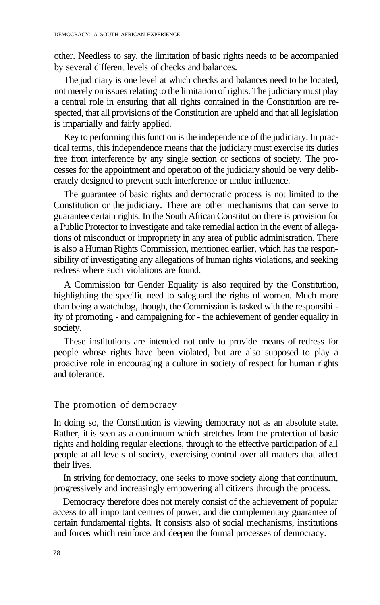other. Needless to say, the limitation of basic rights needs to be accompanied by several different levels of checks and balances.

The judiciary is one level at which checks and balances need to be located, not merely on issues relating to the limitation of rights. The judiciary must play a central role in ensuring that all rights contained in the Constitution are respected, that all provisions of the Constitution are upheld and that all legislation is impartially and fairly applied.

Key to performing this function is the independence of the judiciary. In practical terms, this independence means that the judiciary must exercise its duties free from interference by any single section or sections of society. The processes for the appointment and operation of the judiciary should be very deliberately designed to prevent such interference or undue influence.

The guarantee of basic rights and democratic process is not limited to the Constitution or the judiciary. There are other mechanisms that can serve to guarantee certain rights. In the South African Constitution there is provision for a Public Protector to investigate and take remedial action in the event of allegations of misconduct or impropriety in any area of public administration. There is also a Human Rights Commission, mentioned earlier, which has the responsibility of investigating any allegations of human rights violations, and seeking redress where such violations are found.

A Commission for Gender Equality is also required by the Constitution, highlighting the specific need to safeguard the rights of women. Much more than being a watchdog, though, the Commission is tasked with the responsibility of promoting - and campaigning for - the achievement of gender equality in society.

These institutions are intended not only to provide means of redress for people whose rights have been violated, but are also supposed to play a proactive role in encouraging a culture in society of respect for human rights and tolerance.

### The promotion of democracy

In doing so, the Constitution is viewing democracy not as an absolute state. Rather, it is seen as a continuum which stretches from the protection of basic rights and holding regular elections, through to the effective participation of all people at all levels of society, exercising control over all matters that affect their lives.

In striving for democracy, one seeks to move society along that continuum, progressively and increasingly empowering all citizens through the process.

Democracy therefore does not merely consist of the achievement of popular access to all important centres of power, and die complementary guarantee of certain fundamental rights. It consists also of social mechanisms, institutions and forces which reinforce and deepen the formal processes of democracy.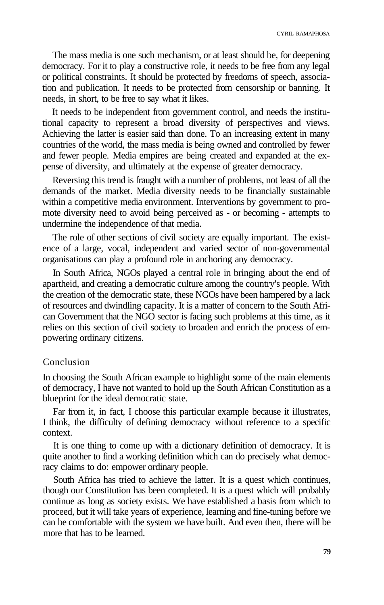The mass media is one such mechanism, or at least should be, for deepening democracy. For it to play a constructive role, it needs to be free from any legal or political constraints. It should be protected by freedoms of speech, association and publication. It needs to be protected from censorship or banning. It needs, in short, to be free to say what it likes.

It needs to be independent from government control, and needs the institutional capacity to represent a broad diversity of perspectives and views. Achieving the latter is easier said than done. To an increasing extent in many countries of the world, the mass media is being owned and controlled by fewer and fewer people. Media empires are being created and expanded at the expense of diversity, and ultimately at the expense of greater democracy.

Reversing this trend is fraught with a number of problems, not least of all the demands of the market. Media diversity needs to be financially sustainable within a competitive media environment. Interventions by government to promote diversity need to avoid being perceived as - or becoming - attempts to undermine the independence of that media.

The role of other sections of civil society are equally important. The existence of a large, vocal, independent and varied sector of non-governmental organisations can play a profound role in anchoring any democracy.

In South Africa, NGOs played a central role in bringing about the end of apartheid, and creating a democratic culture among the country's people. With the creation of the democratic state, these NGOs have been hampered by a lack of resources and dwindling capacity. It is a matter of concern to the South African Government that the NGO sector is facing such problems at this time, as it relies on this section of civil society to broaden and enrich the process of empowering ordinary citizens.

### Conclusion

In choosing the South African example to highlight some of the main elements of democracy, I have not wanted to hold up the South African Constitution as a blueprint for the ideal democratic state.

Far from it, in fact, I choose this particular example because it illustrates, I think, the difficulty of defining democracy without reference to a specific context.

It is one thing to come up with a dictionary definition of democracy. It is quite another to find a working definition which can do precisely what democracy claims to do: empower ordinary people.

South Africa has tried to achieve the latter. It is a quest which continues, though our Constitution has been completed. It is a quest which will probably continue as long as society exists. We have established a basis from which to proceed, but it will take years of experience, learning and fine-tuning before we can be comfortable with the system we have built. And even then, there will be more that has to be learned.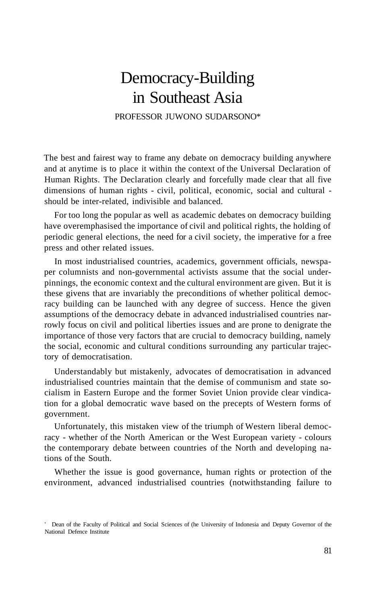# Democracy-Building in Southeast Asia

PROFESSOR JUWONO SUDARSONO\*

The best and fairest way to frame any debate on democracy building anywhere and at anytime is to place it within the context of the Universal Declaration of Human Rights. The Declaration clearly and forcefully made clear that all five dimensions of human rights - civil, political, economic, social and cultural should be inter-related, indivisible and balanced.

For too long the popular as well as academic debates on democracy building have overemphasised the importance of civil and political rights, the holding of periodic general elections, the need for a civil society, the imperative for a free press and other related issues.

In most industrialised countries, academics, government officials, newspaper columnists and non-governmental activists assume that the social underpinnings, the economic context and the cultural environment are given. But it is these givens that are invariably the preconditions of whether political democracy building can be launched with any degree of success. Hence the given assumptions of the democracy debate in advanced industrialised countries narrowly focus on civil and political liberties issues and are prone to denigrate the importance of those very factors that are crucial to democracy building, namely the social, economic and cultural conditions surrounding any particular trajectory of democratisation.

Understandably but mistakenly, advocates of democratisation in advanced industrialised countries maintain that the demise of communism and state socialism in Eastern Europe and the former Soviet Union provide clear vindication for a global democratic wave based on the precepts of Western forms of government.

Unfortunately, this mistaken view of the triumph of Western liberal democracy - whether of the North American or the West European variety - colours the contemporary debate between countries of the North and developing nations of the South.

Whether the issue is good governance, human rights or protection of the environment, advanced industrialised countries (notwithstanding failure to

<sup>&#</sup>x27; Dean of the Faculty of Political and Social Sciences of (he University of Indonesia and Deputy Governor of the National Defence Institute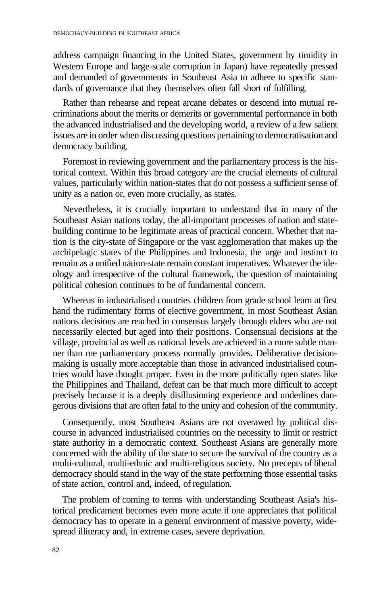address campaign financing in the United States, government by timidity in Western Europe and large-scale corruption in Japan) have repeatedly pressed and demanded of governments in Southeast Asia to adhere to specific standards of governance that they themselves often fall short of fulfilling.

Rather than rehearse and repeat arcane debates or descend into mutual recriminations about the merits or demerits or governmental performance in both the advanced industrialised and the developing world, a review of a few salient issues are in order when discussing questions pertaining to democratisation and democracy building.

Foremost in reviewing government and the parliamentary process is the historical context. Within this broad category are the crucial elements of cultural values, particularly within nation-states that do not possess a sufficient sense of unity as a nation or, even more crucially, as states.

Nevertheless, it is crucially important to understand that in many of the Southeast Asian nations today, the all-important processes of nation and statebuilding continue to be legitimate areas of practical concern. Whether that nation is the city-state of Singapore or the vast agglomeration that makes up the archipelagic states of the Philippines and Indonesia, the urge and instinct to remain as a unified nation-state remain constant imperatives. Whatever the ideology and irrespective of the cultural framework, the question of maintaining political cohesion continues to be of fundamental concern.

Whereas in industrialised countries children from grade school learn at first hand the rudimentary forms of elective government, in most Southeast Asian nations decisions are reached in consensus largely through elders who are not necessarily elected but aged into their positions. Consensual decisions at the village, provincial as well as national levels are achieved in a more subtle manner than me parliamentary process normally provides. Deliberative decisionmaking is usually more acceptable than those in advanced industrialised countries would have thought proper. Even in the more politically open states like the Philippines and Thailand, defeat can be that much more difficult to accept precisely because it is a deeply disillusioning experience and underlines dangerous divisions that are often fatal to the unity and cohesion of the community.

Consequently, most Southeast Asians are not overawed by political discourse in advanced industrialised countries on the necessity to limit or restrict state authority in a democratic context. Southeast Asians are generally more concerned with the ability of the state to secure the survival of the country as a multi-cultural, multi-ethnic and multi-religious society. No precepts of liberal democracy should stand in the way of the state performing those essential tasks of state action, control and, indeed, of regulation.

The problem of coming to terms with understanding Southeast Asia's historical predicament becomes even more acute if one appreciates that political democracy has to operate in a general environment of massive poverty, widespread illiteracy and, in extreme cases, severe deprivation.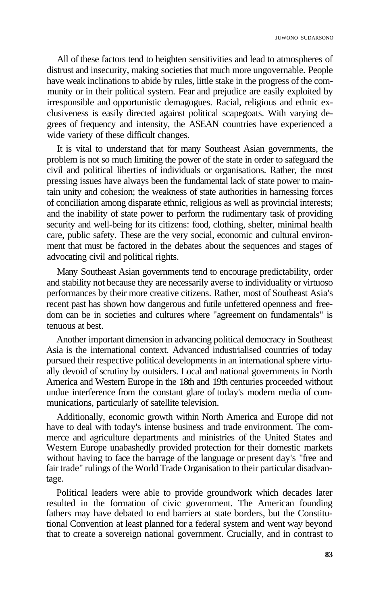All of these factors tend to heighten sensitivities and lead to atmospheres of distrust and insecurity, making societies that much more ungovernable. People have weak inclinations to abide by rules, little stake in the progress of the community or in their political system. Fear and prejudice are easily exploited by irresponsible and opportunistic demagogues. Racial, religious and ethnic exclusiveness is easily directed against political scapegoats. With varying degrees of frequency and intensity, the ASEAN countries have experienced a wide variety of these difficult changes.

It is vital to understand that for many Southeast Asian governments, the problem is not so much limiting the power of the state in order to safeguard the civil and political liberties of individuals or organisations. Rather, the most pressing issues have always been the fundamental lack of state power to maintain unity and cohesion; the weakness of state authorities in harnessing forces of conciliation among disparate ethnic, religious as well as provincial interests; and the inability of state power to perform the rudimentary task of providing security and well-being for its citizens: food, clothing, shelter, minimal health care, public safety. These are the very social, economic and cultural environment that must be factored in the debates about the sequences and stages of advocating civil and political rights.

Many Southeast Asian governments tend to encourage predictability, order and stability not because they are necessarily averse to individuality or virtuoso performances by their more creative citizens. Rather, most of Southeast Asia's recent past has shown how dangerous and futile unfettered openness and freedom can be in societies and cultures where "agreement on fundamentals" is tenuous at best.

Another important dimension in advancing political democracy in Southeast Asia is the international context. Advanced industrialised countries of today pursued their respective political developments in an international sphere virtually devoid of scrutiny by outsiders. Local and national governments in North America and Western Europe in the 18th and 19th centuries proceeded without undue interference from the constant glare of today's modern media of communications, particularly of satellite television.

Additionally, economic growth within North America and Europe did not have to deal with today's intense business and trade environment. The commerce and agriculture departments and ministries of the United States and Western Europe unabashedly provided protection for their domestic markets without having to face the barrage of the language or present day's "free and fair trade" rulings of the World Trade Organisation to their particular disadvantage.

Political leaders were able to provide groundwork which decades later resulted in the formation of civic government. The American founding fathers may have debated to end barriers at state borders, but the Constitutional Convention at least planned for a federal system and went way beyond that to create a sovereign national government. Crucially, and in contrast to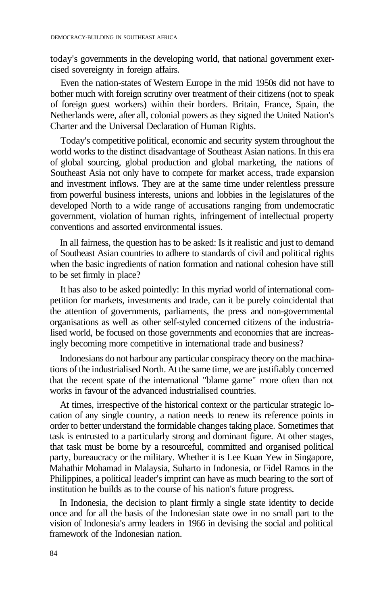today's governments in the developing world, that national government exercised sovereignty in foreign affairs.

Even the nation-states of Western Europe in the mid 1950s did not have to bother much with foreign scrutiny over treatment of their citizens (not to speak of foreign guest workers) within their borders. Britain, France, Spain, the Netherlands were, after all, colonial powers as they signed the United Nation's Charter and the Universal Declaration of Human Rights.

Today's competitive political, economic and security system throughout the world works to the distinct disadvantage of Southeast Asian nations. In this era of global sourcing, global production and global marketing, the nations of Southeast Asia not only have to compete for market access, trade expansion and investment inflows. They are at the same time under relentless pressure from powerful business interests, unions and lobbies in the legislatures of the developed North to a wide range of accusations ranging from undemocratic government, violation of human rights, infringement of intellectual property conventions and assorted environmental issues.

In all fairness, the question has to be asked: Is it realistic and just to demand of Southeast Asian countries to adhere to standards of civil and political rights when the basic ingredients of nation formation and national cohesion have still to be set firmly in place?

It has also to be asked pointedly: In this myriad world of international competition for markets, investments and trade, can it be purely coincidental that the attention of governments, parliaments, the press and non-governmental organisations as well as other self-styled concerned citizens of the industrialised world, be focused on those governments and economies that are increasingly becoming more competitive in international trade and business?

Indonesians do not harbour any particular conspiracy theory on the machinations of the industrialised North. At the same time, we are justifiably concerned that the recent spate of the international "blame game" more often than not works in favour of the advanced industrialised countries.

At times, irrespective of the historical context or the particular strategic location of any single country, a nation needs to renew its reference points in order to better understand the formidable changes taking place. Sometimes that task is entrusted to a particularly strong and dominant figure. At other stages, that task must be borne by a resourceful, committed and organised political party, bureaucracy or the military. Whether it is Lee Kuan Yew in Singapore, Mahathir Mohamad in Malaysia, Suharto in Indonesia, or Fidel Ramos in the Philippines, a political leader's imprint can have as much bearing to the sort of institution he builds as to the course of his nation's future progress.

In Indonesia, the decision to plant firmly a single state identity to decide once and for all the basis of the Indonesian state owe in no small part to the vision of Indonesia's army leaders in 1966 in devising the social and political framework of the Indonesian nation.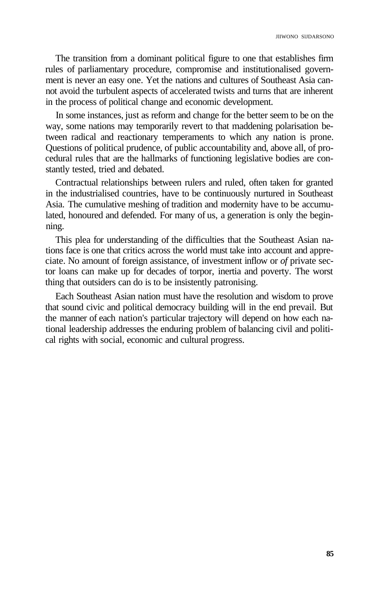The transition from a dominant political figure to one that establishes firm rules of parliamentary procedure, compromise and institutionalised government is never an easy one. Yet the nations and cultures of Southeast Asia cannot avoid the turbulent aspects of accelerated twists and turns that are inherent in the process of political change and economic development.

In some instances, just as reform and change for the better seem to be on the way, some nations may temporarily revert to that maddening polarisation between radical and reactionary temperaments to which any nation is prone. Questions of political prudence, of public accountability and, above all, of procedural rules that are the hallmarks of functioning legislative bodies are constantly tested, tried and debated.

Contractual relationships between rulers and ruled, often taken for granted in the industrialised countries, have to be continuously nurtured in Southeast Asia. The cumulative meshing of tradition and modernity have to be accumulated, honoured and defended. For many of us, a generation is only the beginning.

This plea for understanding of the difficulties that the Southeast Asian nations face is one that critics across the world must take into account and appreciate. No amount of foreign assistance, of investment inflow or *of* private sector loans can make up for decades of torpor, inertia and poverty. The worst thing that outsiders can do is to be insistently patronising.

Each Southeast Asian nation must have the resolution and wisdom to prove that sound civic and political democracy building will in the end prevail. But the manner of each nation's particular trajectory will depend on how each national leadership addresses the enduring problem of balancing civil and political rights with social, economic and cultural progress.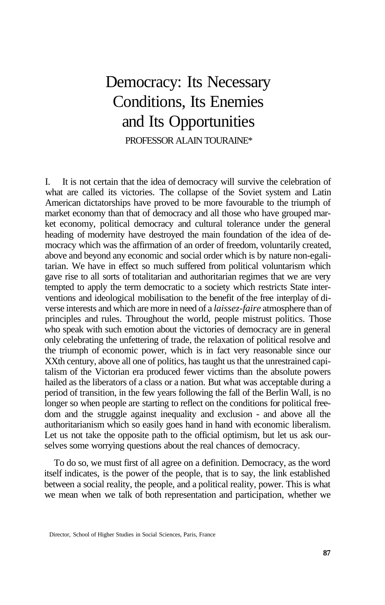## Democracy: Its Necessary Conditions, Its Enemies and Its Opportunities PROFESSOR ALAIN TOURAINE\*

I. It is not certain that the idea of democracy will survive the celebration of what are called its victories. The collapse of the Soviet system and Latin American dictatorships have proved to be more favourable to the triumph of market economy than that of democracy and all those who have grouped market economy, political democracy and cultural tolerance under the general heading of modernity have destroyed the main foundation of the idea of democracy which was the affirmation of an order of freedom, voluntarily created, above and beyond any economic and social order which is by nature non-egalitarian. We have in effect so much suffered from political voluntarism which gave rise to all sorts of totalitarian and authoritarian regimes that we are very tempted to apply the term democratic to a society which restricts State interventions and ideological mobilisation to the benefit of the free interplay of diverse interests and which are more in need of a *laissez-faire* atmosphere than of principles and rules. Throughout the world, people mistrust politics. Those who speak with such emotion about the victories of democracy are in general only celebrating the unfettering of trade, the relaxation of political resolve and the triumph of economic power, which is in fact very reasonable since our XXth century, above all one of politics, has taught us that the unrestrained capitalism of the Victorian era produced fewer victims than the absolute powers hailed as the liberators of a class or a nation. But what was acceptable during a period of transition, in the few years following the fall of the Berlin Wall, is no longer so when people are starting to reflect on the conditions for political freedom and the struggle against inequality and exclusion - and above all the authoritarianism which so easily goes hand in hand with economic liberalism. Let us not take the opposite path to the official optimism, but let us ask ourselves some worrying questions about the real chances of democracy.

To do so, we must first of all agree on a definition. Democracy, as the word itself indicates, is the power of the people, that is to say, the link established between a social reality, the people, and a political reality, power. This is what we mean when we talk of both representation and participation, whether we

Director, School of Higher Studies in Social Sciences, Paris, France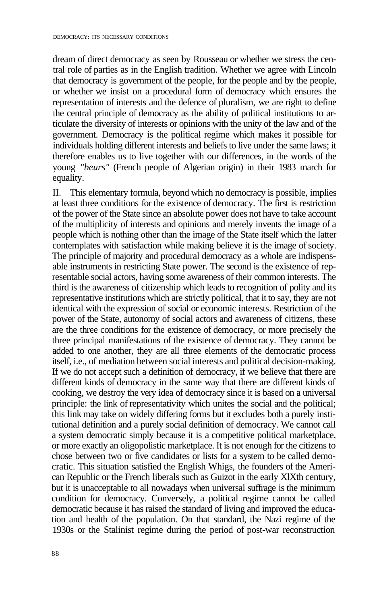dream of direct democracy as seen by Rousseau or whether we stress the central role of parties as in the English tradition. Whether we agree with Lincoln that democracy is government of the people, for the people and by the people, or whether we insist on a procedural form of democracy which ensures the representation of interests and the defence of pluralism, we are right to define the central principle of democracy as the ability of political institutions to articulate the diversity of interests or opinions with the unity of the law and of the government. Democracy is the political regime which makes it possible for individuals holding different interests and beliefs to live under the same laws; it therefore enables us to live together with our differences, in the words of the young *"beurs"* (French people of Algerian origin) in their 1983 march for equality.

II. This elementary formula, beyond which no democracy is possible, implies at least three conditions for the existence of democracy. The first is restriction of the power of the State since an absolute power does not have to take account of the multiplicity of interests and opinions and merely invents the image of a people which is nothing other than the image of the State itself which the latter contemplates with satisfaction while making believe it is the image of society. The principle of majority and procedural democracy as a whole are indispensable instruments in restricting State power. The second is the existence of representable social actors, having some awareness of their common interests. The third is the awareness of citizenship which leads to recognition of polity and its representative institutions which are strictly political, that it to say, they are not identical with the expression of social or economic interests. Restriction of the power of the State, autonomy of social actors and awareness of citizens, these are the three conditions for the existence of democracy, or more precisely the three principal manifestations of the existence of democracy. They cannot be added to one another, they are all three elements of the democratic process itself, i.e., of mediation between social interests and political decision-making. If we do not accept such a definition of democracy, if we believe that there are different kinds of democracy in the same way that there are different kinds of cooking, we destroy the very idea of democracy since it is based on a universal principle: the link of representativity which unites the social and the political; this link may take on widely differing forms but it excludes both a purely institutional definition and a purely social definition of democracy. We cannot call a system democratic simply because it is a competitive political marketplace, or more exactly an oligopolistic marketplace. It is not enough for the citizens to chose between two or five candidates or lists for a system to be called democratic. This situation satisfied the English Whigs, the founders of the American Republic or the French liberals such as Guizot in the early XlXth century, but it is unacceptable to all nowadays when universal suffrage is the minimum condition for democracy. Conversely, a political regime cannot be called democratic because it has raised the standard of living and improved the education and health of the population. On that standard, the Nazi regime of the 1930s or the Stalinist regime during the period of post-war reconstruction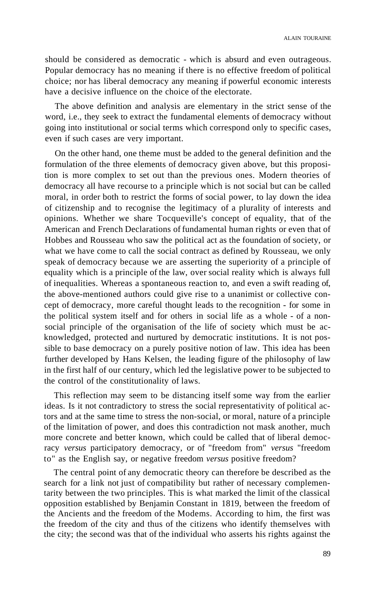ALAIN TOURAINE

should be considered as democratic - which is absurd and even outrageous. Popular democracy has no meaning if there is no effective freedom of political choice; nor has liberal democracy any meaning if powerful economic interests have a decisive influence on the choice of the electorate.

The above definition and analysis are elementary in the strict sense of the word, i.e., they seek to extract the fundamental elements of democracy without going into institutional or social terms which correspond only to specific cases, even if such cases are very important.

On the other hand, one theme must be added to the general definition and the formulation of the three elements of democracy given above, but this proposition is more complex to set out than the previous ones. Modern theories of democracy all have recourse to a principle which is not social but can be called moral, in order both to restrict the forms of social power, to lay down the idea of citizenship and to recognise the legitimacy of a plurality of interests and opinions. Whether we share Tocqueville's concept of equality, that of the American and French Declarations of fundamental human rights or even that of Hobbes and Rousseau who saw the political act as the foundation of society, or what we have come to call the social contract as defined by Rousseau, we only speak of democracy because we are asserting the superiority of a principle of equality which is a principle of the law, over social reality which is always full of inequalities. Whereas a spontaneous reaction to, and even a swift reading of, the above-mentioned authors could give rise to a unanimist or collective concept of democracy, more careful thought leads to the recognition - for some in the political system itself and for others in social life as a whole - of a nonsocial principle of the organisation of the life of society which must be acknowledged, protected and nurtured by democratic institutions. It is not possible to base democracy on a purely positive notion of law. This idea has been further developed by Hans Kelsen, the leading figure of the philosophy of law in the first half of our century, which led the legislative power to be subjected to the control of the constitutionality of laws.

This reflection may seem to be distancing itself some way from the earlier ideas. Is it not contradictory to stress the social representativity of political actors and at the same time to stress the non-social, or moral, nature of a principle of the limitation of power, and does this contradiction not mask another, much more concrete and better known, which could be called that of liberal democracy *versus* participatory democracy, or of "freedom from" *versus* "freedom to" as the English say, or negative freedom *versus* positive freedom?

The central point of any democratic theory can therefore be described as the search for a link not just of compatibility but rather of necessary complementarity between the two principles. This is what marked the limit of the classical opposition established by Benjamin Constant in 1819, between the freedom of the Ancients and the freedom of the Modems. According to him, the first was the freedom of the city and thus of the citizens who identify themselves with the city; the second was that of the individual who asserts his rights against the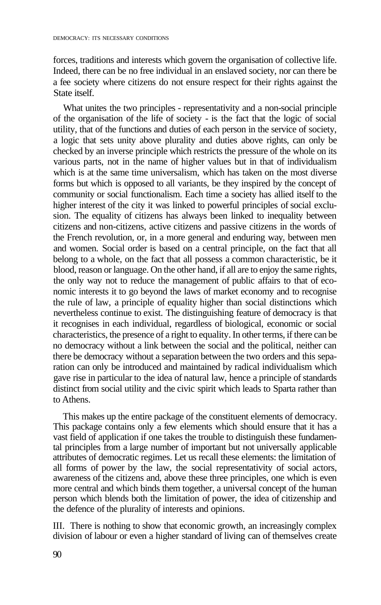forces, traditions and interests which govern the organisation of collective life. Indeed, there can be no free individual in an enslaved society, nor can there be a fee society where citizens do not ensure respect for their rights against the State itself.

What unites the two principles - representativity and a non-social principle of the organisation of the life of society - is the fact that the logic of social utility, that of the functions and duties of each person in the service of society, a logic that sets unity above plurality and duties above rights, can only be checked by an inverse principle which restricts the pressure of the whole on its various parts, not in the name of higher values but in that of individualism which is at the same time universalism, which has taken on the most diverse forms but which is opposed to all variants, be they inspired by the concept of community or social functionalism. Each time a society has allied itself to the higher interest of the city it was linked to powerful principles of social exclusion. The equality of citizens has always been linked to inequality between citizens and non-citizens, active citizens and passive citizens in the words of the French revolution, or, in a more general and enduring way, between men and women. Social order is based on a central principle, on the fact that all belong to a whole, on the fact that all possess a common characteristic, be it blood, reason or language. On the other hand, if all are to enjoy the same rights, the only way not to reduce the management of public affairs to that of economic interests it to go beyond the laws of market economy and to recognise the rule of law, a principle of equality higher than social distinctions which nevertheless continue to exist. The distinguishing feature of democracy is that it recognises in each individual, regardless of biological, economic or social characteristics, the presence of a right to equality. In other terms, if there can be no democracy without a link between the social and the political, neither can there be democracy without a separation between the two orders and this separation can only be introduced and maintained by radical individualism which gave rise in particular to the idea of natural law, hence a principle of standards distinct from social utility and the civic spirit which leads to Sparta rather than to Athens.

This makes up the entire package of the constituent elements of democracy. This package contains only a few elements which should ensure that it has a vast field of application if one takes the trouble to distinguish these fundamental principles from a large number of important but not universally applicable attributes of democratic regimes. Let us recall these elements: the limitation of all forms of power by the law, the social representativity of social actors, awareness of the citizens and, above these three principles, one which is even more central and which binds them together, a universal concept of the human person which blends both the limitation of power, the idea of citizenship and the defence of the plurality of interests and opinions.

III. There is nothing to show that economic growth, an increasingly complex division of labour or even a higher standard of living can of themselves create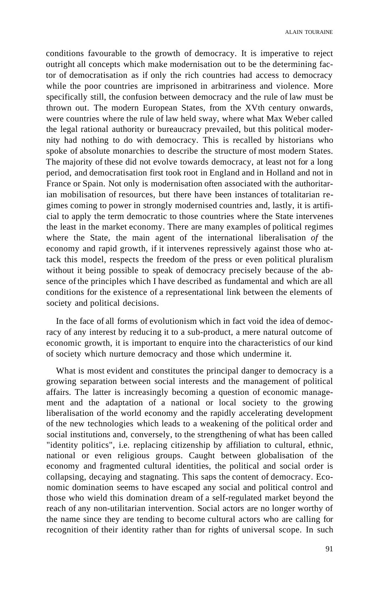conditions favourable to the growth of democracy. It is imperative to reject outright all concepts which make modernisation out to be the determining factor of democratisation as if only the rich countries had access to democracy while the poor countries are imprisoned in arbitrariness and violence. More specifically still, the confusion between democracy and the rule of law must be thrown out. The modern European States, from the XVth century onwards, were countries where the rule of law held sway, where what Max Weber called the legal rational authority or bureaucracy prevailed, but this political modernity had nothing to do with democracy. This is recalled by historians who spoke of absolute monarchies to describe the structure of most modern States. The majority of these did not evolve towards democracy, at least not for a long period, and democratisation first took root in England and in Holland and not in France or Spain. Not only is modernisation often associated with the authoritarian mobilisation of resources, but there have been instances of totalitarian regimes coming to power in strongly modernised countries and, lastly, it is artificial to apply the term democratic to those countries where the State intervenes the least in the market economy. There are many examples of political regimes where the State, the main agent of the international liberalisation *of* the economy and rapid growth, if it intervenes repressively against those who attack this model, respects the freedom of the press or even political pluralism without it being possible to speak of democracy precisely because of the absence of the principles which I have described as fundamental and which are all conditions for the existence of a representational link between the elements of society and political decisions.

In the face of all forms of evolutionism which in fact void the idea of democracy of any interest by reducing it to a sub-product, a mere natural outcome of economic growth, it is important to enquire into the characteristics of our kind of society which nurture democracy and those which undermine it.

What is most evident and constitutes the principal danger to democracy is a growing separation between social interests and the management of political affairs. The latter is increasingly becoming a question of economic management and the adaptation of a national or local society to the growing liberalisation of the world economy and the rapidly accelerating development of the new technologies which leads to a weakening of the political order and social institutions and, conversely, to the strengthening of what has been called "identity politics", i.e. replacing citizenship by affiliation to cultural, ethnic, national or even religious groups. Caught between globalisation of the economy and fragmented cultural identities, the political and social order is collapsing, decaying and stagnating. This saps the content of democracy. Economic domination seems to have escaped any social and political control and those who wield this domination dream of a self-regulated market beyond the reach of any non-utilitarian intervention. Social actors are no longer worthy of the name since they are tending to become cultural actors who are calling for recognition of their identity rather than for rights of universal scope. In such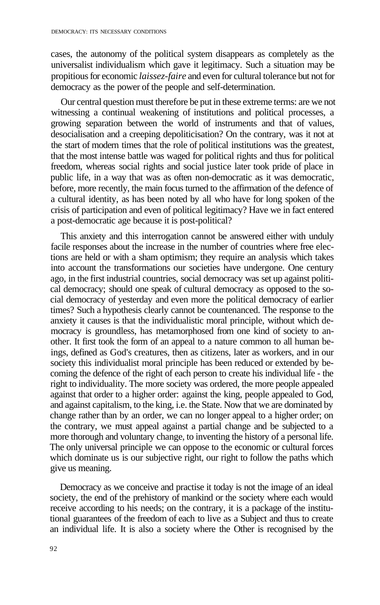cases, the autonomy of the political system disappears as completely as the universalist individualism which gave it legitimacy. Such a situation may be propitious for economic *laissez-faire* and even for cultural tolerance but not for democracy as the power of the people and self-determination.

Our central question must therefore be put in these extreme terms: are we not witnessing a continual weakening of institutions and political processes, a growing separation between the world of instruments and that of values, desocialisation and a creeping depoliticisation? On the contrary, was it not at the start of modern times that the role of political institutions was the greatest, that the most intense battle was waged for political rights and thus for political freedom, whereas social rights and social justice later took pride of place in public life, in a way that was as often non-democratic as it was democratic, before, more recently, the main focus turned to the affirmation of the defence of a cultural identity, as has been noted by all who have for long spoken of the crisis of participation and even of political legitimacy? Have we in fact entered a post-democratic age because it is post-political?

This anxiety and this interrogation cannot be answered either with unduly facile responses about the increase in the number of countries where free elections are held or with a sham optimism; they require an analysis which takes into account the transformations our societies have undergone. One century ago, in the first industrial countries, social democracy was set up against political democracy; should one speak of cultural democracy as opposed to the social democracy of yesterday and even more the political democracy of earlier times? Such a hypothesis clearly cannot be countenanced. The response to the anxiety it causes is that the individualistic moral principle, without which democracy is groundless, has metamorphosed from one kind of society to another. It first took the form of an appeal to a nature common to all human beings, defined as God's creatures, then as citizens, later as workers, and in our society this individualist moral principle has been reduced or extended by becoming the defence of the right of each person to create his individual life - the right to individuality. The more society was ordered, the more people appealed against that order to a higher order: against the king, people appealed to God, and against capitalism, to the king, i.e. the State. Now that we are dominated by change rather than by an order, we can no longer appeal to a higher order; on the contrary, we must appeal against a partial change and be subjected to a more thorough and voluntary change, to inventing the history of a personal life. The only universal principle we can oppose to the economic or cultural forces which dominate us is our subjective right, our right to follow the paths which give us meaning.

Democracy as we conceive and practise it today is not the image of an ideal society, the end of the prehistory of mankind or the society where each would receive according to his needs; on the contrary, it is a package of the institutional guarantees of the freedom of each to live as a Subject and thus to create an individual life. It is also a society where the Other is recognised by the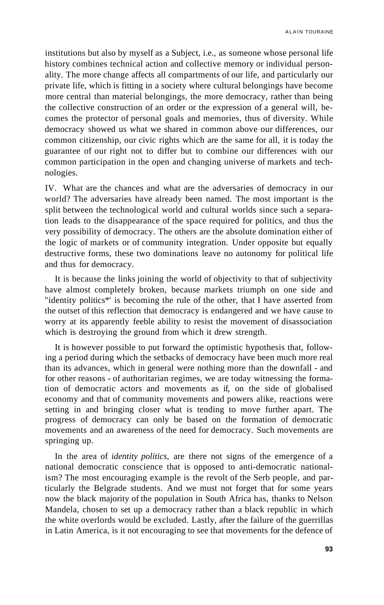institutions but also by myself as a Subject, i.e., as someone whose personal life history combines technical action and collective memory or individual personality. The more change affects all compartments of our life, and particularly our private life, which is fitting in a society where cultural belongings have become more central than material belongings, the more democracy, rather than being the collective construction of an order or the expression of a general will, becomes the protector of personal goals and memories, thus of diversity. While democracy showed us what we shared in common above our differences, our common citizenship, our civic rights which are the same for all, it is today the guarantee of our right not to differ but to combine our differences with our common participation in the open and changing universe of markets and technologies.

IV. What are the chances and what are the adversaries of democracy in our world? The adversaries have already been named. The most important is the split between the technological world and cultural worlds since such a separation leads to the disappearance of the space required for politics, and thus the very possibility of democracy. The others are the absolute domination either of the logic of markets or of community integration. Under opposite but equally destructive forms, these two dominations leave no autonomy for political life and thus for democracy.

It is because the links joining the world of objectivity to that of subjectivity have almost completely broken, because markets triumph on one side and "identity politics\*' is becoming the rule of the other, that I have asserted from the outset of this reflection that democracy is endangered and we have cause to worry at its apparently feeble ability to resist the movement of disassociation which is destroying the ground from which it drew strength.

It is however possible to put forward the optimistic hypothesis that, following a period during which the setbacks of democracy have been much more real than its advances, which in general were nothing more than the downfall - and for other reasons - of authoritarian regimes, we are today witnessing the formation of democratic actors and movements as if, on the side of globalised economy and that of community movements and powers alike, reactions were setting in and bringing closer what is tending to move further apart. The progress of democracy can only be based on the formation of democratic movements and an awareness of the need for democracy. Such movements are springing up.

In the area of *identity politics,* are there not signs of the emergence of a national democratic conscience that is opposed to anti-democratic nationalism? The most encouraging example is the revolt of the Serb people, and particularly the Belgrade students. And we must not forget that for some years now the black majority of the population in South Africa has, thanks to Nelson Mandela, chosen to set up a democracy rather than a black republic in which the white overlords would be excluded. Lastly, after the failure of the guerrillas in Latin America, is it not encouraging to see that movements for the defence of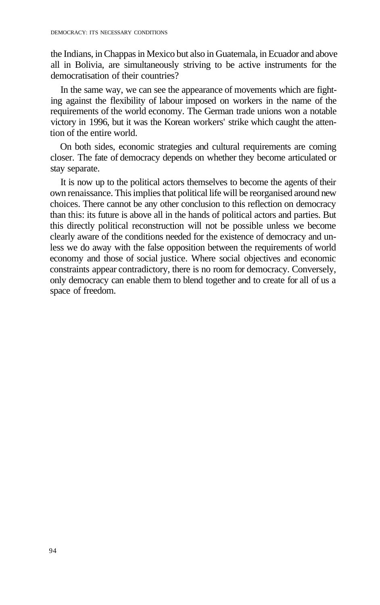the Indians, in Chappas in Mexico but also in Guatemala, in Ecuador and above all in Bolivia, are simultaneously striving to be active instruments for the democratisation of their countries?

In the same way, we can see the appearance of movements which are fighting against the flexibility of labour imposed on workers in the name of the requirements of the world economy. The German trade unions won a notable victory in 1996, but it was the Korean workers' strike which caught the attention of the entire world.

On both sides, economic strategies and cultural requirements are coming closer. The fate of democracy depends on whether they become articulated or stay separate.

It is now up to the political actors themselves to become the agents of their own renaissance. This implies that political life will be reorganised around new choices. There cannot be any other conclusion to this reflection on democracy than this: its future is above all in the hands of political actors and parties. But this directly political reconstruction will not be possible unless we become clearly aware of the conditions needed for the existence of democracy and unless we do away with the false opposition between the requirements of world economy and those of social justice. Where social objectives and economic constraints appear contradictory, there is no room for democracy. Conversely, only democracy can enable them to blend together and to create for all of us a space of freedom.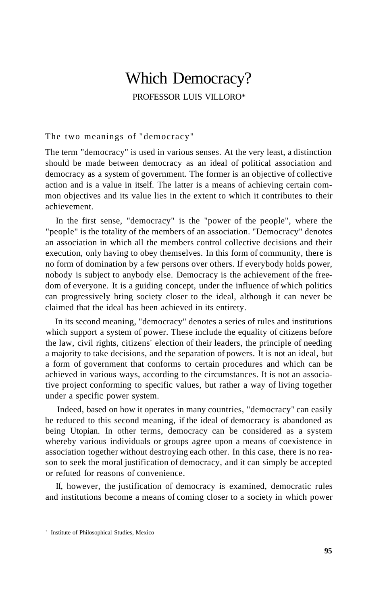### Which Democracy? PROFESSOR LUIS VILLORO\*

### The two meanings of "democracy"

The term "democracy" is used in various senses. At the very least, a distinction should be made between democracy as an ideal of political association and democracy as a system of government. The former is an objective of collective action and is a value in itself. The latter is a means of achieving certain common objectives and its value lies in the extent to which it contributes to their achievement.

In the first sense, "democracy" is the "power of the people", where the "people" is the totality of the members of an association. "Democracy" denotes an association in which all the members control collective decisions and their execution, only having to obey themselves. In this form of community, there is no form of domination by a few persons over others. If everybody holds power, nobody is subject to anybody else. Democracy is the achievement of the freedom of everyone. It is a guiding concept, under the influence of which politics can progressively bring society closer to the ideal, although it can never be claimed that the ideal has been achieved in its entirety.

In its second meaning, "democracy" denotes a series of rules and institutions which support a system of power. These include the equality of citizens before the law, civil rights, citizens' election of their leaders, the principle of needing a majority to take decisions, and the separation of powers. It is not an ideal, but a form of government that conforms to certain procedures and which can be achieved in various ways, according to the circumstances. It is not an associative project conforming to specific values, but rather a way of living together under a specific power system.

Indeed, based on how it operates in many countries, "democracy" can easily be reduced to this second meaning, if the ideal of democracy is abandoned as being Utopian. In other terms, democracy can be considered as a system whereby various individuals or groups agree upon a means of coexistence in association together without destroying each other. In this case, there is no reason to seek the moral justification of democracy, and it can simply be accepted or refuted for reasons of convenience.

If, however, the justification of democracy is examined, democratic rules and institutions become a means of coming closer to a society in which power

<sup>&#</sup>x27; Institute of Philosophical Studies, Mexico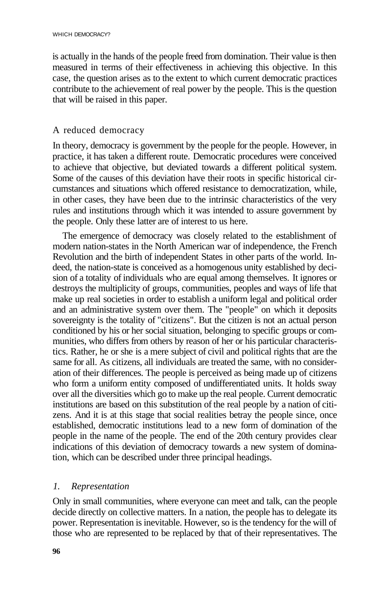is actually in the hands of the people freed from domination. Their value is then measured in terms of their effectiveness in achieving this objective. In this case, the question arises as to the extent to which current democratic practices contribute to the achievement of real power by the people. This is the question that will be raised in this paper.

### A reduced democracy

In theory, democracy is government by the people for the people. However, in practice, it has taken a different route. Democratic procedures were conceived to achieve that objective, but deviated towards a different political system. Some of the causes of this deviation have their roots in specific historical circumstances and situations which offered resistance to democratization, while, in other cases, they have been due to the intrinsic characteristics of the very rules and institutions through which it was intended to assure government by the people. Only these latter are of interest to us here.

The emergence of democracy was closely related to the establishment of modern nation-states in the North American war of independence, the French Revolution and the birth of independent States in other parts of the world. Indeed, the nation-state is conceived as a homogenous unity established by decision of a totality of individuals who are equal among themselves. It ignores or destroys the multiplicity of groups, communities, peoples and ways of life that make up real societies in order to establish a uniform legal and political order and an administrative system over them. The "people" on which it deposits sovereignty is the totality of "citizens". But the citizen is not an actual person conditioned by his or her social situation, belonging to specific groups or communities, who differs from others by reason of her or his particular characteristics. Rather, he or she is a mere subject of civil and political rights that are the same for all. As citizens, all individuals are treated the same, with no consideration of their differences. The people is perceived as being made up of citizens who form a uniform entity composed of undifferentiated units. It holds sway over all the diversities which go to make up the real people. Current democratic institutions are based on this substitution of the real people by a nation of citizens. And it is at this stage that social realities betray the people since, once established, democratic institutions lead to a new form of domination of the people in the name of the people. The end of the 20th century provides clear indications of this deviation of democracy towards a new system of domination, which can be described under three principal headings.

### *1. Representation*

Only in small communities, where everyone can meet and talk, can the people decide directly on collective matters. In a nation, the people has to delegate its power. Representation is inevitable. However, so is the tendency for the will of those who are represented to be replaced by that of their representatives. The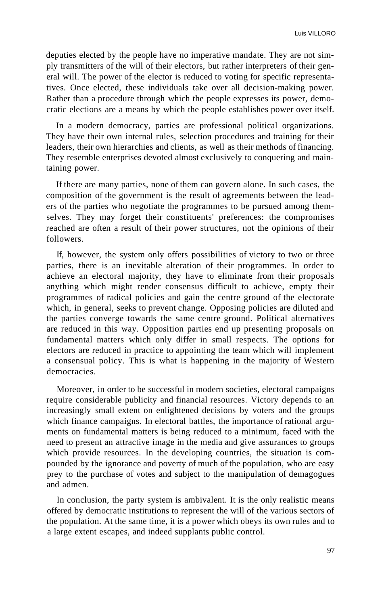deputies elected by the people have no imperative mandate. They are not simply transmitters of the will of their electors, but rather interpreters of their general will. The power of the elector is reduced to voting for specific representatives. Once elected, these individuals take over all decision-making power. Rather than a procedure through which the people expresses its power, democratic elections are a means by which the people establishes power over itself.

In a modern democracy, parties are professional political organizations. They have their own internal rules, selection procedures and training for their leaders, their own hierarchies and clients, as well as their methods of financing. They resemble enterprises devoted almost exclusively to conquering and maintaining power.

If there are many parties, none of them can govern alone. In such cases, the composition of the government is the result of agreements between the leaders of the parties who negotiate the programmes to be pursued among themselves. They may forget their constituents' preferences: the compromises reached are often a result of their power structures, not the opinions of their followers.

If, however, the system only offers possibilities of victory to two or three parties, there is an inevitable alteration of their programmes. In order to achieve an electoral majority, they have to eliminate from their proposals anything which might render consensus difficult to achieve, empty their programmes of radical policies and gain the centre ground of the electorate which, in general, seeks to prevent change. Opposing policies are diluted and the parties converge towards the same centre ground. Political alternatives are reduced in this way. Opposition parties end up presenting proposals on fundamental matters which only differ in small respects. The options for electors are reduced in practice to appointing the team which will implement a consensual policy. This is what is happening in the majority of Western democracies.

Moreover, in order to be successful in modern societies, electoral campaigns require considerable publicity and financial resources. Victory depends to an increasingly small extent on enlightened decisions by voters and the groups which finance campaigns. In electoral battles, the importance of rational arguments on fundamental matters is being reduced to a minimum, faced with the need to present an attractive image in the media and give assurances to groups which provide resources. In the developing countries, the situation is compounded by the ignorance and poverty of much of the population, who are easy prey to the purchase of votes and subject to the manipulation of demagogues and admen.

In conclusion, the party system is ambivalent. It is the only realistic means offered by democratic institutions to represent the will of the various sectors of the population. At the same time, it is a power which obeys its own rules and to a large extent escapes, and indeed supplants public control.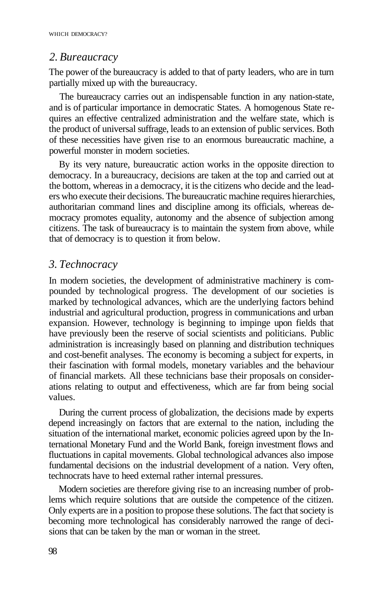### *2. Bureaucracy*

The power of the bureaucracy is added to that of party leaders, who are in turn partially mixed up with the bureaucracy.

The bureaucracy carries out an indispensable function in any nation-state, and is of particular importance in democratic States. A homogenous State requires an effective centralized administration and the welfare state, which is the product of universal suffrage, leads to an extension of public services. Both of these necessities have given rise to an enormous bureaucratic machine, a powerful monster in modern societies.

By its very nature, bureaucratic action works in the opposite direction to democracy. In a bureaucracy, decisions are taken at the top and carried out at the bottom, whereas in a democracy, it is the citizens who decide and the leaders who execute their decisions. The bureaucratic machine requires hierarchies, authoritarian command lines and discipline among its officials, whereas democracy promotes equality, autonomy and the absence of subjection among citizens. The task of bureaucracy is to maintain the system from above, while that of democracy is to question it from below.

### *3. Technocracy*

In modern societies, the development of administrative machinery is compounded by technological progress. The development of our societies is marked by technological advances, which are the underlying factors behind industrial and agricultural production, progress in communications and urban expansion. However, technology is beginning to impinge upon fields that have previously been the reserve of social scientists and politicians. Public administration is increasingly based on planning and distribution techniques and cost-benefit analyses. The economy is becoming a subject for experts, in their fascination with formal models, monetary variables and the behaviour of financial markets. All these technicians base their proposals on considerations relating to output and effectiveness, which are far from being social values.

During the current process of globalization, the decisions made by experts depend increasingly on factors that are external to the nation, including the situation of the international market, economic policies agreed upon by the International Monetary Fund and the World Bank, foreign investment flows and fluctuations in capital movements. Global technological advances also impose fundamental decisions on the industrial development of a nation. Very often, technocrats have to heed external rather internal pressures.

Modern societies are therefore giving rise to an increasing number of problems which require solutions that are outside the competence of the citizen. Only experts are in a position to propose these solutions. The fact that society is becoming more technological has considerably narrowed the range of decisions that can be taken by the man or woman in the street.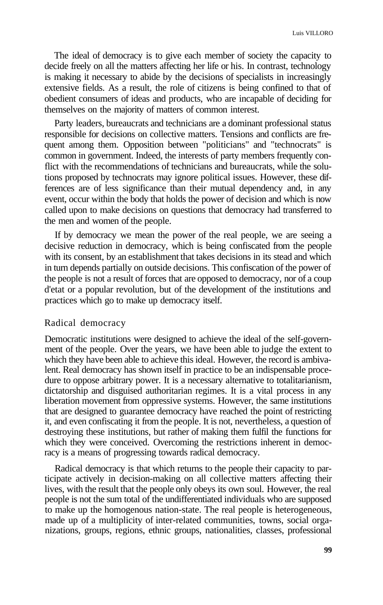The ideal of democracy is to give each member of society the capacity to decide freely on all the matters affecting her life or his. In contrast, technology is making it necessary to abide by the decisions of specialists in increasingly extensive fields. As a result, the role of citizens is being confined to that of obedient consumers of ideas and products, who are incapable of deciding for themselves on the majority of matters of common interest.

Party leaders, bureaucrats and technicians are a dominant professional status responsible for decisions on collective matters. Tensions and conflicts are frequent among them. Opposition between "politicians" and "technocrats" is common in government. Indeed, the interests of party members frequently conflict with the recommendations of technicians and bureaucrats, while the solutions proposed by technocrats may ignore political issues. However, these differences are of less significance than their mutual dependency and, in any event, occur within the body that holds the power of decision and which is now called upon to make decisions on questions that democracy had transferred to the men and women of the people.

If by democracy we mean the power of the real people, we are seeing a decisive reduction in democracy, which is being confiscated from the people with its consent, by an establishment that takes decisions in its stead and which in turn depends partially on outside decisions. This confiscation of the power of the people is not a result of forces that are opposed to democracy, nor of a coup d'etat or a popular revolution, but of the development of the institutions and practices which go to make up democracy itself.

### Radical democracy

Democratic institutions were designed to achieve the ideal of the self-government of the people. Over the years, we have been able to judge the extent to which they have been able to achieve this ideal. However, the record is ambivalent. Real democracy has shown itself in practice to be an indispensable procedure to oppose arbitrary power. It is a necessary alternative to totalitarianism, dictatorship and disguised authoritarian regimes. It is a vital process in any liberation movement from oppressive systems. However, the same institutions that are designed to guarantee democracy have reached the point of restricting it, and even confiscating it from the people. It is not, nevertheless, a question of destroying these institutions, but rather of making them fulfil the functions for which they were conceived. Overcoming the restrictions inherent in democracy is a means of progressing towards radical democracy.

Radical democracy is that which returns to the people their capacity to participate actively in decision-making on all collective matters affecting their lives, with the result that the people only obeys its own soul. However, the real people is not the sum total of the undifferentiated individuals who are supposed to make up the homogenous nation-state. The real people is heterogeneous, made up of a multiplicity of inter-related communities, towns, social organizations, groups, regions, ethnic groups, nationalities, classes, professional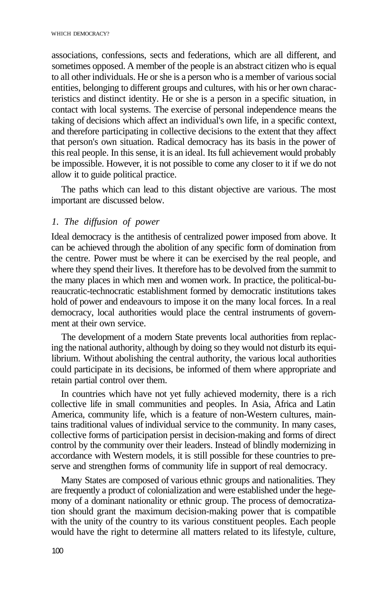associations, confessions, sects and federations, which are all different, and sometimes opposed. A member of the people is an abstract citizen who is equal to all other individuals. He or she is a person who is a member of various social entities, belonging to different groups and cultures, with his or her own characteristics and distinct identity. He or she is a person in a specific situation, in contact with local systems. The exercise of personal independence means the taking of decisions which affect an individual's own life, in a specific context, and therefore participating in collective decisions to the extent that they affect that person's own situation. Radical democracy has its basis in the power of this real people. In this sense, it is an ideal. Its full achievement would probably be impossible. However, it is not possible to come any closer to it if we do not allow it to guide political practice.

The paths which can lead to this distant objective are various. The most important are discussed below.

### *1. The diffusion of power*

Ideal democracy is the antithesis of centralized power imposed from above. It can be achieved through the abolition of any specific form of domination from the centre. Power must be where it can be exercised by the real people, and where they spend their lives. It therefore has to be devolved from the summit to the many places in which men and women work. In practice, the political-bureaucratic-technocratic establishment formed by democratic institutions takes hold of power and endeavours to impose it on the many local forces. In a real democracy, local authorities would place the central instruments of government at their own service.

The development of a modern State prevents local authorities from replacing the national authority, although by doing so they would not disturb its equilibrium. Without abolishing the central authority, the various local authorities could participate in its decisions, be informed of them where appropriate and retain partial control over them.

In countries which have not yet fully achieved modernity, there is a rich collective life in small communities and peoples. In Asia, Africa and Latin America, community life, which is a feature of non-Western cultures, maintains traditional values of individual service to the community. In many cases, collective forms of participation persist in decision-making and forms of direct control by the community over their leaders. Instead of blindly modernizing in accordance with Western models, it is still possible for these countries to preserve and strengthen forms of community life in support of real democracy.

Many States are composed of various ethnic groups and nationalities. They are frequently a product of colonialization and were established under the hegemony of a dominant nationality or ethnic group. The process of democratization should grant the maximum decision-making power that is compatible with the unity of the country to its various constituent peoples. Each people would have the right to determine all matters related to its lifestyle, culture,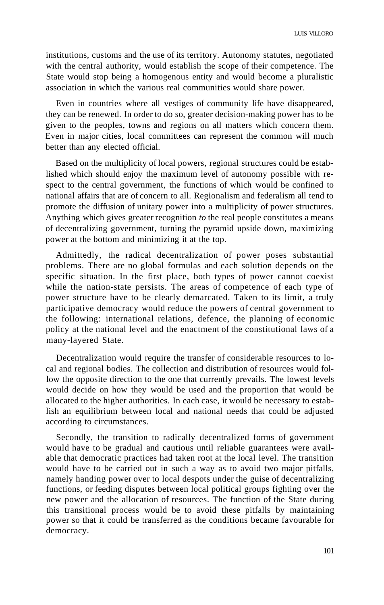institutions, customs and the use of its territory. Autonomy statutes, negotiated with the central authority, would establish the scope of their competence. The State would stop being a homogenous entity and would become a pluralistic association in which the various real communities would share power.

Even in countries where all vestiges of community life have disappeared, they can be renewed. In order to do so, greater decision-making power has to be given to the peoples, towns and regions on all matters which concern them. Even in major cities, local committees can represent the common will much better than any elected official.

Based on the multiplicity of local powers, regional structures could be established which should enjoy the maximum level of autonomy possible with respect to the central government, the functions of which would be confined to national affairs that are of concern to all. Regionalism and federalism all tend to promote the diffusion of unitary power into a multiplicity of power structures. Anything which gives greater recognition *to* the real people constitutes a means of decentralizing government, turning the pyramid upside down, maximizing power at the bottom and minimizing it at the top.

Admittedly, the radical decentralization of power poses substantial problems. There are no global formulas and each solution depends on the specific situation. In the first place, both types of power cannot coexist while the nation-state persists. The areas of competence of each type of power structure have to be clearly demarcated. Taken to its limit, a truly participative democracy would reduce the powers of central government to the following: international relations, defence, the planning of economic policy at the national level and the enactment of the constitutional laws of a many-layered State.

Decentralization would require the transfer of considerable resources to local and regional bodies. The collection and distribution of resources would follow the opposite direction to the one that currently prevails. The lowest levels would decide on how they would be used and the proportion that would be allocated to the higher authorities. In each case, it would be necessary to establish an equilibrium between local and national needs that could be adjusted according to circumstances.

Secondly, the transition to radically decentralized forms of government would have to be gradual and cautious until reliable guarantees were available that democratic practices had taken root at the local level. The transition would have to be carried out in such a way as to avoid two major pitfalls, namely handing power over to local despots under the guise of decentralizing functions, or feeding disputes between local political groups fighting over the new power and the allocation of resources. The function of the State during this transitional process would be to avoid these pitfalls by maintaining power so that it could be transferred as the conditions became favourable for democracy.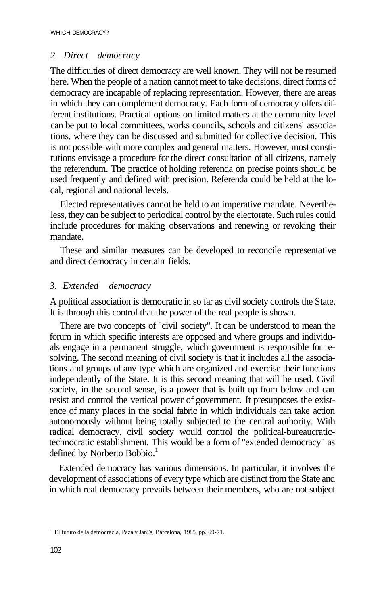## *2. Direct democracy*

The difficulties of direct democracy are well known. They will not be resumed here. When the people of a nation cannot meet to take decisions, direct forms of democracy are incapable of replacing representation. However, there are areas in which they can complement democracy. Each form of democracy offers different institutions. Practical options on limited matters at the community level can be put to local committees, works councils, schools and citizens' associations, where they can be discussed and submitted for collective decision. This is not possible with more complex and general matters. However, most constitutions envisage a procedure for the direct consultation of all citizens, namely the referendum. The practice of holding referenda on precise points should be used frequently and defined with precision. Referenda could be held at the local, regional and national levels.

Elected representatives cannot be held to an imperative mandate. Nevertheless, they can be subject to periodical control by the electorate. Such rules could include procedures for making observations and renewing or revoking their mandate.

These and similar measures can be developed to reconcile representative and direct democracy in certain fields.

## *3. Extended democracy*

A political association is democratic in so far as civil society controls the State. It is through this control that the power of the real people is shown.

There are two concepts of "civil society". It can be understood to mean the forum in which specific interests are opposed and where groups and individuals engage in a permanent struggle, which government is responsible for resolving. The second meaning of civil society is that it includes all the associations and groups of any type which are organized and exercise their functions independently of the State. It is this second meaning that will be used. Civil society, in the second sense, is a power that is built up from below and can resist and control the vertical power of government. It presupposes the existence of many places in the social fabric in which individuals can take action autonomously without being totally subjected to the central authority. With radical democracy, civil society would control the political-bureaucratictechnocratic establishment. This would be a form of "extended democracy" as defined by Norberto Bobbio.<sup>1</sup>

Extended democracy has various dimensions. In particular, it involves the development of associations of every type which are distinct from the State and in which real democracy prevails between their members, who are not subject

<sup>1</sup> El futuro de la democracia, Paza y Jan£s, Barcelona, 1985, pp. 69-71.